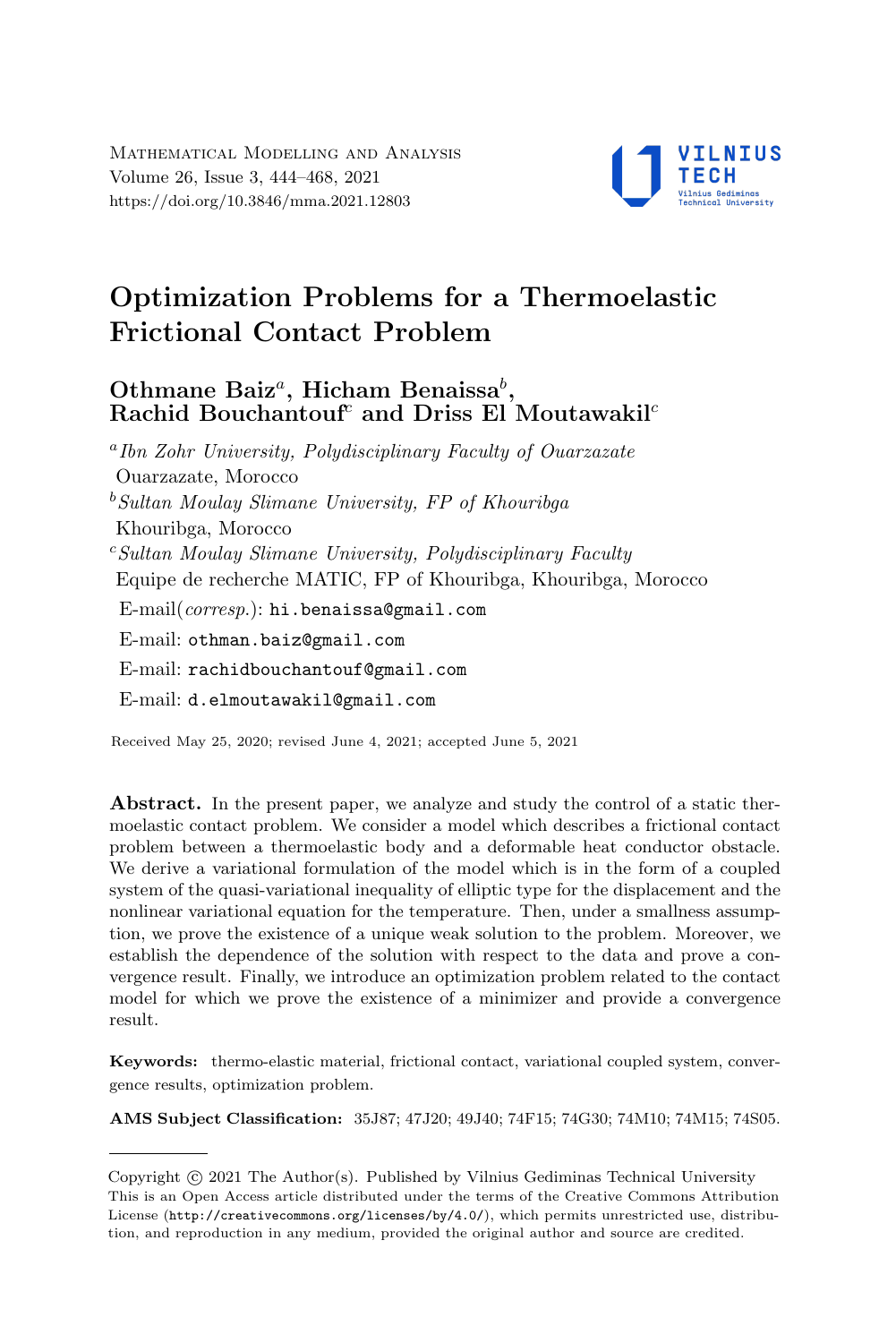

# Optimization Problems for a Thermoelastic Frictional Contact Problem

# Othmane Baiz<sup>a</sup>, Hicham Benaissa<sup>b</sup>, Rachid Bouchantouf<sup>c</sup> and Driss El Moutawakil<sup>c</sup>

a Ibn Zohr University, Polydisciplinary Faculty of Ouarzazate Ouarzazate, Morocco  $b$ Sultan Moulay Slimane University, FP of Khouribga Khouribga, Morocco  $c$ Sultan Moulay Slimane University, Polydisciplinary Faculty Equipe de recherche MATIC, FP of Khouribga, Khouribga, Morocco E-mail(corresp.): [hi.benaissa@gmail.com](mailto:hi.benaissa@gmail.com) E-mail: [othman.baiz@gmail.com](mailto:othman.baiz@gmail.com) E-mail: [rachidbouchantouf@gmail.com](mailto:rachidbouchantouf@gmail.com) E-mail: [d.elmoutawakil@gmail.com](mailto:d.elmoutawakil@gmail.com)

Received May 25, 2020; revised June 4, 2021; accepted June 5, 2021

Abstract. In the present paper, we analyze and study the control of a static thermoelastic contact problem. We consider a model which describes a frictional contact problem between a thermoelastic body and a deformable heat conductor obstacle. We derive a variational formulation of the model which is in the form of a coupled system of the quasi-variational inequality of elliptic type for the displacement and the nonlinear variational equation for the temperature. Then, under a smallness assumption, we prove the existence of a unique weak solution to the problem. Moreover, we establish the dependence of the solution with respect to the data and prove a convergence result. Finally, we introduce an optimization problem related to the contact model for which we prove the existence of a minimizer and provide a convergence result.

Keywords: thermo-elastic material, frictional contact, variational coupled system, convergence results, optimization problem.

AMS Subject Classification: 35J87; 47J20; 49J40; 74F15; 74G30; 74M10; 74M15; 74S05.

Copyright (C) 2021 The Author(S). Published by Vilnius Gediminas Technical University<br>This is an Open Access article distributed under the terms of the Creative Commons Attribution Copyright  $\odot$  2021 The Author(s). Published by Vilnius Gediminas Technical University License (<http://creativecommons.org/licenses/by/4.0/>), which permits unrestricted use, distribution, and reproduction in any medium, provided the original author and source are credited.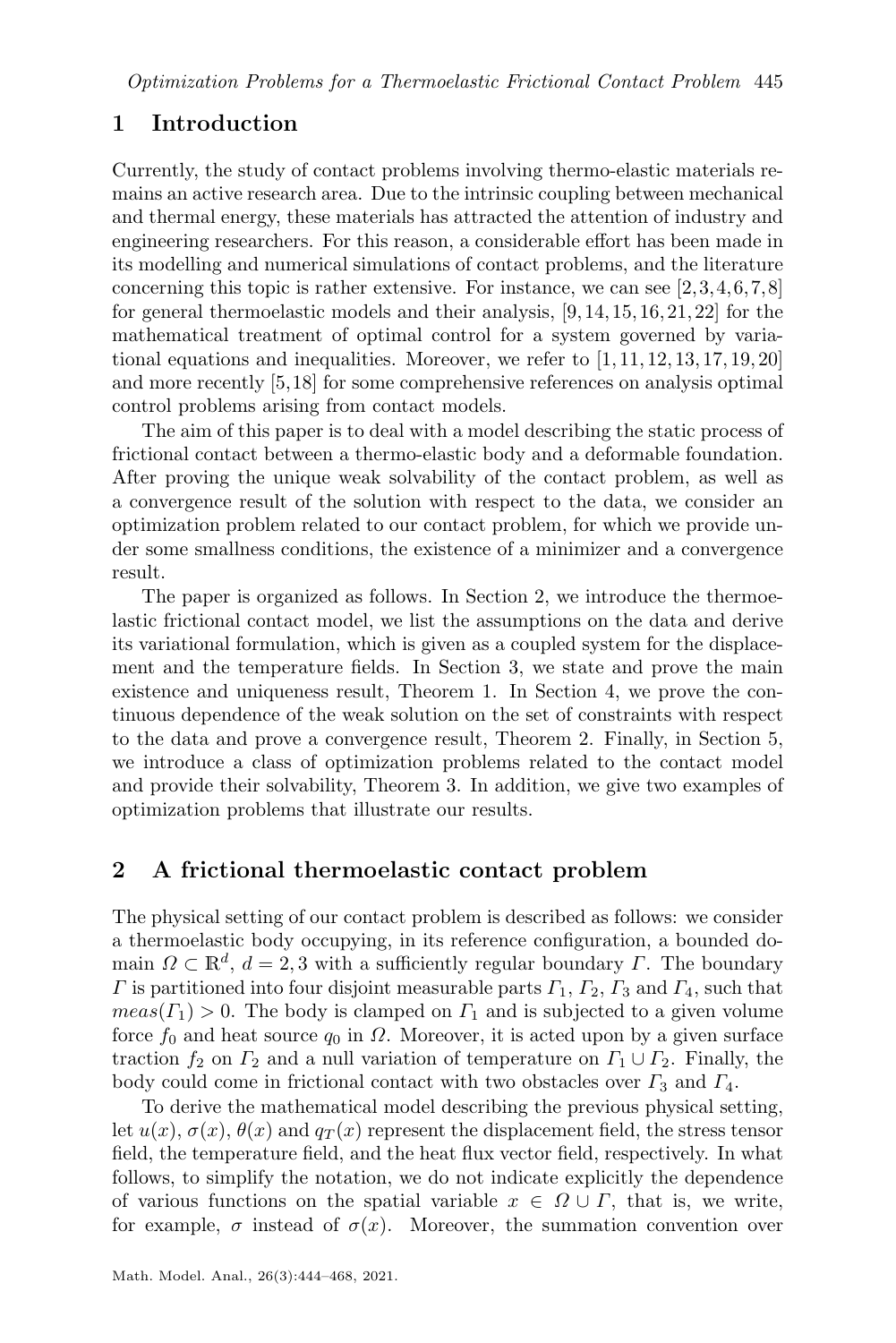# 1 Introduction

Currently, the study of contact problems involving thermo-elastic materials remains an active research area. Due to the intrinsic coupling between mechanical and thermal energy, these materials has attracted the attention of industry and engineering researchers. For this reason, a considerable effort has been made in its modelling and numerical simulations of contact problems, and the literature concerning this topic is rather extensive. For instance, we can see [\[2,](#page-23-0)[3,](#page-23-1)[4,](#page-23-2)[6,](#page-23-3)[7,](#page-23-4)[8\]](#page-23-5) for general thermoelastic models and their analysis, [\[9,](#page-23-6)[14,](#page-23-7)[15,](#page-23-8)[16,](#page-23-9)[21,](#page-24-0)[22\]](#page-24-1) for the mathematical treatment of optimal control for a system governed by variational equations and inequalities. Moreover, we refer to  $[1, 11, 12, 13, 17, 19, 20]$  $[1, 11, 12, 13, 17, 19, 20]$  $[1, 11, 12, 13, 17, 19, 20]$  $[1, 11, 12, 13, 17, 19, 20]$  $[1, 11, 12, 13, 17, 19, 20]$  $[1, 11, 12, 13, 17, 19, 20]$  $[1, 11, 12, 13, 17, 19, 20]$  $[1, 11, 12, 13, 17, 19, 20]$  $[1, 11, 12, 13, 17, 19, 20]$  $[1, 11, 12, 13, 17, 19, 20]$  $[1, 11, 12, 13, 17, 19, 20]$  $[1, 11, 12, 13, 17, 19, 20]$  $[1, 11, 12, 13, 17, 19, 20]$ and more recently [\[5,](#page-23-14)[18\]](#page-24-5) for some comprehensive references on analysis optimal control problems arising from contact models.

The aim of this paper is to deal with a model describing the static process of frictional contact between a thermo-elastic body and a deformable foundation. After proving the unique weak solvability of the contact problem, as well as a convergence result of the solution with respect to the data, we consider an optimization problem related to our contact problem, for which we provide under some smallness conditions, the existence of a minimizer and a convergence result.

The paper is organized as follows. In Section [2,](#page-1-0) we introduce the thermoelastic frictional contact model, we list the assumptions on the data and derive its variational formulation, which is given as a coupled system for the displacement and the temperature fields. In Section [3,](#page-5-0) we state and prove the main existence and uniqueness result, Theorem [1.](#page-5-1) In Section [4,](#page-11-0) we prove the continuous dependence of the weak solution on the set of constraints with respect to the data and prove a convergence result, Theorem [2.](#page-12-0) Finally, in Section [5,](#page-20-0) we introduce a class of optimization problems related to the contact model and provide their solvability, Theorem [3.](#page-21-0) In addition, we give two examples of optimization problems that illustrate our results.

# <span id="page-1-0"></span>2 A frictional thermoelastic contact problem

The physical setting of our contact problem is described as follows: we consider a thermoelastic body occupying, in its reference configuration, a bounded domain  $\Omega \subset \mathbb{R}^d$ ,  $d = 2, 3$  with a sufficiently regular boundary  $\Gamma$ . The boundary  $\Gamma$  is partitioned into four disjoint measurable parts  $\Gamma_1$ ,  $\Gamma_2$ ,  $\Gamma_3$  and  $\Gamma_4$ , such that  $meas(\Gamma_1) > 0$ . The body is clamped on  $\Gamma_1$  and is subjected to a given volume force  $f_0$  and heat source  $q_0$  in  $\Omega$ . Moreover, it is acted upon by a given surface traction  $f_2$  on  $\Gamma_2$  and a null variation of temperature on  $\Gamma_1 \cup \Gamma_2$ . Finally, the body could come in frictional contact with two obstacles over  $\Gamma_3$  and  $\Gamma_4$ .

To derive the mathematical model describing the previous physical setting, let  $u(x)$ ,  $\sigma(x)$ ,  $\theta(x)$  and  $q_T(x)$  represent the displacement field, the stress tensor field, the temperature field, and the heat flux vector field, respectively. In what follows, to simplify the notation, we do not indicate explicitly the dependence of various functions on the spatial variable  $x \in \Omega \cup \Gamma$ , that is, we write, for example,  $\sigma$  instead of  $\sigma(x)$ . Moreover, the summation convention over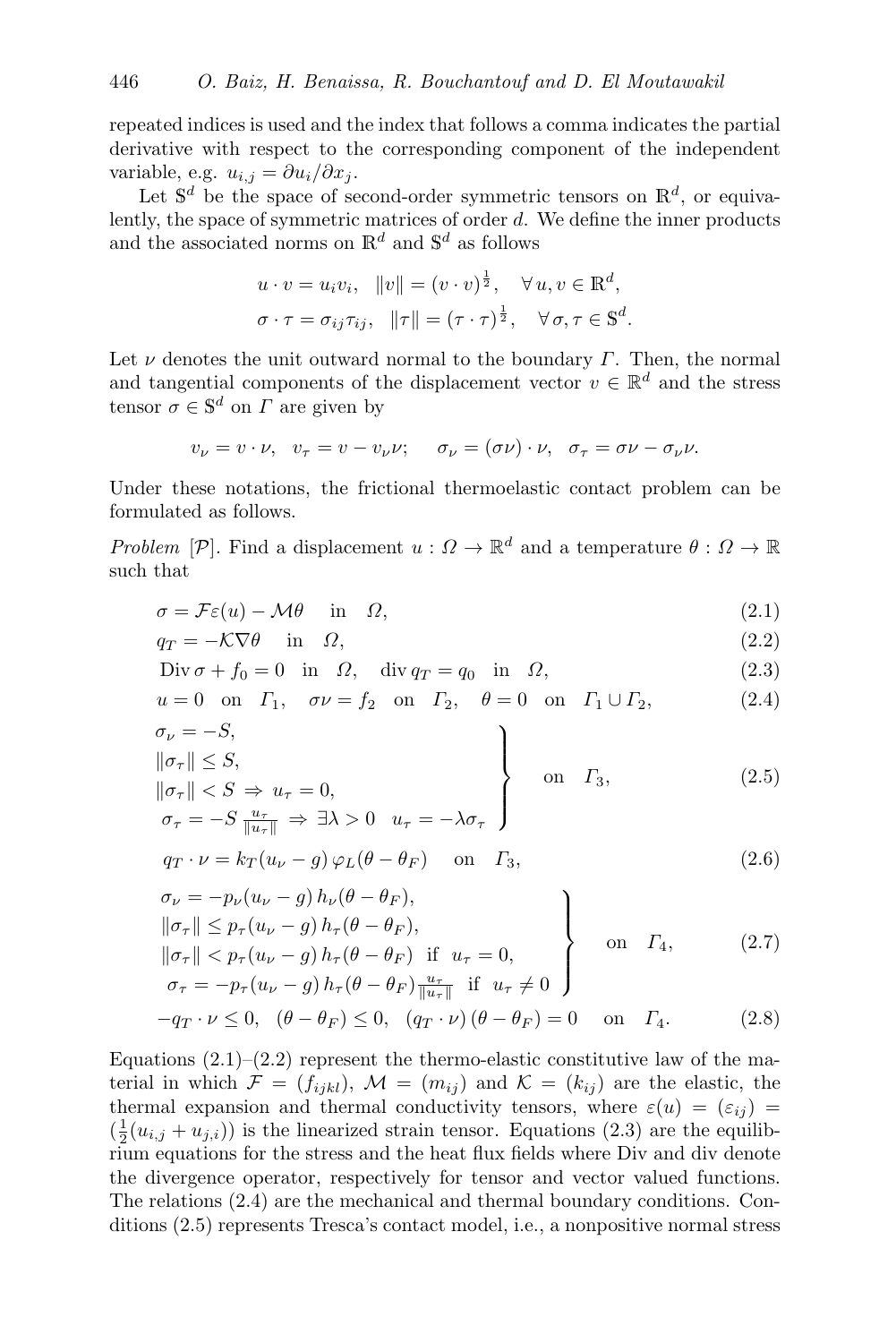repeated indices is used and the index that follows a comma indicates the partial derivative with respect to the corresponding component of the independent variable, e.g.  $u_{i,j} = \partial u_i / \partial x_j$ .

Let  $\mathbb{S}^d$  be the space of second-order symmetric tensors on  $\mathbb{R}^d$ , or equivalently, the space of symmetric matrices of order d. We define the inner products and the associated norms on  $\mathbb{R}^d$  and  $\mathbb{S}^d$  as follows

$$
u \cdot v = u_i v_i, \quad ||v|| = (v \cdot v)^{\frac{1}{2}}, \quad \forall u, v \in \mathbb{R}^d,
$$
  

$$
\sigma \cdot \tau = \sigma_{ij} \tau_{ij}, \quad ||\tau|| = (\tau \cdot \tau)^{\frac{1}{2}}, \quad \forall \sigma, \tau \in \mathbb{S}^d.
$$

Let  $\nu$  denotes the unit outward normal to the boundary  $\Gamma$ . Then, the normal and tangential components of the displacement vector  $v \in \mathbb{R}^d$  and the stress tensor  $\sigma \in \mathbb{S}^d$  on  $\Gamma$  are given by

<span id="page-2-1"></span><span id="page-2-0"></span>
$$
v_{\nu} = v \cdot \nu, \quad v_{\tau} = v - v_{\nu} \nu; \quad \sigma_{\nu} = (\sigma \nu) \cdot \nu, \quad \sigma_{\tau} = \sigma \nu - \sigma_{\nu} \nu.
$$

Under these notations, the frictional thermoelastic contact problem can be formulated as follows.

Problem [P]. Find a displacement  $u: \Omega \to \mathbb{R}^d$  and a temperature  $\theta: \Omega \to \mathbb{R}$ such that

<span id="page-2-8"></span>
$$
\sigma = \mathcal{F}\varepsilon(u) - \mathcal{M}\theta \quad \text{in} \quad \Omega,\tag{2.1}
$$

$$
q_T = -\mathcal{K}\nabla\theta \quad \text{in} \quad \Omega,\tag{2.2}
$$

<span id="page-2-3"></span><span id="page-2-2"></span>
$$
\text{Div}\,\sigma + f_0 = 0 \quad \text{in} \quad \Omega, \quad \text{div}\,q_T = q_0 \quad \text{in} \quad \Omega,\tag{2.3}
$$

$$
u = 0 \quad \text{on} \quad \Gamma_1, \quad \sigma \nu = f_2 \quad \text{on} \quad \Gamma_2, \quad \theta = 0 \quad \text{on} \quad \Gamma_1 \cup \Gamma_2,\tag{2.4}
$$
\n
$$
\sigma_{\nu} = -S,
$$

$$
\begin{aligned}\n\|\sigma_{\tau}\| &\leq S, \\
\|\sigma_{\tau}\| &\lt S \Rightarrow u_{\tau} = 0, \\
\sigma_{\tau} = -S \frac{u_{\tau}}{\|u_{\tau}\|} \Rightarrow \exists \lambda > 0 \quad u_{\tau} = -\lambda \sigma_{\tau}\n\end{aligned}\n\qquad \text{on} \quad \Gamma_3,
$$
\n(2.5)

<span id="page-2-5"></span><span id="page-2-4"></span>
$$
q_T \cdot \nu = k_T (u_\nu - g) \varphi_L (\theta - \theta_F) \quad \text{on} \quad \Gamma_3,
$$
\n(2.6)

<span id="page-2-6"></span>
$$
\sigma_{\nu} = -p_{\nu}(u_{\nu} - g) h_{\nu}(\theta - \theta_F),
$$
\n
$$
\|\sigma_{\tau}\| \leq p_{\tau}(u_{\nu} - g) h_{\tau}(\theta - \theta_F),
$$
\n
$$
\|\sigma_{\tau}\| < p_{\tau}(u_{\nu} - g) h_{\tau}(\theta - \theta_F) \text{ if } u_{\tau} = 0,
$$
\n
$$
\sigma_{\tau} = -p_{\tau}(u_{\nu} - g) h_{\tau}(\theta - \theta_F) \frac{u_{\tau}}{\|u_{\tau}\|} \text{ if } u_{\tau} \neq 0
$$
\n(2.7)

<span id="page-2-7"></span>
$$
-q_T \cdot \nu \le 0, \quad (\theta - \theta_F) \le 0, \quad (q_T \cdot \nu) (\theta - \theta_F) = 0 \quad \text{on} \quad \Gamma_4. \tag{2.8}
$$

Equations  $(2.1)$ – $(2.2)$  represent the thermo-elastic constitutive law of the material in which  $\mathcal{F} = (f_{ijkl})$ ,  $\mathcal{M} = (m_{ij})$  and  $\mathcal{K} = (k_{ij})$  are the elastic, the thermal expansion and thermal conductivity tensors, where  $\varepsilon(u) = (\varepsilon_{ij}) =$  $(\frac{1}{2}(u_{i,j} + u_{j,i}))$  is the linearized strain tensor. Equations [\(2.3\)](#page-2-2) are the equilibrium equations for the stress and the heat flux fields where Div and div denote the divergence operator, respectively for tensor and vector valued functions. The relations [\(2.4\)](#page-2-3) are the mechanical and thermal boundary conditions. Conditions [\(2.5\)](#page-2-4) represents Tresca's contact model, i.e., a nonpositive normal stress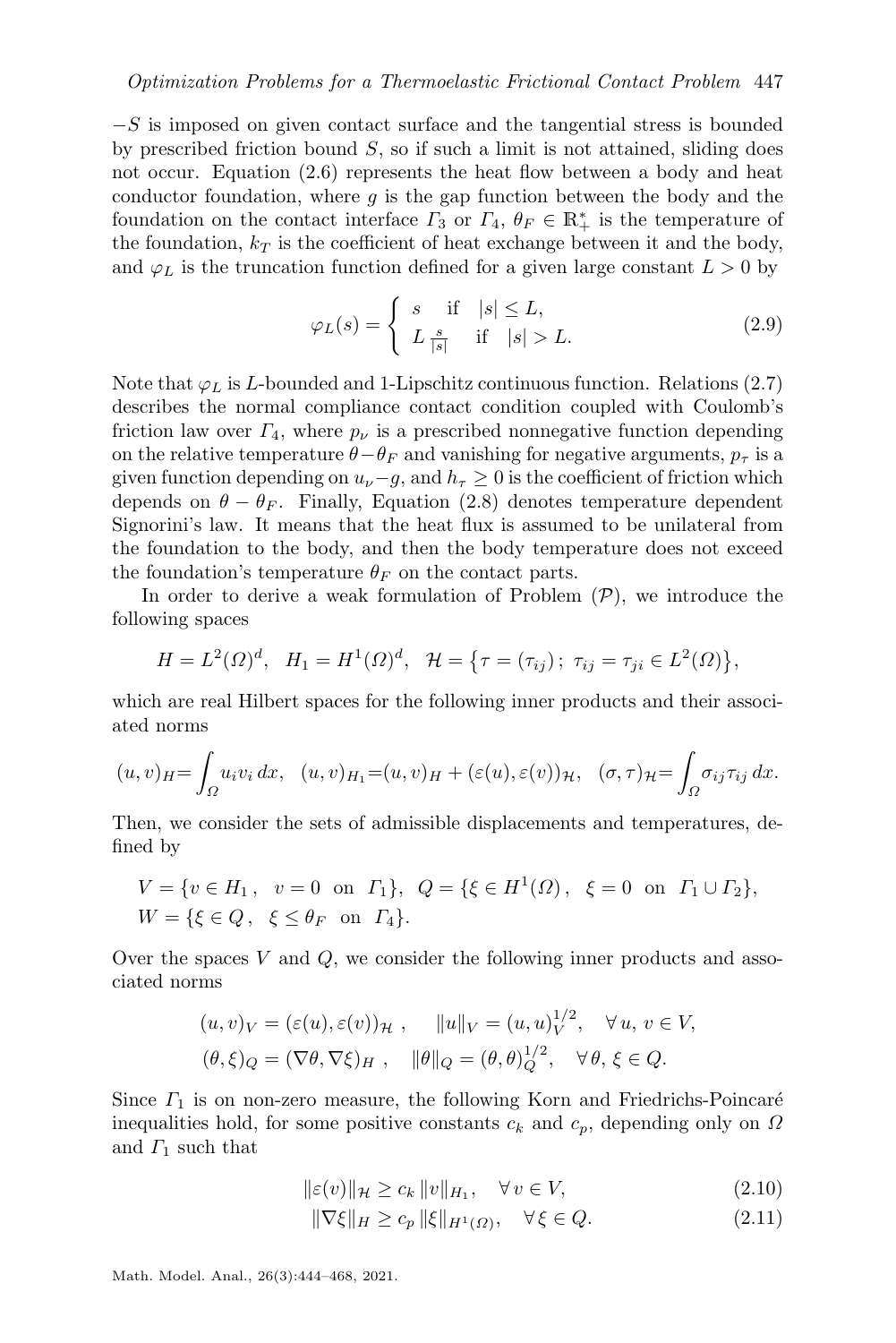$-S$  is imposed on given contact surface and the tangential stress is bounded by prescribed friction bound  $S$ , so if such a limit is not attained, sliding does not occur. Equation [\(2.6\)](#page-2-5) represents the heat flow between a body and heat conductor foundation, where  $g$  is the gap function between the body and the foundation on the contact interface  $\Gamma_3$  or  $\Gamma_4$ ,  $\theta_F \in \mathbb{R}^*_+$  is the temperature of the foundation,  $k_T$  is the coefficient of heat exchange between it and the body, and  $\varphi_L$  is the truncation function defined for a given large constant  $L > 0$  by

<span id="page-3-2"></span>
$$
\varphi_L(s) = \begin{cases} s & \text{if } |s| \le L, \\ L \frac{s}{|s|} & \text{if } |s| > L. \end{cases}
$$
 (2.9)

Note that  $\varphi_L$  is *L*-bounded and 1-Lipschitz continuous function. Relations [\(2.7\)](#page-2-6) describes the normal compliance contact condition coupled with Coulomb's friction law over  $\Gamma_4$ , where  $p_{\nu}$  is a prescribed nonnegative function depending on the relative temperature  $\theta - \theta_F$  and vanishing for negative arguments,  $p_\tau$  is a given function depending on  $u_{\nu}-g$ , and  $h_{\tau} \geq 0$  is the coefficient of friction which depends on  $\theta - \theta_F$ . Finally, Equation [\(2.8\)](#page-2-7) denotes temperature dependent Signorini's law. It means that the heat flux is assumed to be unilateral from the foundation to the body, and then the body temperature does not exceed the foundation's temperature  $\theta_F$  on the contact parts.

In order to derive a weak formulation of [P](#page-2-8)roblem  $(\mathcal{P})$ , we introduce the following spaces

$$
H = L^{2}(\Omega)^{d}, \quad H_{1} = H^{1}(\Omega)^{d}, \quad H = \{\tau = (\tau_{ij}); \ \tau_{ij} = \tau_{ji} \in L^{2}(\Omega)\},
$$

which are real Hilbert spaces for the following inner products and their associated norms

$$
(u,v)_H = \int_{\Omega} u_i v_i dx, \quad (u,v)_H = (u,v)_H + (\varepsilon(u), \varepsilon(v))_{\mathcal{H}}, \quad (\sigma, \tau)_{\mathcal{H}} = \int_{\Omega} \sigma_{ij} \tau_{ij} dx.
$$

Then, we consider the sets of admissible displacements and temperatures, defined by

$$
V = \{v \in H_1, v = 0 \text{ on } \Gamma_1\}, Q = \{\xi \in H^1(\Omega), \xi = 0 \text{ on } \Gamma_1 \cup \Gamma_2\},
$$
  

$$
W = \{\xi \in Q, \xi \leq \theta_F \text{ on } \Gamma_4\}.
$$

Over the spaces  $V$  and  $Q$ , we consider the following inner products and associated norms

$$
(u, v)_V = (\varepsilon(u), \varepsilon(v))_{\mathcal{H}}, \quad ||u||_V = (u, u)_V^{1/2}, \quad \forall u, v \in V,
$$
  

$$
(\theta, \xi)_Q = (\nabla \theta, \nabla \xi)_H, \quad ||\theta||_Q = (\theta, \theta)_Q^{1/2}, \quad \forall \theta, \xi \in Q.
$$

Since  $\Gamma_1$  is on non-zero measure, the following Korn and Friedrichs-Poincaré inequalities hold, for some positive constants  $c_k$  and  $c_p$ , depending only on  $\Omega$ and  $\Gamma_1$  such that

$$
\|\varepsilon(v)\|_{\mathcal{H}} \ge c_k \|v\|_{H_1}, \quad \forall v \in V,
$$
\n(2.10)

<span id="page-3-1"></span><span id="page-3-0"></span>
$$
\|\nabla \xi\|_{H} \ge c_p \|\xi\|_{H^1(\Omega)}, \quad \forall \xi \in Q. \tag{2.11}
$$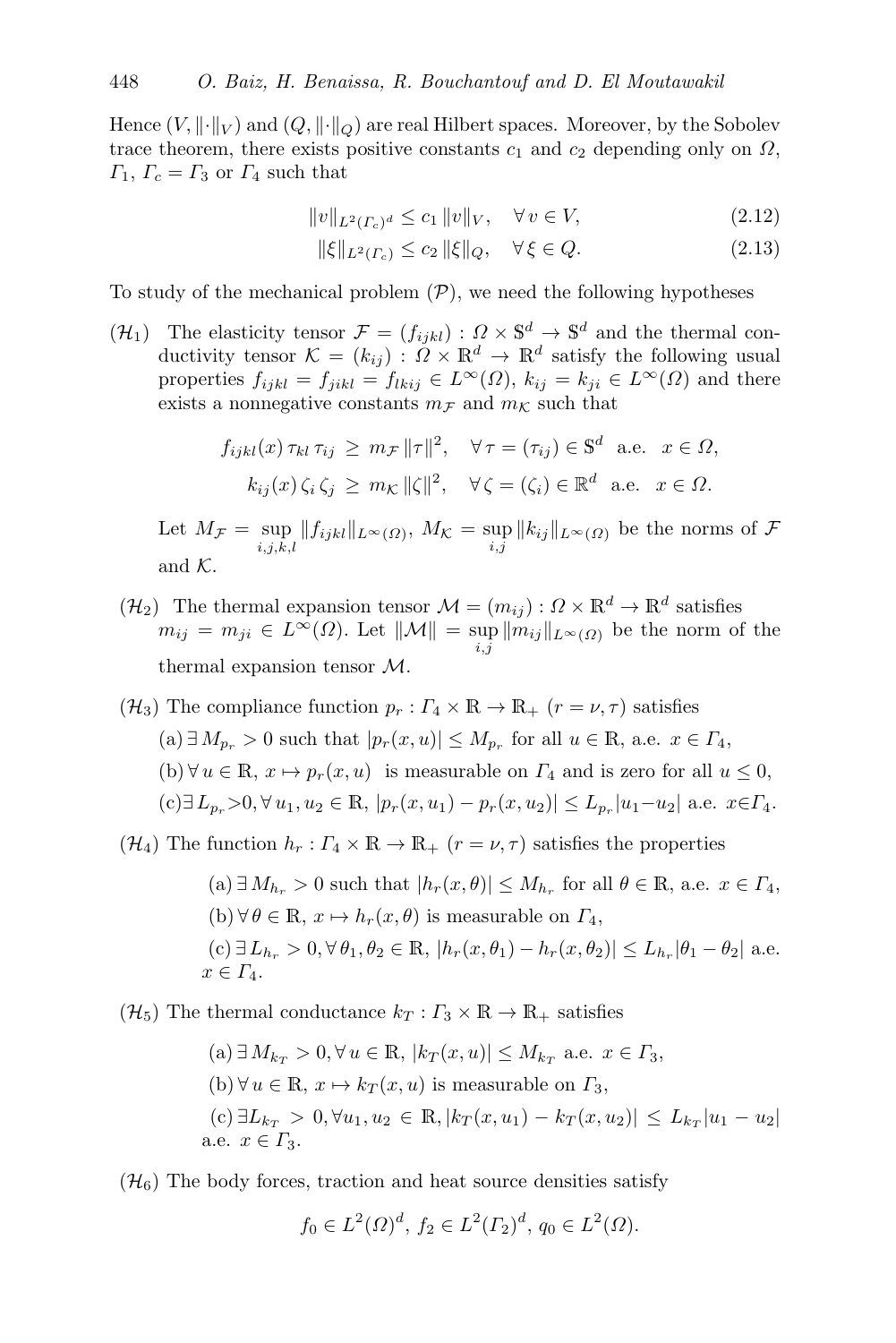Hence  $(V, \|\cdot\|_V)$  and  $(Q, \|\cdot\|_Q)$  are real Hilbert spaces. Moreover, by the Sobolev trace theorem, there exists positive constants  $c_1$  and  $c_2$  depending only on  $\Omega$ ,  $\Gamma_1, \Gamma_c = \Gamma_3$  or  $\Gamma_4$  such that

$$
||v||_{L^{2}(r_{c})^{d}} \leq c_{1} ||v||_{V}, \quad \forall v \in V,
$$
\n(2.12)

<span id="page-4-6"></span><span id="page-4-5"></span>
$$
\|\xi\|_{L^2(\Gamma_c)} \le c_2 \|\xi\|_Q, \quad \forall \xi \in Q. \tag{2.13}
$$

To study of the mechanical problem  $(\mathcal{P})$  $(\mathcal{P})$  $(\mathcal{P})$ , we need the following hypotheses

<span id="page-4-0"></span> $(\mathcal{H}_1)$  The elasticity tensor  $\mathcal{F} = (f_{ijkl}) : \Omega \times \mathbb{S}^d \to \mathbb{S}^d$  and the thermal conductivity tensor  $\mathcal{K} = (k_{ij}) : \Omega \times \mathbb{R}^d \to \mathbb{R}^d$  satisfy the following usual properties  $f_{ijkl} = f_{jikl} = f_{lkij} \in L^{\infty}(\Omega)$ ,  $k_{ij} = k_{ji} \in L^{\infty}(\Omega)$  and there exists a nonnegative constants  $m_F$  and  $m_K$  such that

$$
f_{ijkl}(x) \tau_{kl} \tau_{ij} \ge m_{\mathcal{F}} ||\tau||^2, \quad \forall \tau = (\tau_{ij}) \in \mathbb{S}^d \text{ a.e. } x \in \Omega,
$$
  

$$
k_{ij}(x) \zeta_i \zeta_j \ge m_{\mathcal{K}} ||\zeta||^2, \quad \forall \zeta = (\zeta_i) \in \mathbb{R}^d \text{ a.e. } x \in \Omega.
$$

Let  $M_{\mathcal{F}} = \sup_{i,j,k,l} ||f_{ijkl}||_{L^{\infty}(\Omega)}, M_{\mathcal{K}} = \sup_{i,j} ||k_{ij}||_{L^{\infty}(\Omega)}$  be the norms of  $\mathcal{F}$ and  $\mathcal K.$ 

- <span id="page-4-1"></span> $(\mathcal{H}_2)$  The thermal expansion tensor  $\mathcal{M} = (m_{ij}) : \Omega \times \mathbb{R}^d \to \mathbb{R}^d$  satisfies  $m_{ij} = m_{ji} \in L^{\infty}(\Omega)$ . Let  $\|\mathcal{M}\| = \sup_{i,j} \|m_{ij}\|_{L^{\infty}(\Omega)}$  be the norm of the thermal expansion tensor M.
- <span id="page-4-2"></span> $(\mathcal{H}_3)$  The compliance function  $p_r : \Gamma_4 \times \mathbb{R} \to \mathbb{R}_+$   $(r = \nu, \tau)$  satisfies (a) ∃  $M_{p_r}$  > 0 such that  $|p_r(x, u)|$  ≤  $M_{p_r}$  for all  $u \in \mathbb{R}$ , a.e.  $x \in \Gamma_4$ , (b)  $\forall u \in \mathbb{R}, x \mapsto p_r(x, u)$  is measurable on  $\Gamma_4$  and is zero for all  $u \leq 0$ ,  $(c) \exists L_{p_r} > 0, \forall u_1, u_2 \in \mathbb{R}, |p_r(x, u_1) - p_r(x, u_2)| \leq L_{p_r}|u_1 - u_2|$  a.e.  $x \in \Gamma_4$ .

<span id="page-4-3"></span> $(\mathcal{H}_4)$  The function  $h_r: \Gamma_4 \times \mathbb{R} \to \mathbb{R}_+$   $(r = \nu, \tau)$  satisfies the properties

\n- (a) 
$$
\exists M_{h_r} > 0
$$
 such that  $|h_r(x, \theta)| \leq M_{h_r}$  for all  $\theta \in \mathbb{R}$ , a.e.  $x \in \Gamma_4$ ,
\n- (b)  $\forall \theta \in \mathbb{R}$ ,  $x \mapsto h_r(x, \theta)$  is measurable on  $\Gamma_4$ ,
\n- (c)  $\exists L_{h_r} > 0$ ,  $\forall \theta_1, \theta_2 \in \mathbb{R}$ ,  $|h_r(x, \theta_1) - h_r(x, \theta_2)| \leq L_{h_r} |\theta_1 - \theta_2|$  a.e.  $x \in \Gamma_4$ .
\n

<span id="page-4-4"></span> $(\mathcal{H}_5)$  The thermal conductance  $k_T : \Gamma_3 \times \mathbb{R} \to \mathbb{R}_+$  satisfies

\n- (a) 
$$
\exists M_{k_T} > 0, \forall u \in \mathbb{R}, |k_T(x, u)| \leq M_{k_T}
$$
 a.e.  $x \in \Gamma_3$ ,
\n- (b)  $\forall u \in \mathbb{R}, x \mapsto k_T(x, u)$  is measurable on  $\Gamma_3$ ,
\n- (c)  $\exists L_{k_T} > 0, \forall u_1, u_2 \in \mathbb{R}, |k_T(x, u_1) - k_T(x, u_2)| \leq L_{k_T} |u_1 - u_2|$  a.e.  $x \in \Gamma_3$ .
\n

 $(\mathcal{H}_6)$  The body forces, traction and heat source densities satisfy

$$
f_0 \in L^2(\Omega)^d
$$
,  $f_2 \in L^2(\Gamma_2)^d$ ,  $q_0 \in L^2(\Omega)$ .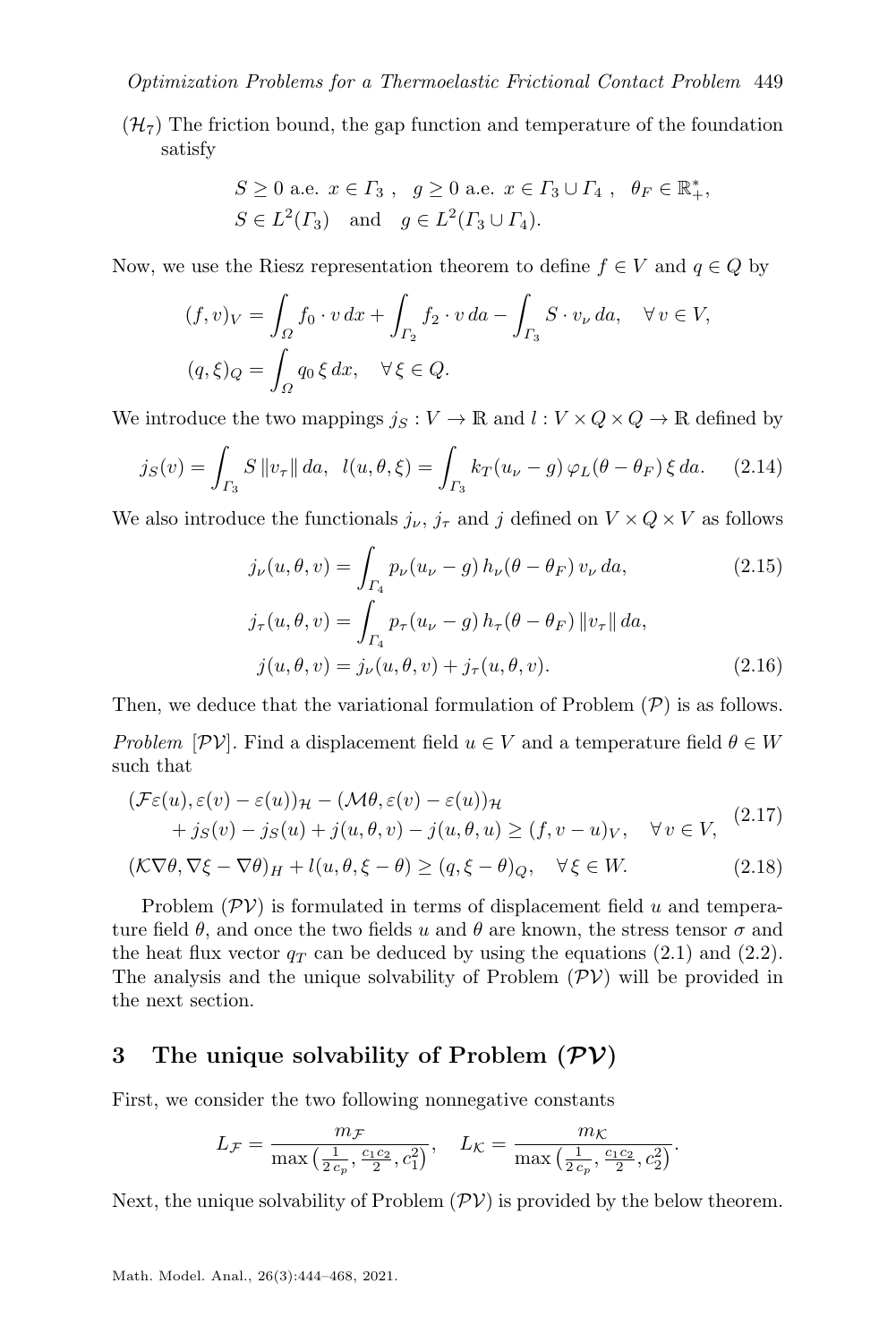<span id="page-5-3"></span> $(\mathcal{H}_{7})$  The friction bound, the gap function and temperature of the foundation satisfy

$$
S \geq 0 \text{ a.e. } x \in \Gamma_3 , g \geq 0 \text{ a.e. } x \in \Gamma_3 \cup \Gamma_4 , \quad \theta_F \in \mathbb{R}_+^*,
$$
  

$$
S \in L^2(\Gamma_3) \quad \text{and} \quad g \in L^2(\Gamma_3 \cup \Gamma_4).
$$

Now, we use the Riesz representation theorem to define  $f \in V$  and  $q \in Q$  by

$$
(f, v)_V = \int_{\Omega} f_0 \cdot v \, dx + \int_{\Gamma_2} f_2 \cdot v \, da - \int_{\Gamma_3} S \cdot v_{\nu} \, da, \quad \forall \, v \in V,
$$

$$
(q, \xi)_Q = \int_{\Omega} q_0 \, \xi \, dx, \quad \forall \, \xi \in Q.
$$

We introduce the two mappings  $j_S : V \to \mathbb{R}$  and  $l : V \times Q \times Q \to \mathbb{R}$  defined by

$$
j_S(v) = \int_{\Gamma_3} S \|v_\tau\| \, da, \ \ l(u, \theta, \xi) = \int_{\Gamma_3} k_T(u_\nu - g) \, \varphi_L(\theta - \theta_F) \, \xi \, da. \tag{2.14}
$$

We also introduce the functionals  $j_{\nu}$ ,  $j_{\tau}$  and j defined on  $V \times Q \times V$  as follows

<span id="page-5-8"></span><span id="page-5-7"></span><span id="page-5-6"></span><span id="page-5-5"></span><span id="page-5-4"></span>
$$
j_{\nu}(u,\theta,v) = \int_{\Gamma_4} p_{\nu}(u_{\nu} - g) h_{\nu}(\theta - \theta_F) v_{\nu} da,
$$
 (2.15)  

$$
j_{\tau}(u,\theta,v) = \int_{\Gamma_4} p_{\tau}(u_{\nu} - g) h_{\tau}(\theta - \theta_F) ||v_{\tau}|| da,
$$
  

$$
j(u,\theta,v) = j_{\nu}(u,\theta,v) + j_{\tau}(u,\theta,v).
$$
 (2.16)

Then, we deduce that the variational formulation of [P](#page-2-8)roblem  $(\mathcal{P})$  is as follows.

Problem  $[\mathcal{PV}]$ . Find a displacement field  $u \in V$  and a temperature field  $\theta \in W$ such that

<span id="page-5-2"></span>
$$
(\mathcal{F}\varepsilon(u), \varepsilon(v) - \varepsilon(u))\mathcal{H} - (\mathcal{M}\theta, \varepsilon(v) - \varepsilon(u))\mathcal{H}
$$
  
+  $j_S(v) - j_S(u) + j(u, \theta, v) - j(u, \theta, u) \ge (f, v - u)_V, \quad \forall v \in V,$  (2.17)

$$
(\mathcal{K}\nabla\theta, \nabla\xi - \nabla\theta)_H + l(u, \theta, \xi - \theta) \ge (q, \xi - \theta)_Q, \quad \forall \xi \in W.
$$
 (2.18)

Problem  $(\mathcal{PV})$  $(\mathcal{PV})$  $(\mathcal{PV})$  is formulated in terms of displacement field u and temperature field  $\theta$ , and once the two fields u and  $\theta$  are known, the stress tensor  $\sigma$  and the heat flux vector  $q_T$  can be deduced by using the equations [\(2.1\)](#page-2-0) and [\(2.2\)](#page-2-1). The analysis and the unique solvability of Problem  $(\mathcal{PV})$  $(\mathcal{PV})$  $(\mathcal{PV})$  will be provided in the next section.

# <span id="page-5-0"></span>3 The unique solvability of Problem  $(\mathcal{PV})$

First, we consider the two following nonnegative constants

$$
L_{\mathcal{F}} = \frac{m_{\mathcal{F}}}{\max\left(\frac{1}{2\,c_p}, \frac{c_1c_2}{2}, c_1^2\right)}, \quad L_{\mathcal{K}} = \frac{m_{\mathcal{K}}}{\max\left(\frac{1}{2\,c_p}, \frac{c_1c_2}{2}, c_2^2\right)}.
$$

<span id="page-5-1"></span>Next, the unique solvability of Problem  $(\mathcal{PV})$  $(\mathcal{PV})$  $(\mathcal{PV})$  is provided by the below theorem.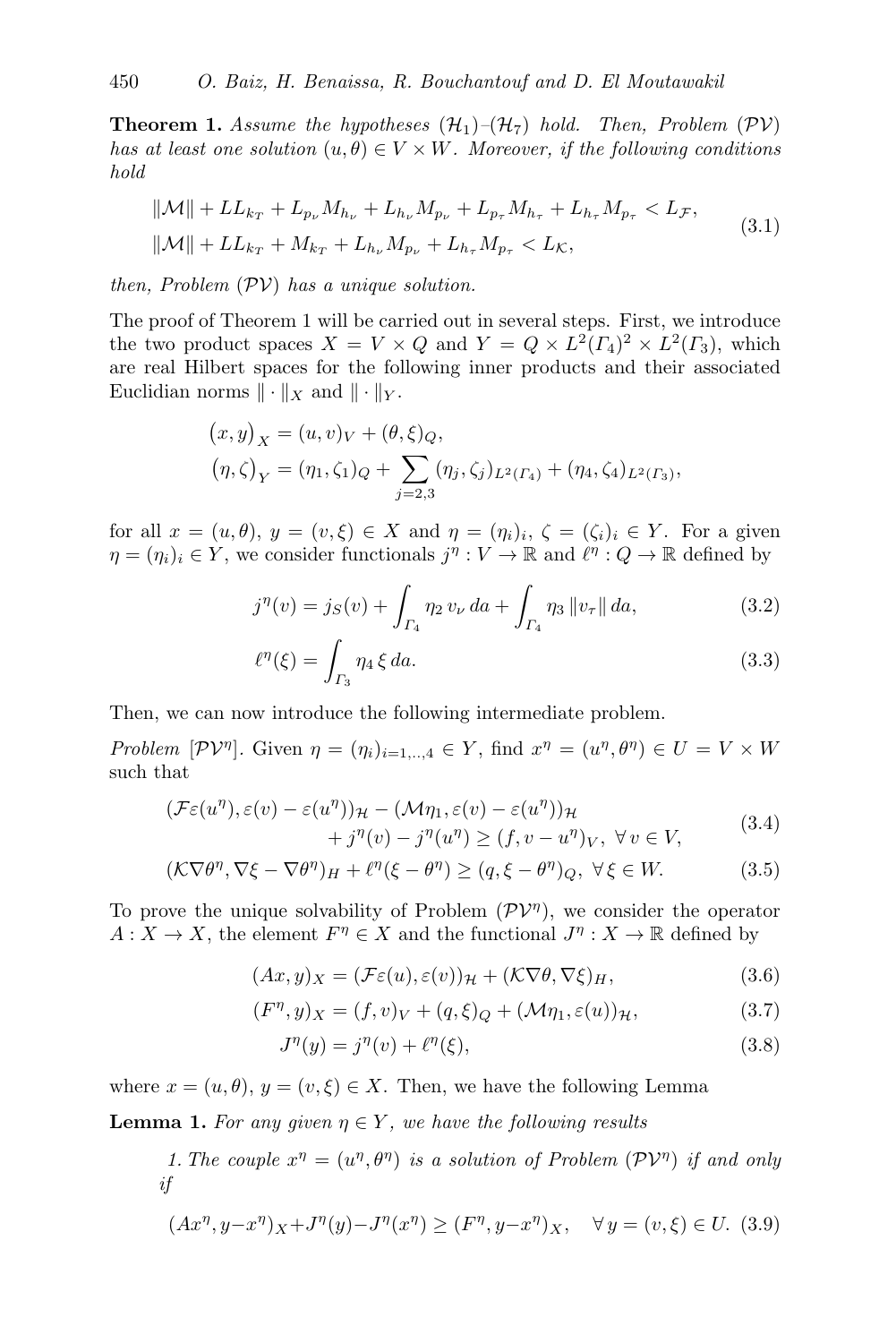**Theorem 1.** Assume the hypotheses  $(\mathcal{H}_1)$  $(\mathcal{H}_1)$  $(\mathcal{H}_1)$ – $(\mathcal{H}_7)$  hold. Then, Problem  $(\mathcal{PV})$  $(\mathcal{PV})$  $(\mathcal{PV})$ has at least one solution  $(u, \theta) \in V \times W$ . Moreover, if the following conditions hold

$$
\|\mathcal{M}\| + LL_{k_T} + L_{p_{\nu}} M_{h_{\nu}} + L_{h_{\nu}} M_{p_{\nu}} + L_{p_{\tau}} M_{h_{\tau}} + L_{h_{\tau}} M_{p_{\tau}} < L_{\mathcal{F}},
$$
\n
$$
\|\mathcal{M}\| + LL_{k_T} + M_{k_T} + L_{h_{\nu}} M_{p_{\nu}} + L_{h_{\tau}} M_{p_{\tau}} < L_{\mathcal{K}},
$$
\n
$$
(3.1)
$$

then, Problem  $(\mathcal{PV})$  $(\mathcal{PV})$  $(\mathcal{PV})$  has a unique solution.

The proof of Theorem [1](#page-5-1) will be carried out in several steps. First, we introduce the two product spaces  $X = V \times Q$  and  $Y = Q \times L^2(\Gamma_4)^2 \times L^2(\Gamma_3)$ , which are real Hilbert spaces for the following inner products and their associated Euclidian norms  $\|\cdot\|_X$  and  $\|\cdot\|_Y$ .

<span id="page-6-10"></span>
$$
(x,y)_X = (u,v)_V + (\theta,\xi)_Q,
$$
  

$$
(\eta,\zeta)_Y = (\eta_1,\zeta_1)_Q + \sum_{j=2,3} (\eta_j,\zeta_j)_{L^2(\Gamma_4)} + (\eta_4,\zeta_4)_{L^2(\Gamma_3)},
$$

for all  $x = (u, \theta), y = (v, \xi) \in X$  and  $\eta = (\eta_i)_i, \zeta = (\zeta_i)_i \in Y$ . For a given  $\eta = (\eta_i)_i \in Y$ , we consider functionals  $j^{\eta}: V \to \mathbb{R}$  and  $\ell^{\eta}: Q \to \mathbb{R}$  defined by

<span id="page-6-7"></span>
$$
j^{\eta}(v) = j_S(v) + \int_{\Gamma_4} \eta_2 \, v_{\nu} \, da + \int_{\Gamma_4} \eta_3 \, \|v_{\tau}\| \, da,\tag{3.2}
$$

<span id="page-6-8"></span><span id="page-6-1"></span>
$$
\ell^{\eta}(\xi) = \int_{\Gamma_3} \eta_4 \, \xi \, da. \tag{3.3}
$$

Then, we can now introduce the following intermediate problem.

Problem  $[\mathcal{PV}^{\eta}]$ . Given  $\eta = (\eta_i)_{i=1,..,4} \in Y$ , find  $x^{\eta} = (u^{\eta}, \theta^{\eta}) \in U = V \times W$ such that

<span id="page-6-0"></span>
$$
(\mathcal{F}\varepsilon(u^{\eta}), \varepsilon(v) - \varepsilon(u^{\eta}))_{\mathcal{H}} - (\mathcal{M}\eta_1, \varepsilon(v) - \varepsilon(u^{\eta}))_{\mathcal{H}} + j^{\eta}(v) - j^{\eta}(u^{\eta}) \ge (f, v - u^{\eta})_{V}, \ \forall v \in V,
$$
(3.4)

$$
(\mathcal{K}\nabla\theta^{\eta}, \nabla\xi - \nabla\theta^{\eta})_H + \ell^{\eta}(\xi - \theta^{\eta}) \ge (q, \xi - \theta^{\eta})_Q, \ \forall \xi \in W. \tag{3.5}
$$

To prove the unique solvability of Problem  $(\mathcal{PV}^{\eta})$  $(\mathcal{PV}^{\eta})$  $(\mathcal{PV}^{\eta})$ , we consider the operator  $A: X \to X$ , the element  $F^{\eta} \in X$  and the functional  $J^{\eta}: X \to \mathbb{R}$  defined by

$$
(Ax, y)_X = (\mathcal{F}\varepsilon(u), \varepsilon(v))_{\mathcal{H}} + (\mathcal{K}\nabla\theta, \nabla\xi)_H, \tag{3.6}
$$

$$
(F^{\eta}, y)_X = (f, v)_V + (q, \xi)_Q + (\mathcal{M}\eta_1, \varepsilon(u))_{\mathcal{H}},
$$
\n(3.7)

<span id="page-6-9"></span><span id="page-6-6"></span><span id="page-6-4"></span><span id="page-6-3"></span><span id="page-6-2"></span>
$$
J^{\eta}(y) = j^{\eta}(v) + \ell^{\eta}(\xi), \qquad (3.8)
$$

where  $x = (u, \theta), y = (v, \xi) \in X$ . Then, we have the following Lemma

**Lemma 1.** For any given  $\eta \in Y$ , we have the following results

<span id="page-6-5"></span>1. The couple  $x^{\eta} = (u^{\eta}, \theta^{\eta})$  is a solution of Problem  $(\mathcal{PV}^{\eta})$  $(\mathcal{PV}^{\eta})$  $(\mathcal{PV}^{\eta})$  if and only if

$$
(Ax^{\eta}, y - x^{\eta})_X + J^{\eta}(y) - J^{\eta}(x^{\eta}) \ge (F^{\eta}, y - x^{\eta})_X, \quad \forall y = (v, \xi) \in U. \tag{3.9}
$$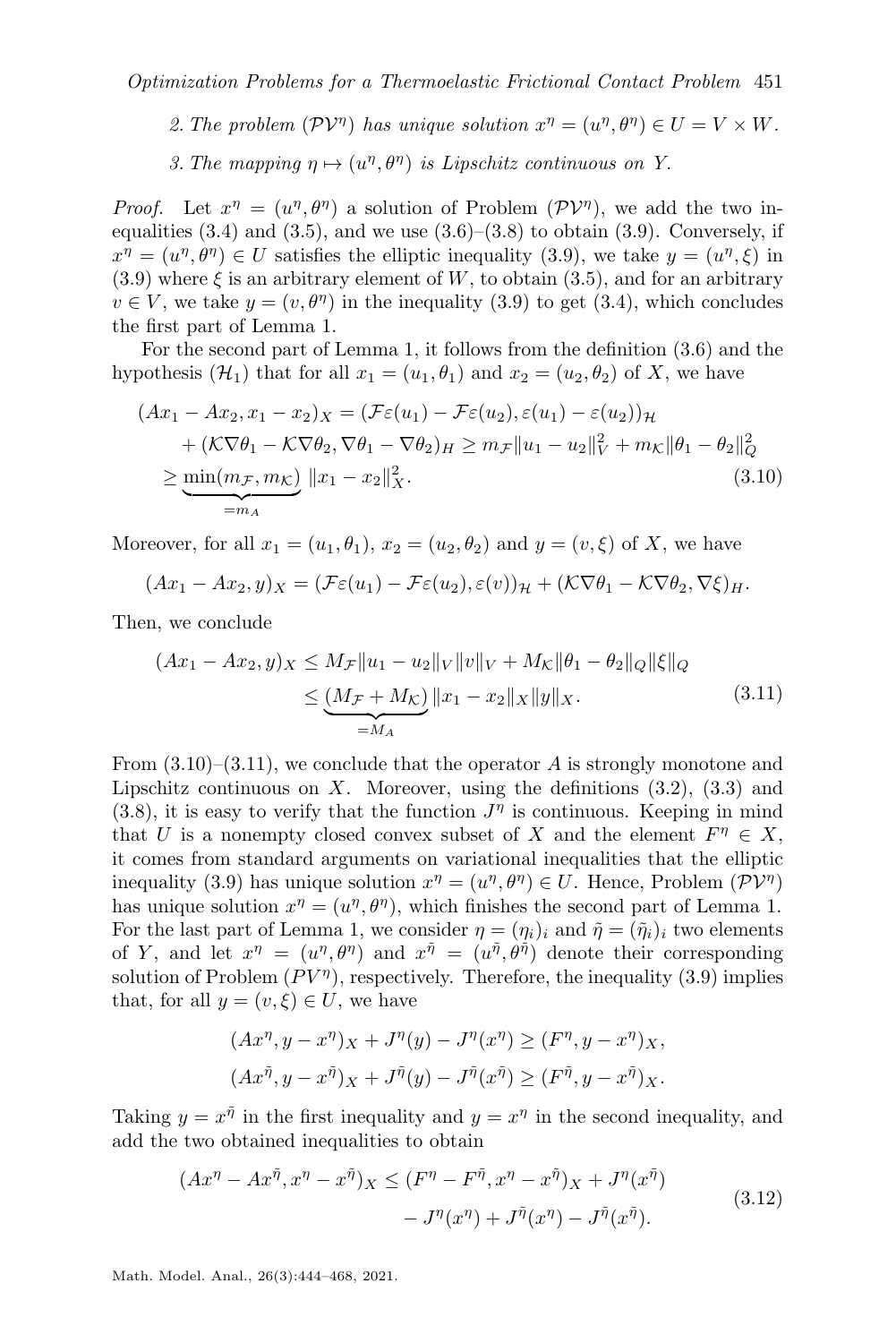2. The problem  $(\mathcal{PV}^{\eta})$  $(\mathcal{PV}^{\eta})$  $(\mathcal{PV}^{\eta})$  has unique solution  $x^{\eta} = (u^{\eta}, \theta^{\eta}) \in U = V \times W$ .

3. The mapping  $\eta \mapsto (u^{\eta}, \theta^{\eta})$  is Lipschitz continuous on Y.

*Proof.* Let  $x^{\eta} = (u^{\eta}, \theta^{\eta})$  a solution of Problem  $(\mathcal{PV}^{\eta})$  $(\mathcal{PV}^{\eta})$  $(\mathcal{PV}^{\eta})$ , we add the two inequalities  $(3.4)$  and  $(3.5)$ , and we use  $(3.6)$ – $(3.8)$  to obtain  $(3.9)$ . Conversely, if  $x^{\eta} = (u^{\eta}, \theta^{\eta}) \in U$  satisfies the elliptic inequality [\(3.9\)](#page-6-5), we take  $y = (u^{\eta}, \xi)$  in [\(3.9\)](#page-6-5) where  $\xi$  is an arbitrary element of W, to obtain [\(3.5\)](#page-6-2), and for an arbitrary  $v \in V$ , we take  $y = (v, \theta^{\eta})$  in the inequality [\(3.9\)](#page-6-5) to get [\(3.4\)](#page-6-1), which concludes the first part of Lemma [1.](#page-6-6)

For the second part of Lemma [1,](#page-6-6) it follows from the definition [\(3.6\)](#page-6-3) and the hypothesis  $(\mathcal{H}_1)$  $(\mathcal{H}_1)$  $(\mathcal{H}_1)$  that for all  $x_1 = (u_1, \theta_1)$  and  $x_2 = (u_2, \theta_2)$  of X, we have

$$
(Ax_1 - Ax_2, x_1 - x_2)_X = (\mathcal{F}\varepsilon(u_1) - \mathcal{F}\varepsilon(u_2), \varepsilon(u_1) - \varepsilon(u_2))_H
$$
  
+ 
$$
(\mathcal{K}\nabla\theta_1 - \mathcal{K}\nabla\theta_2, \nabla\theta_1 - \nabla\theta_2)_H \ge m_{\mathcal{F}} ||u_1 - u_2||_V^2 + m_{\mathcal{K}} ||\theta_1 - \theta_2||_Q^2
$$
  

$$
\ge \underbrace{\min(m_{\mathcal{F}}, m_{\mathcal{K}})}_{=m_A} ||x_1 - x_2||_X^2.
$$
 (3.10)

Moreover, for all  $x_1 = (u_1, \theta_1), x_2 = (u_2, \theta_2)$  and  $y = (v, \xi)$  of X, we have

<span id="page-7-0"></span>
$$
(Ax_1 - Ax_2, y)_X = (\mathcal{F}\varepsilon(u_1) - \mathcal{F}\varepsilon(u_2), \varepsilon(v))_{\mathcal{H}} + (\mathcal{K}\nabla\theta_1 - \mathcal{K}\nabla\theta_2, \nabla\xi)_{H}.
$$

Then, we conclude

<span id="page-7-1"></span>
$$
(Ax_1 - Ax_2, y)_X \le M_{\mathcal{F}} \|u_1 - u_2\|_V \|v\|_V + M_{\mathcal{K}} \|\theta_1 - \theta_2\|_Q \|\xi\|_Q
$$
  
 
$$
\le \underbrace{(M_{\mathcal{F}} + M_{\mathcal{K}})}_{=M_A} \|x_1 - x_2\|_X \|y\|_X.
$$
 (3.11)

From  $(3.10)$ – $(3.11)$ , we conclude that the operator A is strongly monotone and Lipschitz continuous on  $X$ . Moreover, using the definitions  $(3.2)$ ,  $(3.3)$  and [\(3.8\)](#page-6-4), it is easy to verify that the function  $J^{\eta}$  is continuous. Keeping in mind that U is a nonempty closed convex subset of X and the element  $F^{\eta} \in X$ , it comes from standard arguments on variational inequalities that the elliptic inequality [\(3.9\)](#page-6-5) has unique solution  $x^{\eta} = (u^{\eta}, \theta^{\eta}) \in U$ . Hence, Problem  $(\mathcal{PV}^{\eta})$  $(\mathcal{PV}^{\eta})$  $(\mathcal{PV}^{\eta})$ has unique solution  $x^{\eta} = (u^{\eta}, \theta^{\eta})$ , which finishes the second part of Lemma [1.](#page-6-6) For the last part of Lemma [1,](#page-6-6) we consider  $\eta = (\eta_i)_i$  and  $\tilde{\eta} = (\tilde{\eta}_i)_i$  two elements of Y, and let  $x^{\eta} = (u^{\eta}, \theta^{\eta})$  and  $x^{\tilde{\eta}} = (u^{\tilde{\eta}}, \theta^{\tilde{\eta}})$  denote their corresponding solution of Problem  $(PV^{\eta})$ , respectively. Therefore, the inequality [\(3.9\)](#page-6-5) implies that, for all  $y = (v, \xi) \in U$ , we have

<span id="page-7-2"></span>
$$
(Ax^{\eta}, y - x^{\eta})_X + J^{\eta}(y) - J^{\eta}(x^{\eta}) \ge (F^{\eta}, y - x^{\eta})_X,
$$
  

$$
(Ax^{\tilde{\eta}}, y - x^{\tilde{\eta}})_X + J^{\tilde{\eta}}(y) - J^{\tilde{\eta}}(x^{\tilde{\eta}}) \ge (F^{\tilde{\eta}}, y - x^{\tilde{\eta}})_X.
$$

Taking  $y = x^{\tilde{\eta}}$  in the first inequality and  $y = x^{\eta}$  in the second inequality, and add the two obtained inequalities to obtain

$$
(Ax^{\eta} - Ax^{\tilde{\eta}}, x^{\eta} - x^{\tilde{\eta}})_X \le (F^{\eta} - F^{\tilde{\eta}}, x^{\eta} - x^{\tilde{\eta}})_X + J^{\eta}(x^{\tilde{\eta}}) - J^{\eta}(x^{\eta}) + J^{\tilde{\eta}}(x^{\eta}) - J^{\tilde{\eta}}(x^{\tilde{\eta}}).
$$
 (3.12)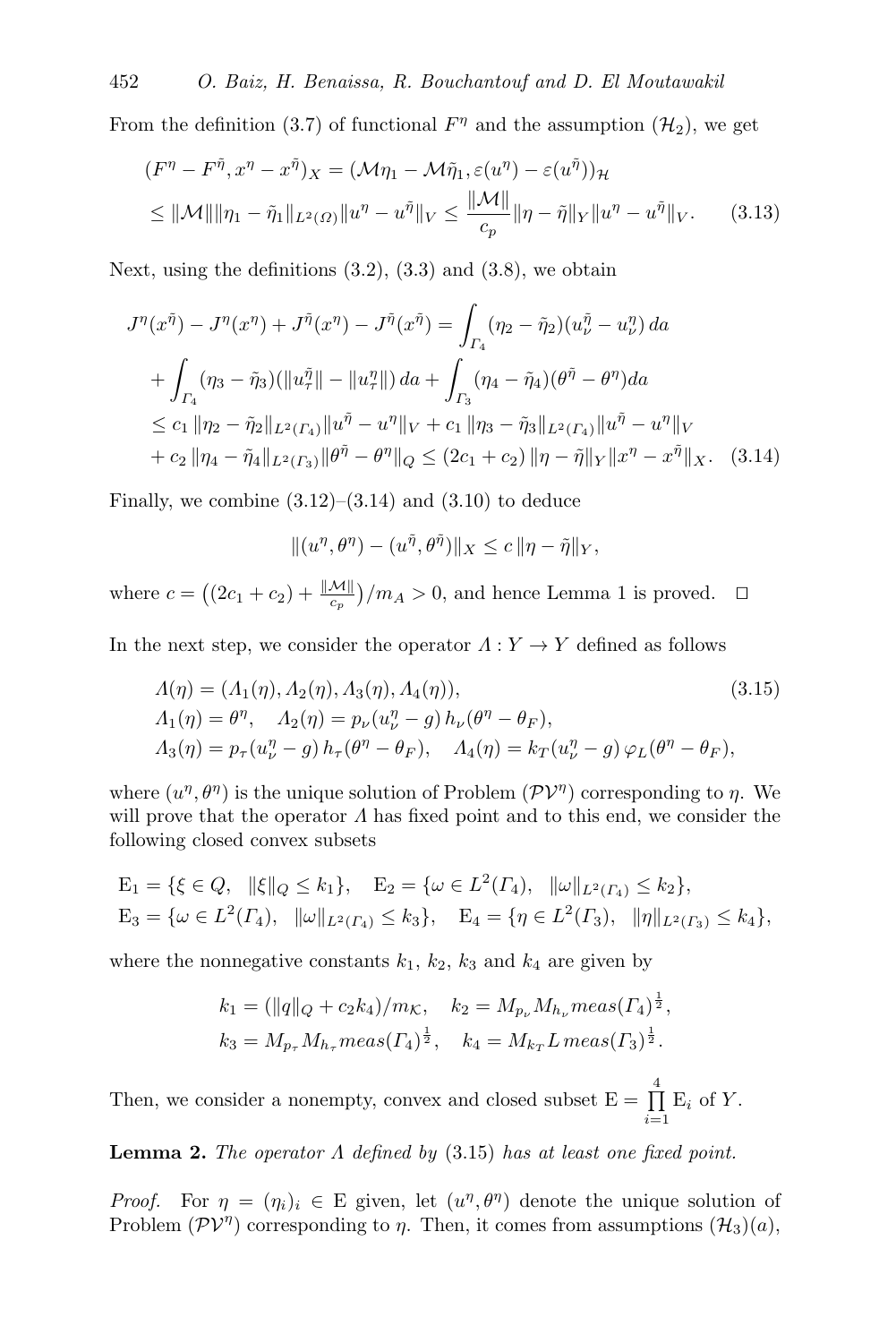From the definition [\(3.7\)](#page-6-9) of functional  $F^{\eta}$  and the assumption ( $\mathcal{H}_2$  $\mathcal{H}_2$  $\mathcal{H}_2$ ), we get

$$
(F^{\eta} - F^{\tilde{\eta}}, x^{\eta} - x^{\tilde{\eta}})_{X} = (\mathcal{M}\eta_{1} - \mathcal{M}\tilde{\eta}_{1}, \varepsilon(u^{\eta}) - \varepsilon(u^{\tilde{\eta}}))_{\mathcal{H}}
$$
  
\n
$$
\leq ||\mathcal{M}|| ||\eta_{1} - \tilde{\eta}_{1}||_{L^{2}(\Omega)} ||u^{\eta} - u^{\tilde{\eta}}||_{V} \leq \frac{||\mathcal{M}||}{c_{p}} ||\eta - \tilde{\eta}||_{Y} ||u^{\eta} - u^{\tilde{\eta}}||_{V}. \qquad (3.13)
$$

Next, using the definitions  $(3.2)$ ,  $(3.3)$  and  $(3.8)$ , we obtain

$$
J^{\eta}(x^{\tilde{\eta}}) - J^{\eta}(x^{\eta}) + J^{\tilde{\eta}}(x^{\eta}) - J^{\tilde{\eta}}(x^{\tilde{\eta}}) = \int_{\Gamma_4} (\eta_2 - \tilde{\eta}_2)(u^{\tilde{\eta}}_\nu - u^{\eta}_\nu) \, da
$$
  
+ 
$$
\int_{\Gamma_4} (\eta_3 - \tilde{\eta}_3)(\|u^{\tilde{\eta}}_\tau\| - \|u^{\eta}_\tau\|) \, da + \int_{\Gamma_3} (\eta_4 - \tilde{\eta}_4)(\theta^{\tilde{\eta}} - \theta^{\eta}) \, da
$$
  

$$
\leq c_1 \|\eta_2 - \tilde{\eta}_2\|_{L^2(\Gamma_4)} \|u^{\tilde{\eta}} - u^{\eta}\|_{V} + c_1 \|\eta_3 - \tilde{\eta}_3\|_{L^2(\Gamma_4)} \|u^{\tilde{\eta}} - u^{\eta}\|_{V}
$$
  
+ 
$$
c_2 \|\eta_4 - \tilde{\eta}_4\|_{L^2(\Gamma_3)} \|\theta^{\tilde{\eta}} - \theta^{\eta}\|_{Q} \leq (2c_1 + c_2) \|\eta - \tilde{\eta}\|_{Y} \|x^{\eta} - x^{\tilde{\eta}}\|_{X}.
$$
 (3.14)

Finally, we combine  $(3.12)$ – $(3.14)$  and  $(3.10)$  to deduce

<span id="page-8-1"></span><span id="page-8-0"></span>
$$
|| (u^{\eta}, \theta^{\eta}) - (u^{\tilde{\eta}}, \theta^{\tilde{\eta}})||_X \leq c ||\eta - \tilde{\eta}||_Y,
$$

where  $c = ((2c_1 + c_2) + \frac{\|\mathcal{M}\|}{c_p})/m_A > 0$  $c = ((2c_1 + c_2) + \frac{\|\mathcal{M}\|}{c_p})/m_A > 0$  $c = ((2c_1 + c_2) + \frac{\|\mathcal{M}\|}{c_p})/m_A > 0$ , and hence Lemma 1 is proved.  $\Box$ 

In the next step, we consider the operator  $\Lambda: Y \to Y$  defined as follows

$$
\Lambda(\eta) = (A_1(\eta), A_2(\eta), A_3(\eta), A_4(\eta)),
$$
\n
$$
A_1(\eta) = \theta^{\eta}, \quad A_2(\eta) = p_{\nu}(u_{\nu}^{\eta} - g) h_{\nu}(\theta^{\eta} - \theta_F),
$$
\n
$$
A_3(\eta) = p_{\tau}(u_{\nu}^{\eta} - g) h_{\tau}(\theta^{\eta} - \theta_F), \quad A_4(\eta) = k_T(u_{\nu}^{\eta} - g) \varphi_L(\theta^{\eta} - \theta_F),
$$
\n(3.15)

where  $(u^{\eta}, \theta^{\eta})$  is the unique solution of Problem  $(\mathcal{PV}^{\eta})$  $(\mathcal{PV}^{\eta})$  $(\mathcal{PV}^{\eta})$  corresponding to  $\eta$ . We will prove that the operator  $\Lambda$  has fixed point and to this end, we consider the following closed convex subsets

$$
E_1 = \{ \xi \in Q, \|\xi\|_Q \le k_1 \}, \quad E_2 = \{ \omega \in L^2(\Gamma_4), \|\omega\|_{L^2(\Gamma_4)} \le k_2 \},
$$
  
\n
$$
E_3 = \{ \omega \in L^2(\Gamma_4), \|\omega\|_{L^2(\Gamma_4)} \le k_3 \}, \quad E_4 = \{ \eta \in L^2(\Gamma_3), \|\eta\|_{L^2(\Gamma_3)} \le k_4 \},
$$

where the nonnegative constants  $k_1$ ,  $k_2$ ,  $k_3$  and  $k_4$  are given by

$$
k_1 = (\|q\|_Q + c_2 k_4) / m_K, \quad k_2 = M_{p_{\nu}} M_{h_{\nu}} meas(\Gamma_4)^{\frac{1}{2}},
$$
  

$$
k_3 = M_{p_{\tau}} M_{h_{\tau}} meas(\Gamma_4)^{\frac{1}{2}}, \quad k_4 = M_{k_T} L \, meas(\Gamma_3)^{\frac{1}{2}}.
$$

Then, we consider a nonempty, convex and closed subset  $E = \prod_{n=1}^{4}$  $\prod_{i=1}$  E<sub>i</sub> of Y.

**Lemma 2.** The operator  $\Lambda$  defined by  $(3.15)$  has at least one fixed point.

*Proof.* For  $\eta = (\eta_i)_i \in E$  given, let  $(u^{\eta}, \theta^{\eta})$  denote the unique solution of Problem  $(\mathcal{PV}^{\eta})$  $(\mathcal{PV}^{\eta})$  $(\mathcal{PV}^{\eta})$  corresponding to  $\eta$ . Then, it comes from assumptions  $(\mathcal{H}_3)(a)$  $(\mathcal{H}_3)(a)$  $(\mathcal{H}_3)(a)$ ,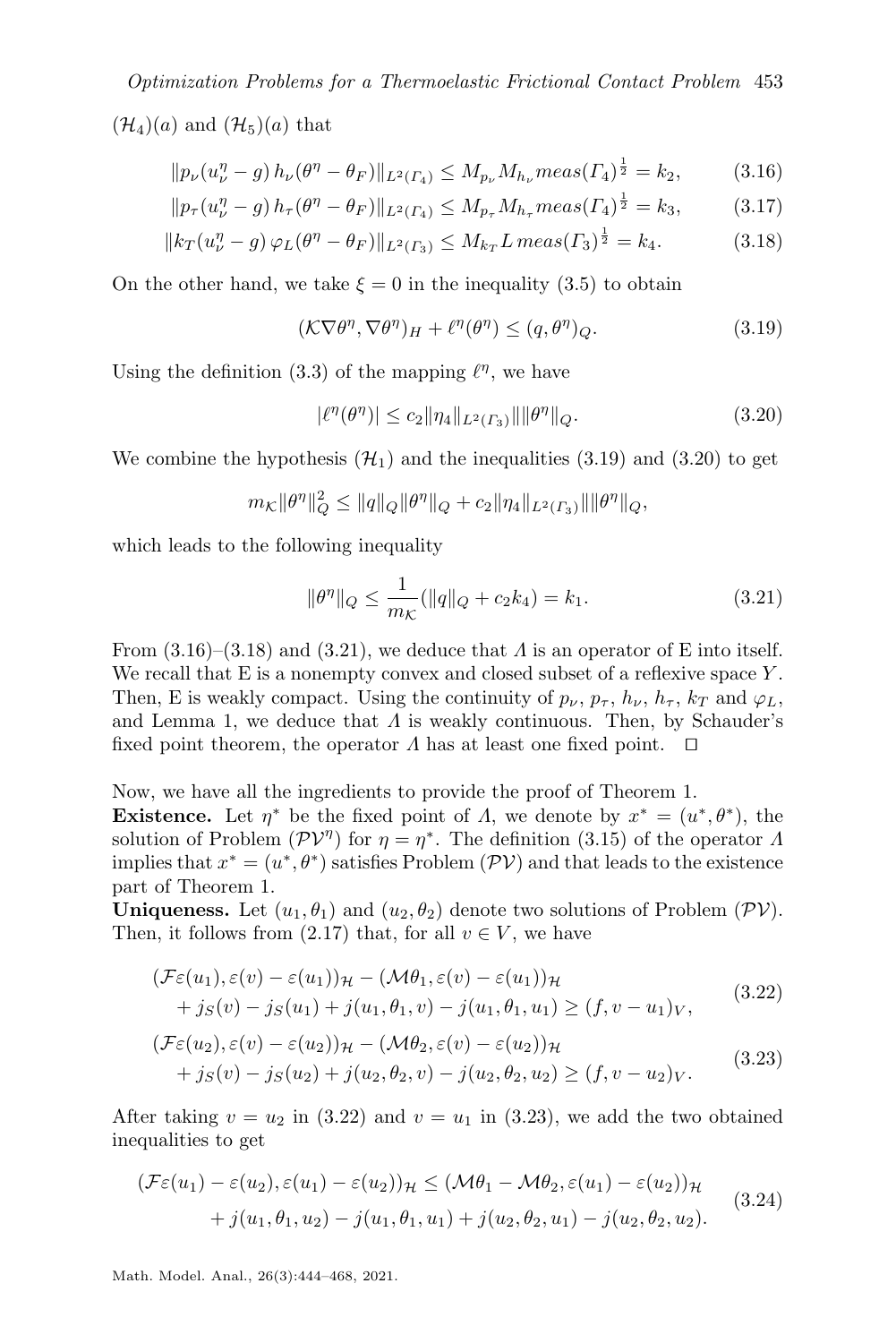Optimization Problems for a Thermoelastic Frictional Contact Problem 453  $(\mathcal{H}_4)(a)$  $(\mathcal{H}_4)(a)$  $(\mathcal{H}_4)(a)$  and  $(\mathcal{H}_5)(a)$  that

$$
||p_{\nu}(u_{\nu}^{\eta} - g) h_{\nu}(\theta^{\eta} - \theta_F)||_{L^2(\Gamma_4)} \le M_{p_{\nu}} M_{h_{\nu}} meas(\Gamma_4)^{\frac{1}{2}} = k_2,
$$
 (3.16)

$$
||p_{\tau}(u_{\nu}^{\eta} - g) h_{\tau}(\theta^{\eta} - \theta_F)||_{L^2(\Gamma_4)} \le M_{p_{\tau}} M_{h_{\tau}} meas(\Gamma_4)^{\frac{1}{2}} = k_3,
$$
 (3.17)

$$
||k_T(u_{\nu}^{\eta} - g) \varphi_L(\theta^{\eta} - \theta_F)||_{L^2(\Gamma_3)} \le M_{k_T} L \, meas(\Gamma_3)^{\frac{1}{2}} = k_4. \tag{3.18}
$$

On the other hand, we take  $\xi = 0$  in the inequality [\(3.5\)](#page-6-2) to obtain

<span id="page-9-3"></span><span id="page-9-2"></span>
$$
(\mathcal{K}\nabla\theta^{\eta}, \nabla\theta^{\eta})_H + \ell^{\eta}(\theta^{\eta}) \le (q, \theta^{\eta})_Q. \tag{3.19}
$$

Using the definition [\(3.3\)](#page-6-8) of the mapping  $\ell^{\eta}$ , we have

<span id="page-9-1"></span><span id="page-9-0"></span>
$$
|\ell^{\eta}(\theta^{\eta})| \le c_2 \|\eta_4\|_{L^2(\Gamma_3)} \|\|\theta^{\eta}\|_{Q}.
$$
\n(3.20)

We combine the hypothesis  $(\mathcal{H}_1)$  $(\mathcal{H}_1)$  $(\mathcal{H}_1)$  and the inequalities  $(3.19)$  and  $(3.20)$  to get

$$
m_{\mathcal{K}} \|\theta^{\eta}\|_{Q}^2 \leq \|q\|_{Q} \|\theta^{\eta}\|_{Q} + c_2 \|\eta_4\|_{L^2(\Gamma_3)} \|\|\theta^{\eta}\|_{Q},
$$

which leads to the following inequality

<span id="page-9-5"></span><span id="page-9-4"></span>
$$
\|\theta^{\eta}\|_{Q} \le \frac{1}{m_{\mathcal{K}}} (\|q\|_{Q} + c_{2}k_{4}) = k_{1}.
$$
 (3.21)

From  $(3.16)$ – $(3.18)$  and  $(3.21)$ , we deduce that  $\Lambda$  is an operator of E into itself. We recall that  $E$  is a nonempty convex and closed subset of a reflexive space  $Y$ . Then, E is weakly compact. Using the continuity of  $p_{\nu}$ ,  $p_{\tau}$ ,  $h_{\nu}$ ,  $h_{\tau}$ ,  $k_T$  and  $\varphi_L$ , and Lemma [1,](#page-6-6) we deduce that  $\Lambda$  is weakly continuous. Then, by Schauder's fixed point theorem, the operator  $\Lambda$  has at least one fixed point.  $\square$ 

Now, we have all the ingredients to provide the proof of Theorem [1.](#page-5-1) **Existence.** Let  $\eta^*$  be the fixed point of  $\Lambda$ , we denote by  $x^* = (u^*, \theta^*)$ , the solution of Problem  $(\mathcal{PV}^{\eta})$  $(\mathcal{PV}^{\eta})$  $(\mathcal{PV}^{\eta})$  for  $\eta = \eta^*$ . The definition [\(3.15\)](#page-8-1) of the operator  $\Lambda$ implies that  $x^* = (u^*, \theta^*)$  satisfies Problem  $(\mathcal{PV})$  $(\mathcal{PV})$  $(\mathcal{PV})$  and that leads to the existence part of Theorem [1.](#page-5-1)

**Uniqueness.** Let  $(u_1, \theta_1)$  and  $(u_2, \theta_2)$  denote two solutions of Problem  $(\mathcal{PV})$  $(\mathcal{PV})$  $(\mathcal{PV})$ . Then, it follows from [\(2.17\)](#page-5-4) that, for all  $v \in V$ , we have

$$
(\mathcal{F}\varepsilon(u_1), \varepsilon(v) - \varepsilon(u_1))\mathcal{H} - (\mathcal{M}\theta_1, \varepsilon(v) - \varepsilon(u_1))\mathcal{H}
$$
  
+  $j_S(v) - j_S(u_1) + j(u_1, \theta_1, v) - j(u_1, \theta_1, u_1) \ge (f, v - u_1)_V,$  (3.22)

<span id="page-9-6"></span>
$$
(\mathcal{F}\varepsilon(u_2), \varepsilon(v) - \varepsilon(u_2))\mathcal{H} - (\mathcal{M}\theta_2, \varepsilon(v) - \varepsilon(u_2))\mathcal{H}
$$
  
+  $j_S(v) - j_S(u_2) + j(u_2, \theta_2, v) - j(u_2, \theta_2, u_2) \ge (f, v - u_2)v.$  (3.23)

After taking  $v = u_2$  in [\(3.22\)](#page-9-5) and  $v = u_1$  in [\(3.23\)](#page-9-6), we add the two obtained inequalities to get

<span id="page-9-7"></span>
$$
(\mathcal{F}\varepsilon(u_1) - \varepsilon(u_2), \varepsilon(u_1) - \varepsilon(u_2))\mathcal{H} \leq (\mathcal{M}\theta_1 - \mathcal{M}\theta_2, \varepsilon(u_1) - \varepsilon(u_2))\mathcal{H}
$$
  
+  $j(u_1, \theta_1, u_2) - j(u_1, \theta_1, u_1) + j(u_2, \theta_2, u_1) - j(u_2, \theta_2, u_2).$  (3.24)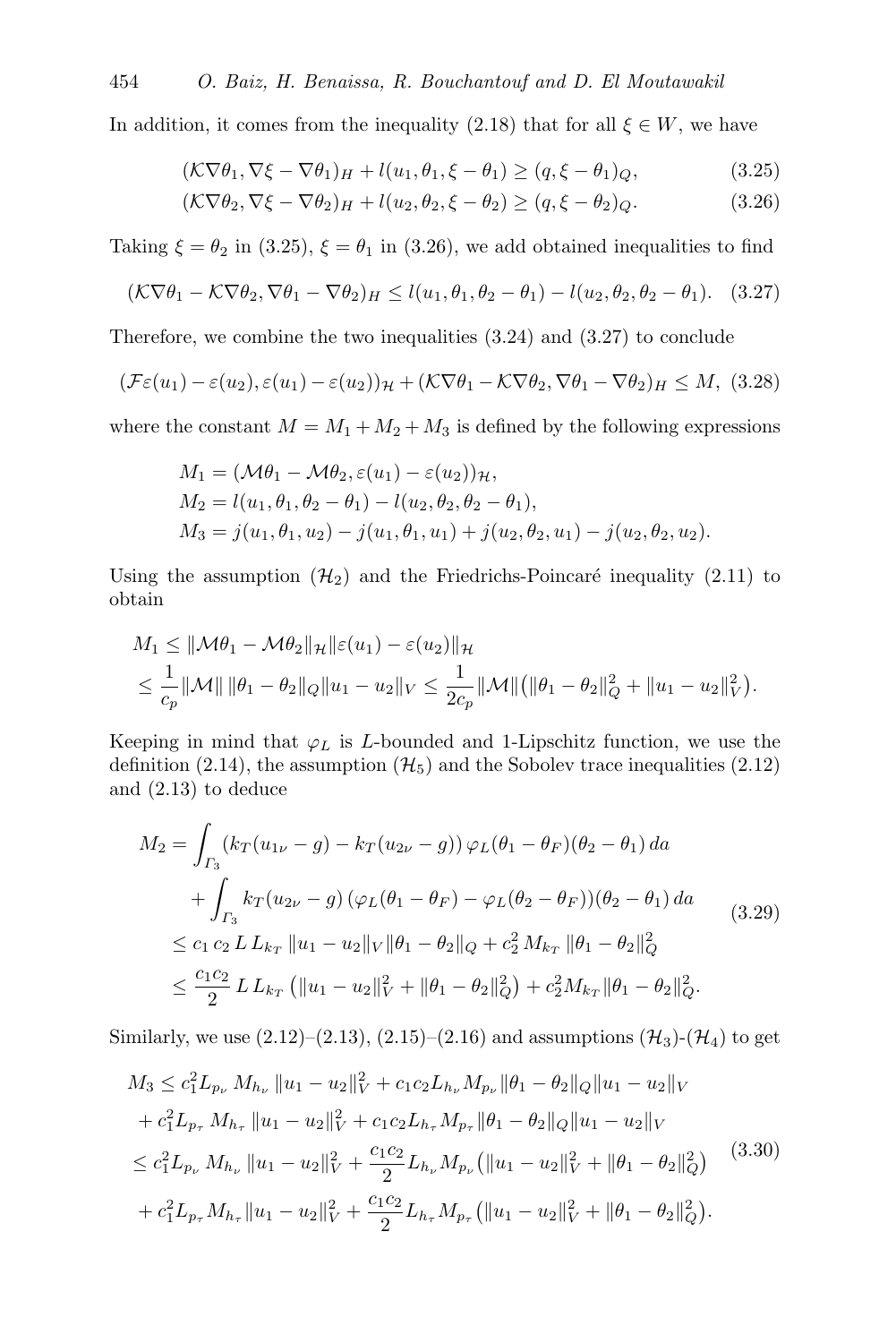In addition, it comes from the inequality [\(2.18\)](#page-5-5) that for all  $\xi \in W$ , we have

<span id="page-10-0"></span>
$$
(\mathcal{K}\nabla\theta_1, \nabla\xi - \nabla\theta_1)_H + l(u_1, \theta_1, \xi - \theta_1) \ge (q, \xi - \theta_1)_Q, \tag{3.25}
$$

<span id="page-10-3"></span><span id="page-10-2"></span><span id="page-10-1"></span>
$$
(\mathcal{K}\nabla\theta_2, \nabla\xi - \nabla\theta_2)_H + l(u_2, \theta_2, \xi - \theta_2) \ge (q, \xi - \theta_2)_Q. \tag{3.26}
$$

Taking  $\xi = \theta_2$  in [\(3.25\)](#page-10-0),  $\xi = \theta_1$  in [\(3.26\)](#page-10-1), we add obtained inequalities to find

$$
(\mathcal{K}\nabla\theta_1 - \mathcal{K}\nabla\theta_2, \nabla\theta_1 - \nabla\theta_2)_{H} \le l(u_1, \theta_1, \theta_2 - \theta_1) - l(u_2, \theta_2, \theta_2 - \theta_1). \tag{3.27}
$$

Therefore, we combine the two inequalities [\(3.24\)](#page-9-7) and [\(3.27\)](#page-10-2) to conclude

$$
(\mathcal{F}\varepsilon(u_1)-\varepsilon(u_2), \varepsilon(u_1)-\varepsilon(u_2))_{\mathcal{H}}+(\mathcal{K}\nabla\theta_1-\mathcal{K}\nabla\theta_2,\nabla\theta_1-\nabla\theta_2)_{H}\leq M, (3.28)
$$

where the constant  $M = M_1 + M_2 + M_3$  is defined by the following expressions

$$
M_1 = (\mathcal{M}\theta_1 - \mathcal{M}\theta_2, \varepsilon(u_1) - \varepsilon(u_2))_{\mathcal{H}},
$$
  
\n
$$
M_2 = l(u_1, \theta_1, \theta_2 - \theta_1) - l(u_2, \theta_2, \theta_2 - \theta_1),
$$
  
\n
$$
M_3 = j(u_1, \theta_1, u_2) - j(u_1, \theta_1, u_1) + j(u_2, \theta_2, u_1) - j(u_2, \theta_2, u_2).
$$

Using the assumption  $(\mathcal{H}_2)$  $(\mathcal{H}_2)$  $(\mathcal{H}_2)$  and the Friedrichs-Poincaré inequality [\(2.11\)](#page-3-0) to obtain

$$
M_1 \leq ||\mathcal{M}\theta_1 - \mathcal{M}\theta_2||_{\mathcal{H}}||\varepsilon(u_1) - \varepsilon(u_2)||_{\mathcal{H}}
$$
  

$$
\leq \frac{1}{c_p}||\mathcal{M}|| \, ||\theta_1 - \theta_2||_Q ||u_1 - u_2||_V \leq \frac{1}{2c_p}||\mathcal{M}|| \big(||\theta_1 - \theta_2||_Q^2 + ||u_1 - u_2||_V^2 \big).
$$

Keeping in mind that  $\varphi_L$  is L-bounded and 1-Lipschitz function, we use the definition [\(2.14\)](#page-5-6), the assumption ( $\mathcal{H}_5$  $\mathcal{H}_5$  $\mathcal{H}_5$ ) and the Sobolev trace inequalities [\(2.12\)](#page-4-5) and [\(2.13\)](#page-4-6) to deduce

<span id="page-10-5"></span>
$$
M_2 = \int_{\Gamma_3} (k_T (u_{1\nu} - g) - k_T (u_{2\nu} - g)) \varphi_L(\theta_1 - \theta_F)(\theta_2 - \theta_1) da
$$
  
+ 
$$
\int_{\Gamma_3} k_T (u_{2\nu} - g) (\varphi_L(\theta_1 - \theta_F) - \varphi_L(\theta_2 - \theta_F)) (\theta_2 - \theta_1) da
$$
  

$$
\leq c_1 c_2 L L_{k_T} ||u_1 - u_2||_V ||\theta_1 - \theta_2||_Q + c_2^2 M_{k_T} ||\theta_1 - \theta_2||_Q^2
$$
  

$$
\leq \frac{c_1 c_2}{2} L L_{k_T} (||u_1 - u_2||_V^2 + ||\theta_1 - \theta_2||_Q^2) + c_2^2 M_{k_T} ||\theta_1 - \theta_2||_Q^2.
$$
 (3.29)

Similarly, we use  $(2.12)$ – $(2.13)$ ,  $(2.15)$ – $(2.16)$  and assumptions  $(\mathcal{H}_3)$  $(\mathcal{H}_3)$  $(\mathcal{H}_3)$ - $(\mathcal{H}_4)$  to get

<span id="page-10-4"></span>
$$
M_3 \leq c_1^2 L_{p_\nu} M_{h_\nu} \|u_1 - u_2\|_V^2 + c_1 c_2 L_{h_\nu} M_{p_\nu} \|\theta_1 - \theta_2\|_Q \|u_1 - u_2\|_V
$$
  
+  $c_1^2 L_{p_\tau} M_{h_\tau} \|u_1 - u_2\|_V^2 + c_1 c_2 L_{h_\tau} M_{p_\tau} \|\theta_1 - \theta_2\|_Q \|u_1 - u_2\|_V$   
 $\leq c_1^2 L_{p_\nu} M_{h_\nu} \|u_1 - u_2\|_V^2 + \frac{c_1 c_2}{2} L_{h_\nu} M_{p_\nu} (\|u_1 - u_2\|_V^2 + \|\theta_1 - \theta_2\|_Q^2)$   
+  $c_1^2 L_{p_\tau} M_{h_\tau} \|u_1 - u_2\|_V^2 + \frac{c_1 c_2}{2} L_{h_\tau} M_{p_\tau} (\|u_1 - u_2\|_V^2 + \|\theta_1 - \theta_2\|_Q^2).$  (3.30)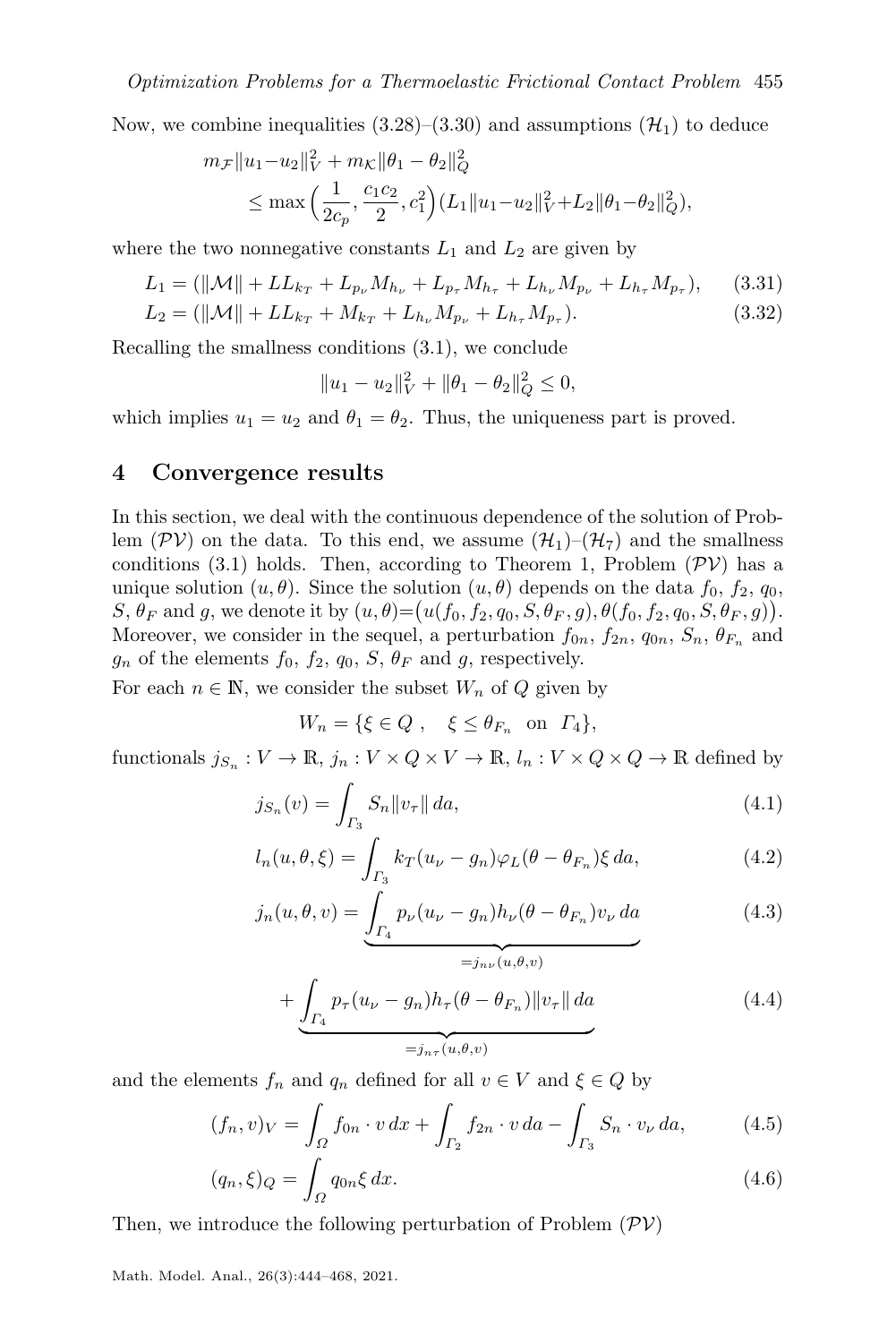Now, we combine inequalities  $(3.28)$ – $(3.30)$  and assumptions  $(\mathcal{H}_1)$  $(\mathcal{H}_1)$  $(\mathcal{H}_1)$  to deduce

$$
m_{\mathcal{F}} \|u_1 - u_2\|_{V}^2 + m_{\mathcal{K}} \|\theta_1 - \theta_2\|_{Q}^2
$$
  
\$\leq\$ max  $\left(\frac{1}{2c_p}, \frac{c_1c_2}{2}, c_1^2\right) (L_1 \|u_1 - u_2\|_{V}^2 + L_2 \|\theta_1 - \theta_2\|_{Q}^2),$$ 

where the two nonnegative constants  $L_1$  and  $L_2$  are given by

$$
L_1 = (\|\mathcal{M}\| + LL_{k_T} + L_{p_{\nu}} M_{h_{\nu}} + L_{p_{\tau}} M_{h_{\tau}} + L_{h_{\nu}} M_{p_{\nu}} + L_{h_{\tau}} M_{p_{\tau}}), \quad (3.31)
$$

$$
L_2 = (\|\mathcal{M}\| + LL_{k_T} + M_{k_T} + L_{h_{\nu}} M_{p_{\nu}} + L_{h_{\tau}} M_{p_{\tau}}). \tag{3.32}
$$

Recalling the smallness conditions [\(3.1\)](#page-6-10), we conclude

$$
||u_1 - u_2||_V^2 + ||\theta_1 - \theta_2||_Q^2 \le 0,
$$

which implies  $u_1 = u_2$  and  $\theta_1 = \theta_2$ . Thus, the uniqueness part is proved.

#### <span id="page-11-0"></span>4 Convergence results

In this section, we deal with the continuous dependence of the solution of Problem ( $PV$ ) on the data. To this end, we assume  $(\mathcal{H}_1)$  $(\mathcal{H}_1)$  $(\mathcal{H}_1)$ – $(\mathcal{H}_7)$  and the smallness conditions [\(3.1\)](#page-6-10) holds. Then, according to Theorem [1,](#page-5-1) Problem  $(\mathcal{PV})$  $(\mathcal{PV})$  $(\mathcal{PV})$  has a unique solution  $(u, \theta)$ . Since the solution  $(u, \theta)$  depends on the data  $f_0, f_2, q_0$ ,  $S, \theta_F$  and g, we denote it by  $(u, \theta) = (u(f_0, f_2, q_0, S, \theta_F, g), \theta(f_0, f_2, q_0, S, \theta_F, g)).$ Moreover, we consider in the sequel, a perturbation  $f_{0n}$ ,  $f_{2n}$ ,  $q_{0n}$ ,  $S_n$ ,  $\theta_{F_n}$  and  $g_n$  of the elements  $f_0, f_2, q_0, S, \theta_F$  and g, respectively.

For each  $n \in \mathbb{N}$ , we consider the subset  $W_n$  of Q given by

<span id="page-11-4"></span><span id="page-11-3"></span>
$$
W_n = \{ \xi \in Q \; , \quad \xi \le \theta_{F_n} \quad \text{on} \quad \Gamma_4 \},
$$

functionals  $j_{S_n}: V \to \mathbb{R}, j_n: V \times Q \times V \to \mathbb{R}, l_n: V \times Q \times Q \to \mathbb{R}$  defined by

$$
j_{S_n}(v) = \int_{\Gamma_3} S_n \|v_\tau\| \, da,\tag{4.1}
$$

$$
l_n(u, \theta, \xi) = \int_{\Gamma_3} k_T(u_\nu - g_n) \varphi_L(\theta - \theta_{F_n}) \xi \, da,\tag{4.2}
$$

$$
j_n(u, \theta, v) = \underbrace{\int_{\Gamma_4} p_\nu(u_\nu - g_n) h_\nu(\theta - \theta_{F_n}) v_\nu \, da}_{=j_{n\nu}(u, \theta, v)}
$$
(4.3)

<span id="page-11-5"></span><span id="page-11-2"></span><span id="page-11-1"></span>
$$
+\underbrace{\int_{\Gamma_4} p_{\tau}(u_{\nu}-g_n)h_{\tau}(\theta-\theta_{F_n})\|v_{\tau}\| \, da}_{=j_{n\tau}(u,\theta,v)}\tag{4.4}
$$

and the elements  $f_n$  and  $q_n$  defined for all  $v \in V$  and  $\xi \in Q$  by

$$
(f_n, v)_V = \int_{\Omega} f_{0n} \cdot v \, dx + \int_{\Gamma_2} f_{2n} \cdot v \, da - \int_{\Gamma_3} S_n \cdot v_{\nu} \, da,\tag{4.5}
$$

$$
(q_n, \xi)_Q = \int_{\Omega} q_{0n} \xi \, dx. \tag{4.6}
$$

Then, we introduce the following perturbation of Problem  $(\mathcal{PV})$  $(\mathcal{PV})$  $(\mathcal{PV})$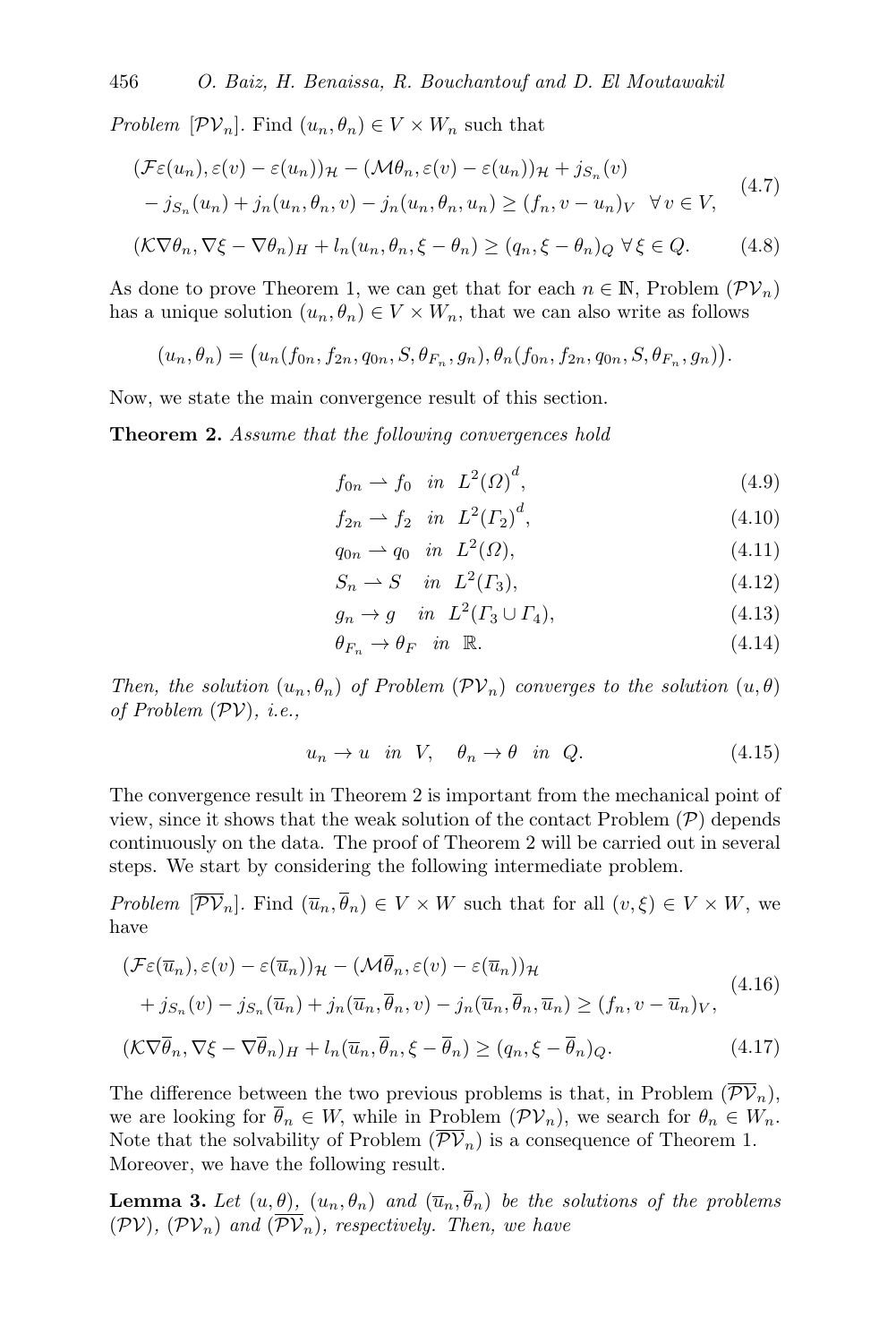*Problem*  $[\mathcal{PV}_n]$ . Find  $(u_n, \theta_n) \in V \times W_n$  such that

<span id="page-12-1"></span>
$$
(\mathcal{F}\varepsilon(u_n), \varepsilon(v) - \varepsilon(u_n))\mathcal{H} - (\mathcal{M}\theta_n, \varepsilon(v) - \varepsilon(u_n))\mathcal{H} + j_{S_n}(v)
$$
  

$$
- j_{S_n}(u_n) + j_n(u_n, \theta_n, v) - j_n(u_n, \theta_n, u_n) \ge (f_n, v - u_n)_V \quad \forall v \in V,
$$
 (4.7)

$$
(\mathcal{K}\nabla\theta_n, \nabla\xi - \nabla\theta_n)_H + l_n(u_n, \theta_n, \xi - \theta_n) \ge (q_n, \xi - \theta_n)_Q \,\forall \xi \in Q. \tag{4.8}
$$

As done to prove Theorem [1,](#page-5-1) we can get that for each  $n \in \mathbb{N}$ , Problem  $(\mathcal{PV}_n)$  $(\mathcal{PV}_n)$  $(\mathcal{PV}_n)$ has a unique solution  $(u_n, \theta_n) \in V \times W_n$ , that we can also write as follows

$$
(u_n, \theta_n) = (u_n(f_{0n}, f_{2n}, q_{0n}, S, \theta_{F_n}, g_n), \theta_n(f_{0n}, f_{2n}, q_{0n}, S, \theta_{F_n}, g_n)).
$$

Now, we state the main convergence result of this section.

**Theorem 2.** Assume that the following convergences hold

<span id="page-12-5"></span><span id="page-12-4"></span><span id="page-12-3"></span><span id="page-12-0"></span>
$$
f_{0n} \rightharpoonup f_0 \quad in \quad L^2(\Omega)^d,\tag{4.9}
$$

<span id="page-12-6"></span>
$$
f_{2n} \rightharpoonup f_2 \quad in \quad L^2(\Gamma_2)^d,\tag{4.10}
$$

<span id="page-12-8"></span><span id="page-12-7"></span>
$$
q_{0n} \rightharpoonup q_0 \quad in \quad L^2(\Omega),\tag{4.11}
$$

$$
S_n \rightharpoonup S \quad in \quad L^2(\Gamma_3),\tag{4.12}
$$

$$
g_n \to g \quad in \quad L^2(\Gamma_3 \cup \Gamma_4), \tag{4.13}
$$

<span id="page-12-12"></span>
$$
\theta_{F_n} \to \theta_F \quad \text{in} \quad \mathbb{R}.\tag{4.14}
$$

Then, the solution  $(u_n, \theta_n)$  of Problem  $(\mathcal{PV}_n)$  $(\mathcal{PV}_n)$  $(\mathcal{PV}_n)$  converges to the solution  $(u, \theta)$ of Problem  $(\mathcal{PV})$  $(\mathcal{PV})$  $(\mathcal{PV})$ , *i.e.*,

<span id="page-12-13"></span><span id="page-12-11"></span><span id="page-12-10"></span>
$$
u_n \to u \quad \text{in} \quad V, \quad \theta_n \to \theta \quad \text{in} \quad Q. \tag{4.15}
$$

The convergence result in Theorem [2](#page-12-0) is important from the mechanical point of view, since it shows that the weak solution of the contact [P](#page-2-8)roblem  $(\mathcal{P})$  depends continuously on the data. The proof of Theorem [2](#page-12-0) will be carried out in several steps. We start by considering the following intermediate problem.

Problem  $[\overline{\mathcal{PV}}_n]$ . Find  $(\overline{u}_n, \overline{\theta}_n) \in V \times W$  such that for all  $(v, \xi) \in V \times W$ , we have

<span id="page-12-2"></span>
$$
(\mathcal{F}\varepsilon(\overline{u}_n), \varepsilon(v) - \varepsilon(\overline{u}_n))_{\mathcal{H}} - (\mathcal{M}\overline{\theta}_n, \varepsilon(v) - \varepsilon(\overline{u}_n))_{\mathcal{H}}
$$
  
+  $j_{S_n}(v) - j_{S_n}(\overline{u}_n) + j_n(\overline{u}_n, \overline{\theta}_n, v) - j_n(\overline{u}_n, \overline{\theta}_n, \overline{u}_n) \ge (f_n, v - \overline{u}_n)_V,$   

$$
(\mathcal{K}\nabla\overline{\theta}_n, \nabla\xi - \nabla\overline{\theta}_n)_H + l_n(\overline{u}_n, \overline{\theta}_n, \xi - \overline{\theta}_n) \ge (q_n, \xi - \overline{\theta}_n)_Q.
$$
 (4.17)

The difference between the two previous problems is that, in Problem  $(\overline{\mathcal{PV}}_n)$  $(\overline{\mathcal{PV}}_n)$  $(\overline{\mathcal{PV}}_n)$ , we are looking for  $\overline{\theta}_n \in W$ , while in Problem  $(\mathcal{PV}_n)$  $(\mathcal{PV}_n)$  $(\mathcal{PV}_n)$ , we search for  $\theta_n \in W_n$ . Note that the solvability of Problem  $(\overline{\mathcal{PV}}_n)$  $(\overline{\mathcal{PV}}_n)$  $(\overline{\mathcal{PV}}_n)$  is a consequence of Theorem [1.](#page-5-1) Moreover, we have the following result.

<span id="page-12-9"></span>**Lemma 3.** Let  $(u, \theta)$ ,  $(u_n, \theta_n)$  and  $(\overline{u}_n, \overline{\theta}_n)$  be the solutions of the problems  $(\mathcal{PV}, \mathcal{PV}_n)$  $(\mathcal{PV}, \mathcal{PV}_n)$  $(\mathcal{PV}, \mathcal{PV}_n)$  and  $(\overline{\mathcal{PV}}_n)$ , respectively. Then, we have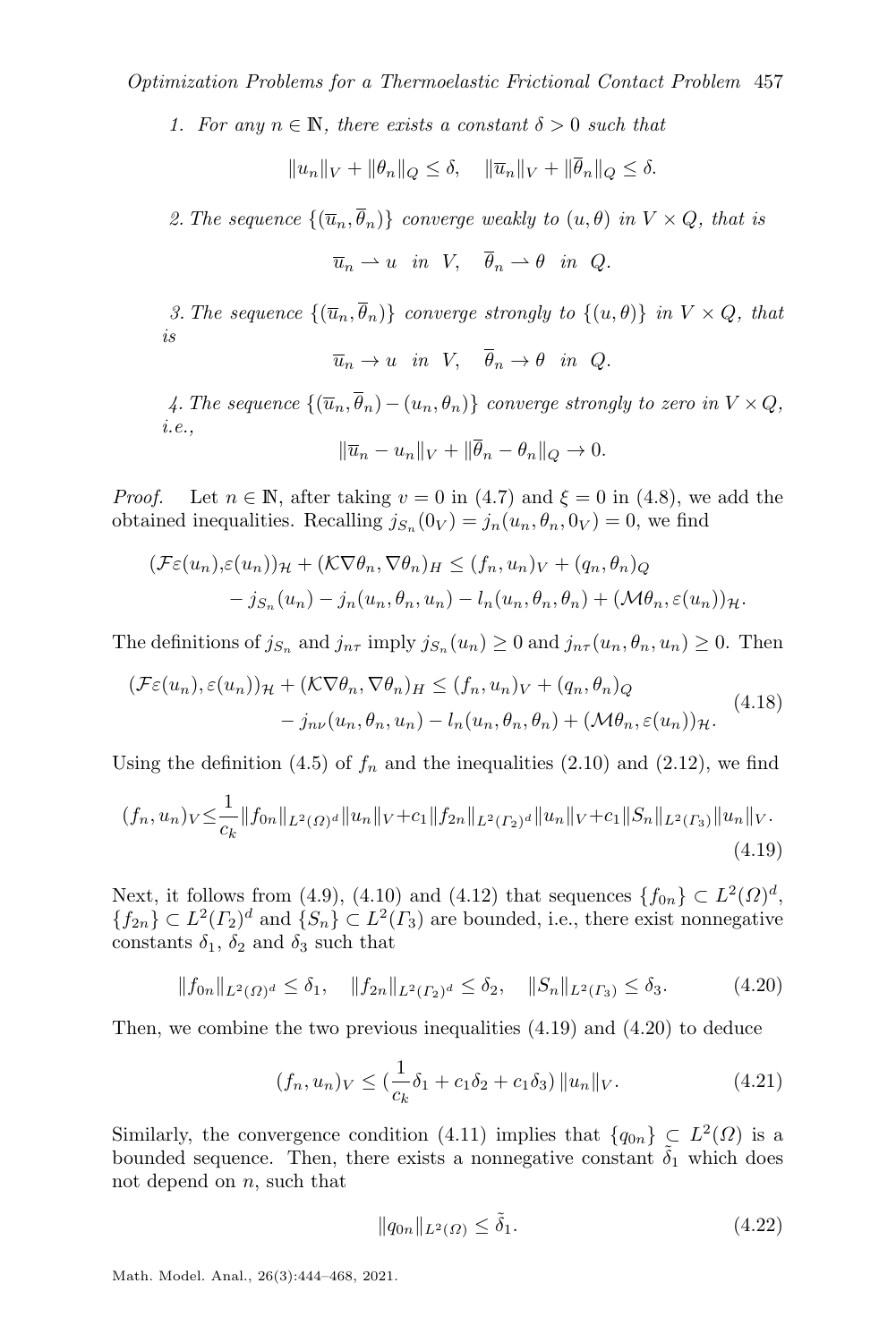1. For any  $n \in \mathbb{N}$ , there exists a constant  $\delta > 0$  such that

$$
||u_n||_V + ||\theta_n||_Q \le \delta, \quad ||\overline{u}_n||_V + ||\overline{\theta}_n||_Q \le \delta.
$$

2. The sequence  $\{(\overline{u}_n, \overline{\theta}_n)\}$  converge weakly to  $(u, \theta)$  in  $V \times Q$ , that is

 $\overline{u}_n \rightharpoonup u$  in  $V$ ,  $\overline{\theta}_n \rightharpoonup \theta$  in  $\Omega$ .

3. The sequence  $\{(\overline{u}_n, \overline{\theta}_n)\}$  converge strongly to  $\{(u, \theta)\}\$ in  $V \times Q$ , that is

$$
\overline{u}_n \to u \quad \text{in} \quad V, \quad \theta_n \to \theta \quad \text{in} \quad Q.
$$

4. The sequence  $\{(\overline{u}_n, \overline{\theta}_n) - (u_n, \theta_n)\}$  converge strongly to zero in  $V \times Q$ , i.e.,

<span id="page-13-2"></span>
$$
\|\overline{u}_n - u_n\|_V + \|\overline{\theta}_n - \theta_n\|_Q \to 0.
$$

*Proof.* Let  $n \in \mathbb{N}$ , after taking  $v = 0$  in [\(4.7\)](#page-12-3) and  $\xi = 0$  in [\(4.8\)](#page-12-4), we add the obtained inequalities. Recalling  $j_{S_n}(0_V) = j_n(u_n, \theta_n, 0_V) = 0$ , we find

$$
\begin{aligned} (\mathcal{F}\varepsilon(u_n), \varepsilon(u_n))_{\mathcal{H}} + (\mathcal{K}\nabla\theta_n, \nabla\theta_n)_H &\leq (f_n, u_n)_V + (q_n, \theta_n)_Q \\ &- j_{S_n}(u_n) - j_n(u_n, \theta_n, u_n) - l_n(u_n, \theta_n, \theta_n) + (\mathcal{M}\theta_n, \varepsilon(u_n))_{\mathcal{H}}. \end{aligned}
$$

The definitions of  $j_{S_n}$  and  $j_{n\tau}$  imply  $j_{S_n}(u_n) \geq 0$  and  $j_{n\tau}(u_n, \theta_n, u_n) \geq 0$ . Then

$$
(\mathcal{F}\varepsilon(u_n), \varepsilon(u_n))_{\mathcal{H}} + (\mathcal{K}\nabla\theta_n, \nabla\theta_n)_{H} \le (f_n, u_n)_V + (q_n, \theta_n)_Q
$$
  

$$
- j_{n\nu}(u_n, \theta_n, u_n) - l_n(u_n, \theta_n, \theta_n) + (\mathcal{M}\theta_n, \varepsilon(u_n))_{\mathcal{H}}.
$$
 (4.18)

Using the definition [\(4.5\)](#page-11-1) of  $f_n$  and the inequalities [\(2.10\)](#page-3-1) and [\(2.12\)](#page-4-5), we find

$$
(f_n, u_n)_V \leq \frac{1}{c_k} \|f_{0n}\|_{L^2(\Omega)^d} \|u_n\|_V + c_1 \|f_{2n}\|_{L^2(\Gamma_2)^d} \|u_n\|_V + c_1 \|S_n\|_{L^2(\Gamma_3)} \|u_n\|_V.
$$
\n(4.19)

Next, it follows from [\(4.9\)](#page-12-5), [\(4.10\)](#page-12-6) and [\(4.12\)](#page-12-7) that sequences  $\{f_{0n}\} \subset L^2(\Omega)^d$ ,  ${f_{2n}} \subset L^2(\Gamma_2)^d$  and  ${S_n} \subset L^2(\Gamma_3)$  are bounded, i.e., there exist nonnegative constants  $\delta_1$ ,  $\delta_2$  and  $\delta_3$  such that

$$
||f_{0n}||_{L^{2}(\Omega)^{d}} \leq \delta_{1}, \quad ||f_{2n}||_{L^{2}(\Gamma_{2})^{d}} \leq \delta_{2}, \quad ||S_{n}||_{L^{2}(\Gamma_{3})} \leq \delta_{3}.
$$
 (4.20)

Then, we combine the two previous inequalities [\(4.19\)](#page-13-0) and [\(4.20\)](#page-13-1) to deduce

<span id="page-13-1"></span><span id="page-13-0"></span>
$$
(f_n, u_n)_V \leq \left(\frac{1}{c_k}\delta_1 + c_1\delta_2 + c_1\delta_3\right) \|u_n\|_V. \tag{4.21}
$$

Similarly, the convergence condition [\(4.11\)](#page-12-8) implies that  $\{q_{0n}\}\subset L^2(\Omega)$  is a bounded sequence. Then, there exists a nonnegative constant  $\delta_1$  which does not depend on  $n$ , such that

<span id="page-13-4"></span><span id="page-13-3"></span>
$$
||q_{0n}||_{L^{2}(\Omega)} \leq \tilde{\delta}_{1}.
$$
\n(4.22)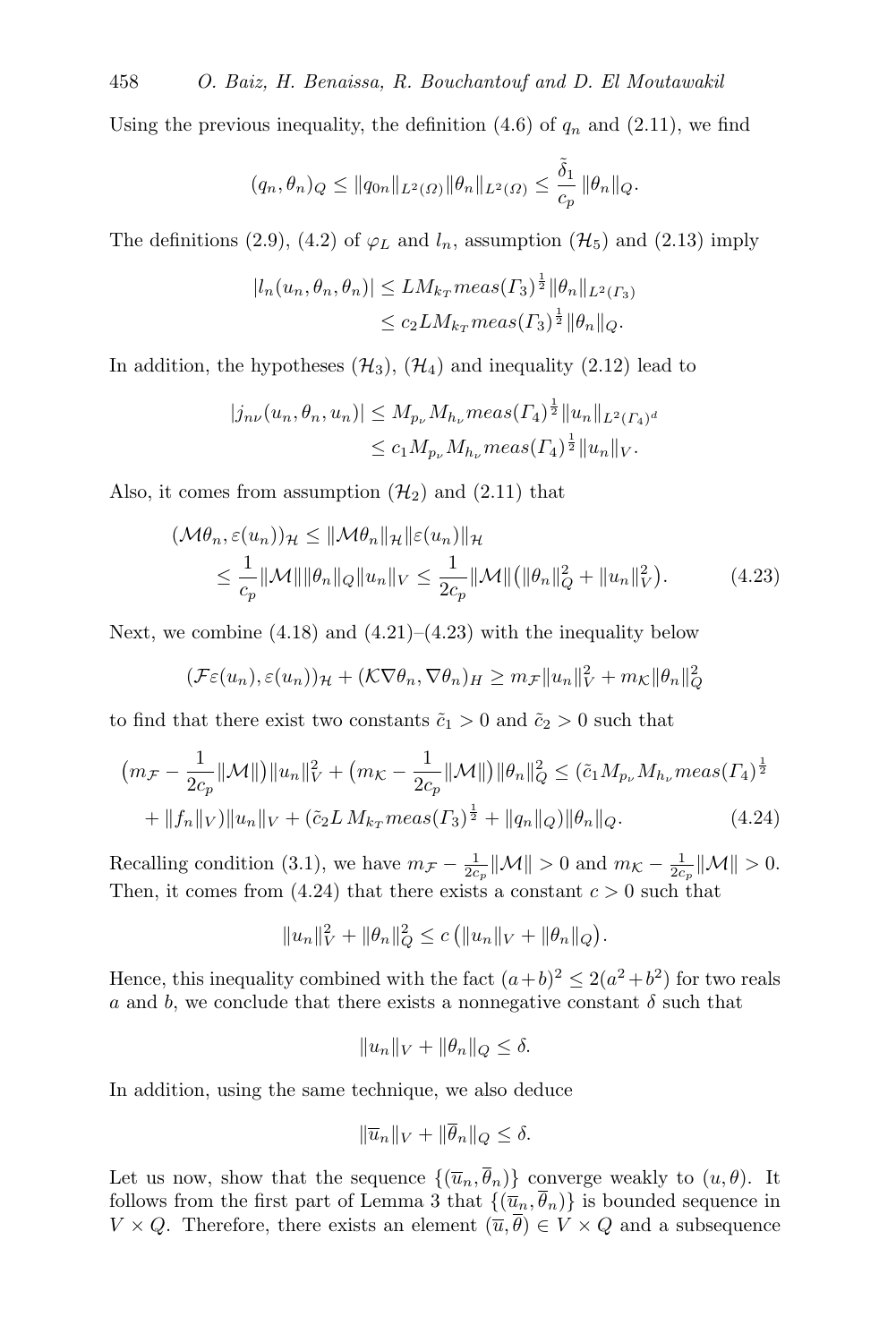Using the previous inequality, the definition  $(4.6)$  of  $q_n$  and  $(2.11)$ , we find

$$
(q_n, \theta_n)_{Q} \le ||q_{0n}||_{L^2(\Omega)} ||\theta_n||_{L^2(\Omega)} \le \frac{\tilde{\delta}_1}{c_p} ||\theta_n||_{Q}.
$$

The definitions [\(2.9\)](#page-3-2), [\(4.2\)](#page-11-3) of  $\varphi_L$  and  $l_n$ , assumption ( $\mathcal{H}_5$  $\mathcal{H}_5$  $\mathcal{H}_5$ ) and [\(2.13\)](#page-4-6) imply

$$
|l_n(u_n, \theta_n, \theta_n)| \leq LM_{k_T} meas(\Gamma_3)^{\frac{1}{2}} \|\theta_n\|_{L^2(\Gamma_3)}
$$
  

$$
\leq c_2 LM_{k_T} meas(\Gamma_3)^{\frac{1}{2}} \|\theta_n\|_{Q}.
$$

In addition, the hypotheses  $(\mathcal{H}_3)$  $(\mathcal{H}_3)$  $(\mathcal{H}_3)$ ,  $(\mathcal{H}_4)$  and inequality [\(2.12\)](#page-4-5) lead to

<span id="page-14-0"></span>
$$
|j_{n\nu}(u_n, \theta_n, u_n)| \le M_{p_\nu} M_{h_\nu} meas(\Gamma_4)^{\frac{1}{2}} \|u_n\|_{L^2(\Gamma_4)^d}
$$
  

$$
\le c_1 M_{p_\nu} M_{h_\nu} meas(\Gamma_4)^{\frac{1}{2}} \|u_n\|_V.
$$

Also, it comes from assumption  $(\mathcal{H}_2)$  $(\mathcal{H}_2)$  $(\mathcal{H}_2)$  and  $(2.11)$  that

$$
(\mathcal{M}\theta_n, \varepsilon(u_n))_{\mathcal{H}} \leq \|\mathcal{M}\theta_n\|_{\mathcal{H}} \|\varepsilon(u_n)\|_{\mathcal{H}}
$$
  

$$
\leq \frac{1}{c_p} \|\mathcal{M}\| \|\theta_n\|_{Q} \|u_n\|_{V} \leq \frac{1}{2c_p} \|\mathcal{M}\| \big( \|\theta_n\|_{Q}^2 + \|u_n\|_{V}^2 \big). \tag{4.23}
$$

Next, we combine  $(4.18)$  and  $(4.21)$ – $(4.23)$  with the inequality below

$$
(\mathcal{F}\varepsilon(u_n), \varepsilon(u_n))_{\mathcal{H}} + (\mathcal{K}\nabla\theta_n, \nabla\theta_n)_{H} \ge m_{\mathcal{F}} \|u_n\|_{V}^2 + m_{\mathcal{K}} \|\theta_n\|_{Q}^2
$$

to find that there exist two constants  $\tilde{c}_1 > 0$  and  $\tilde{c}_2 > 0$  such that

$$
\left(m_{\mathcal{F}} - \frac{1}{2c_p} \|\mathcal{M}\|\right) \|u_n\|_{V}^2 + \left(m_{\mathcal{K}} - \frac{1}{2c_p} \|\mathcal{M}\|\right) \|\theta_n\|_{Q}^2 \leq (\tilde{c}_1 M_{p_{\nu}} M_{h_{\nu}} meas(I_4)^{\frac{1}{2}} + \|f_n\|_{V}) \|u_n\|_{V} + (\tilde{c}_2 LM_{k_T} meas(I_3)^{\frac{1}{2}} + \|q_n\|_{Q}) \|\theta_n\|_{Q}.
$$
\n(4.24)

Recalling condition [\(3.1\)](#page-6-10), we have  $m_{\mathcal{F}} - \frac{1}{2c_p} ||\mathcal{M}|| > 0$  and  $m_{\mathcal{K}} - \frac{1}{2c_p} ||\mathcal{M}|| > 0$ . Then, it comes from [\(4.24\)](#page-14-1) that there exists a constant  $c > 0$  such that

$$
||u_n||_V^2 + ||\theta_n||_Q^2 \le c (||u_n||_V + ||\theta_n||_Q).
$$

Hence, this inequality combined with the fact  $(a+b)^2 \leq 2(a^2+b^2)$  for two reals a and b, we conclude that there exists a nonnegative constant  $\delta$  such that

<span id="page-14-1"></span>
$$
||u_n||_V + ||\theta_n||_Q \le \delta.
$$

In addition, using the same technique, we also deduce

$$
\|\overline{u}_n\|_V + \|\overline{\theta}_n\|_Q \le \delta.
$$

Let us now, show that the sequence  $\{(\overline{u}_n, \overline{\theta}_n)\}$  converge weakly to  $(u, \theta)$ . It follows from the first part of Lemma [3](#page-12-9) that  $\{(\overline{u}_n, \overline{\theta}_n)\}\$ is bounded sequence in  $V \times Q$ . Therefore, there exists an element  $(\overline{u}, \overline{\theta}) \in V \times Q$  and a subsequence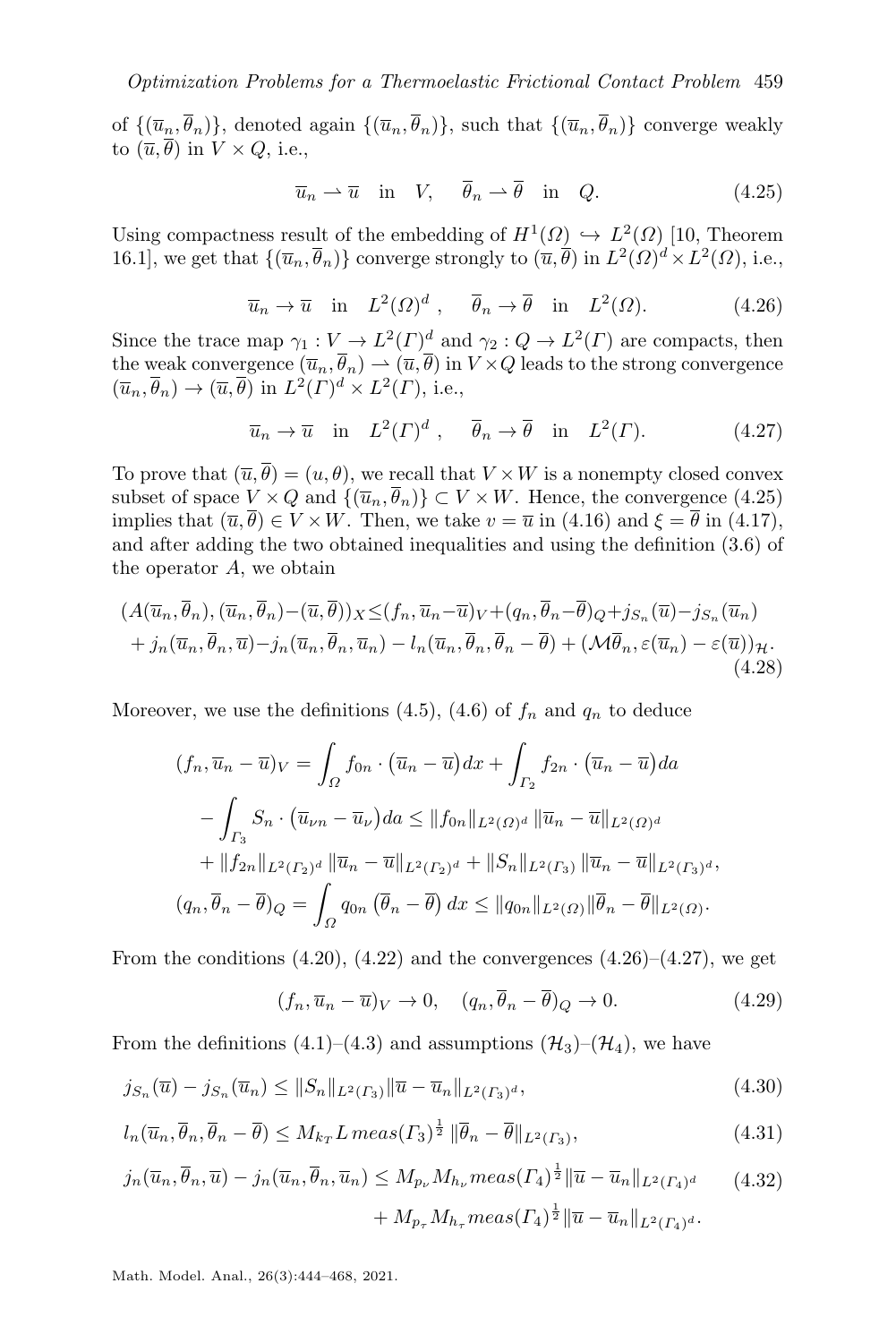of  $\{(\overline{u}_n, \overline{\theta}_n)\}\$ , denoted again  $\{(\overline{u}_n, \overline{\theta}_n)\}\$ , such that  $\{(\overline{u}_n, \overline{\theta}_n)\}\$  converge weakly to  $(\overline{u}, \overline{\theta})$  in  $V \times Q$ , i.e.,

<span id="page-15-0"></span>
$$
\overline{u}_n \rightharpoonup \overline{u} \quad \text{in} \quad V, \quad \overline{\theta}_n \rightharpoonup \overline{\theta} \quad \text{in} \quad Q. \tag{4.25}
$$

<span id="page-15-1"></span>Using compactness result of the embedding of  $H^1(\Omega) \hookrightarrow L^2(\Omega)$  [\[10,](#page-23-15) Theorem 16.1], we get that  $\{(\overline{u}_n, \overline{\theta}_n)\}$  converge strongly to  $(\overline{u}, \overline{\theta})$  in  $L^2(\Omega)^d \times L^2(\Omega)$ , i.e.,

$$
\overline{u}_n \to \overline{u}
$$
 in  $L^2(\Omega)^d$ ,  $\overline{\theta}_n \to \overline{\theta}$  in  $L^2(\Omega)$ . (4.26)

Since the trace map  $\gamma_1 : V \to L^2(\Gamma)^d$  and  $\gamma_2 : Q \to L^2(\Gamma)$  are compacts, then the weak convergence  $(\overline{u}_n, \overline{\theta}_n) \to (\overline{u}, \overline{\theta})$  in  $V \times Q$  leads to the strong convergence  $(\overline{u}_n, \overline{\theta}_n) \to (\overline{u}, \overline{\theta})$  in  $L^2(\Gamma)^d \times L^2(\Gamma)$ , i.e.,

<span id="page-15-5"></span><span id="page-15-2"></span>
$$
\overline{u}_n \to \overline{u}
$$
 in  $L^2(\Gamma)^d$ ,  $\overline{\theta}_n \to \overline{\theta}$  in  $L^2(\Gamma)$ . (4.27)

To prove that  $(\overline{u}, \overline{\theta}) = (u, \theta)$ , we recall that  $V \times W$  is a nonempty closed convex subset of space  $V \times Q$  and  $\{(\overline{u}_n, \overline{\theta}_n)\} \subset V \times W$ . Hence, the convergence [\(4.25\)](#page-15-0) implies that  $(\overline{u}, \overline{\theta}) \in V \times W$ . Then, we take  $v = \overline{u}$  in [\(4.16\)](#page-12-10) and  $\xi = \overline{\theta}$  in [\(4.17\)](#page-12-11), and after adding the two obtained inequalities and using the definition [\(3.6\)](#page-6-3) of the operator A, we obtain

$$
(A(\overline{u}_n, \overline{\theta}_n), (\overline{u}_n, \overline{\theta}_n) - (\overline{u}, \overline{\theta}))_X \leq (f_n, \overline{u}_n - \overline{u})_V + (q_n, \overline{\theta}_n - \overline{\theta})_Q + j_{S_n}(\overline{u}) - j_{S_n}(\overline{u}_n) + j_n(\overline{u}_n, \overline{\theta}_n, \overline{u}) - j_n(\overline{u}_n, \overline{\theta}_n, \overline{u}_n) - l_n(\overline{u}_n, \overline{\theta}_n, \overline{\theta}_n - \overline{\theta}) + (\mathcal{M}\overline{\theta}_n, \varepsilon(\overline{u}_n) - \varepsilon(\overline{u}))_H.
$$
\n(4.28)

Moreover, we use the definitions [\(4.5\)](#page-11-1), [\(4.6\)](#page-11-2) of  $f_n$  and  $q_n$  to deduce

$$
(f_n, \overline{u}_n - \overline{u})_V = \int_{\Omega} f_{0n} \cdot (\overline{u}_n - \overline{u}) dx + \int_{\Gamma_2} f_{2n} \cdot (\overline{u}_n - \overline{u}) da
$$
  

$$
- \int_{\Gamma_3} S_n \cdot (\overline{u}_{\nu n} - \overline{u}_{\nu}) da \le ||f_{0n}||_{L^2(\Omega)^d} ||\overline{u}_n - \overline{u}||_{L^2(\Omega)^d}
$$
  

$$
+ ||f_{2n}||_{L^2(\Gamma_2)^d} ||\overline{u}_n - \overline{u}||_{L^2(\Gamma_2)^d} + ||S_n||_{L^2(\Gamma_3)} ||\overline{u}_n - \overline{u}||_{L^2(\Gamma_3)^d},
$$
  

$$
(q_n, \overline{\theta}_n - \overline{\theta})_Q = \int_{\Omega} q_{0n} (\overline{\theta}_n - \overline{\theta}) dx \le ||q_{0n}||_{L^2(\Omega)} ||\overline{\theta}_n - \overline{\theta}||_{L^2(\Omega)}.
$$

From the conditions  $(4.20)$ ,  $(4.22)$  and the convergences  $(4.26)$ – $(4.27)$ , we get

<span id="page-15-6"></span><span id="page-15-4"></span><span id="page-15-3"></span>
$$
(f_n, \overline{u}_n - \overline{u})_V \to 0, \quad (q_n, \overline{\theta}_n - \overline{\theta})_Q \to 0. \tag{4.29}
$$

From the definitions [\(4.1\)](#page-11-4)–[\(4.3\)](#page-11-5) and assumptions  $(\mathcal{H}_3)$  $(\mathcal{H}_3)$  $(\mathcal{H}_3)$ – $(\mathcal{H}_4)$ , we have

$$
j_{S_n}(\overline{u}) - j_{S_n}(\overline{u}_n) \le ||S_n||_{L^2(\Gamma_3)} \|\overline{u} - \overline{u}_n\|_{L^2(\Gamma_3)^d},\tag{4.30}
$$

$$
l_n(\overline{u}_n, \overline{\theta}_n, \overline{\theta}_n - \overline{\theta}) \le M_{k_T} L \operatorname{meas}(T_3)^{\frac{1}{2}} \|\overline{\theta}_n - \overline{\theta}\|_{L^2(T_3)},\tag{4.31}
$$

$$
j_n(\overline{u}_n, \overline{\theta}_n, \overline{u}) - j_n(\overline{u}_n, \overline{\theta}_n, \overline{u}_n) \le M_{p_\nu} M_{h_\nu} meas(\Gamma_4)^{\frac{1}{2}} \|\overline{u} - \overline{u}_n\|_{L^2(\Gamma_4)^d}
$$
(4.32)  
+  $M_{p_\tau} M_{h_\tau} meas(\Gamma_4)^{\frac{1}{2}} \|\overline{u} - \overline{u}_n\|_{L^2(\Gamma_4)^d}.$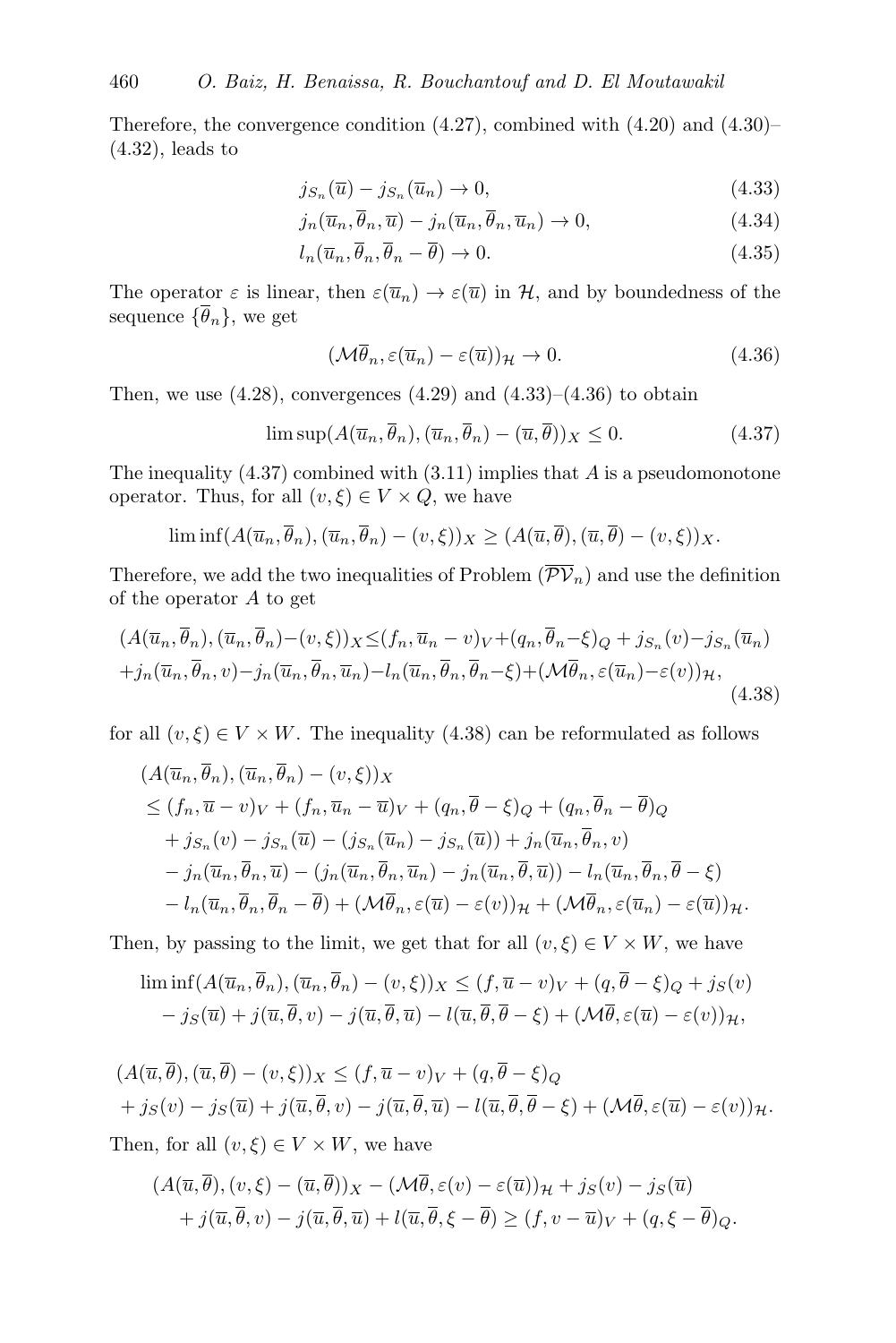Therefore, the convergence condition [\(4.27\)](#page-15-2), combined with [\(4.20\)](#page-13-1) and [\(4.30\)](#page-15-3)– [\(4.32\)](#page-15-4), leads to

<span id="page-16-0"></span>
$$
j_{S_n}(\overline{u}) - j_{S_n}(\overline{u}_n) \to 0, \tag{4.33}
$$

$$
j_n(\overline{u}_n, \overline{\theta}_n, \overline{u}) - j_n(\overline{u}_n, \overline{\theta}_n, \overline{u}_n) \to 0,
$$
\n(4.34)

$$
l_n(\overline{u}_n, \overline{\theta}_n, \overline{\theta}_n - \overline{\theta}) \to 0. \tag{4.35}
$$

The operator  $\varepsilon$  is linear, then  $\varepsilon(\overline{u}_n) \to \varepsilon(\overline{u})$  in H, and by boundedness of the sequence  $\{\overline{\theta}_n\}$ , we get

<span id="page-16-3"></span><span id="page-16-2"></span><span id="page-16-1"></span>
$$
(\mathcal{M}\overline{\theta}_n, \varepsilon(\overline{u}_n) - \varepsilon(\overline{u}))_{\mathcal{H}} \to 0. \tag{4.36}
$$

Then, we use  $(4.28)$ , convergences  $(4.29)$  and  $(4.33)$ – $(4.36)$  to obtain

$$
\limsup (A(\overline{u}_n, \overline{\theta}_n), (\overline{u}_n, \overline{\theta}_n) - (\overline{u}, \overline{\theta}))_X \le 0.
$$
 (4.37)

The inequality  $(4.37)$  combined with  $(3.11)$  implies that A is a pseudomonotone operator. Thus, for all  $(v, \xi) \in V \times Q$ , we have

$$
\liminf (A(\overline{u}_n, \overline{\theta}_n), (\overline{u}_n, \overline{\theta}_n) - (v, \xi))_X \ge (A(\overline{u}, \overline{\theta}), (\overline{u}, \overline{\theta}) - (v, \xi))_X.
$$

Therefore, we add the two inequalities of Problem  $(\overline{\mathcal{PV}}_n)$  $(\overline{\mathcal{PV}}_n)$  $(\overline{\mathcal{PV}}_n)$  and use the definition of the operator A to get

$$
(A(\overline{u}_n, \overline{\theta}_n), (\overline{u}_n, \overline{\theta}_n) - (v, \xi))_X \leq (f_n, \overline{u}_n - v)_V + (q_n, \overline{\theta}_n - \xi)_Q + j_{S_n}(v) - j_{S_n}(\overline{u}_n) + j_n(\overline{u}_n, \overline{\theta}_n, v) - j_n(\overline{u}_n, \overline{\theta}_n, \overline{u}_n) - l_n(\overline{u}_n, \overline{\theta}_n, \overline{\theta}_n - \xi) + (\mathcal{M}\overline{\theta}_n, \varepsilon(\overline{u}_n) - \varepsilon(v))_{\mathcal{H}},
$$
\n(4.38)

for all  $(v, \xi) \in V \times W$ . The inequality [\(4.38\)](#page-16-3) can be reformulated as follows

$$
(A(\overline{u}_n, \overline{\theta}_n), (\overline{u}_n, \overline{\theta}_n) - (v, \xi))_X
$$
  
\n
$$
\leq (f_n, \overline{u} - v)_V + (f_n, \overline{u}_n - \overline{u})_V + (q_n, \overline{\theta} - \xi)_Q + (q_n, \overline{\theta}_n - \overline{\theta})_Q
$$
  
\n
$$
+ j_{S_n}(v) - j_{S_n}(\overline{u}) - (j_{S_n}(\overline{u}_n) - j_{S_n}(\overline{u})) + j_n(\overline{u}_n, \overline{\theta}_n, v)
$$
  
\n
$$
- j_n(\overline{u}_n, \overline{\theta}_n, \overline{u}) - (j_n(\overline{u}_n, \overline{\theta}_n, \overline{u}_n) - j_n(\overline{u}_n, \overline{\theta}, \overline{u})) - l_n(\overline{u}_n, \overline{\theta}_n, \overline{\theta} - \xi)
$$
  
\n
$$
- l_n(\overline{u}_n, \overline{\theta}_n, \overline{\theta}_n - \overline{\theta}) + (\mathcal{M}\overline{\theta}_n, \varepsilon(\overline{u}) - \varepsilon(v))_{\mathcal{H}} + (\mathcal{M}\overline{\theta}_n, \varepsilon(\overline{u}_n) - \varepsilon(\overline{u}))_{\mathcal{H}}.
$$

Then, by passing to the limit, we get that for all  $(v, \xi) \in V \times W$ , we have

$$
\liminf (A(\overline{u}_n, \overline{\theta}_n), (\overline{u}_n, \overline{\theta}_n) - (v, \xi))_X \le (f, \overline{u} - v)_V + (q, \overline{\theta} - \xi)_Q + j_S(v) - j_S(\overline{u}) + j(\overline{u}, \overline{\theta}, v) - j(\overline{u}, \overline{\theta}, \overline{u}) - l(\overline{u}, \overline{\theta}, \overline{\theta} - \xi) + (\mathcal{M}\overline{\theta}, \varepsilon(\overline{u}) - \varepsilon(v))_H,
$$

$$
(A(\overline{u}, \overline{\theta}), (\overline{u}, \overline{\theta}) - (v, \xi))_X \le (f, \overline{u} - v)_V + (q, \overline{\theta} - \xi)_Q + j_S(v) - j_S(\overline{u}) + j(\overline{u}, \overline{\theta}, v) - j(\overline{u}, \overline{\theta}, \overline{u}) - l(\overline{u}, \overline{\theta}, \overline{\theta} - \xi) + (\mathcal{M}\overline{\theta}, \varepsilon(\overline{u}) - \varepsilon(v))_{\mathcal{H}}.
$$

Then, for all  $(v, \xi) \in V \times W$ , we have

$$
(A(\overline{u},\theta),(v,\xi)-(\overline{u},\theta))_X-(\mathcal{M}\theta,\varepsilon(v)-\varepsilon(\overline{u}))_{\mathcal{H}}+jS(v)-jS(\overline{u})+j(\overline{u},\overline{\theta},v)-j(\overline{u},\overline{\theta},\overline{u})+l(\overline{u},\overline{\theta},\xi-\overline{\theta})\geq (f,v-\overline{u})_V+(q,\xi-\overline{\theta})_Q.
$$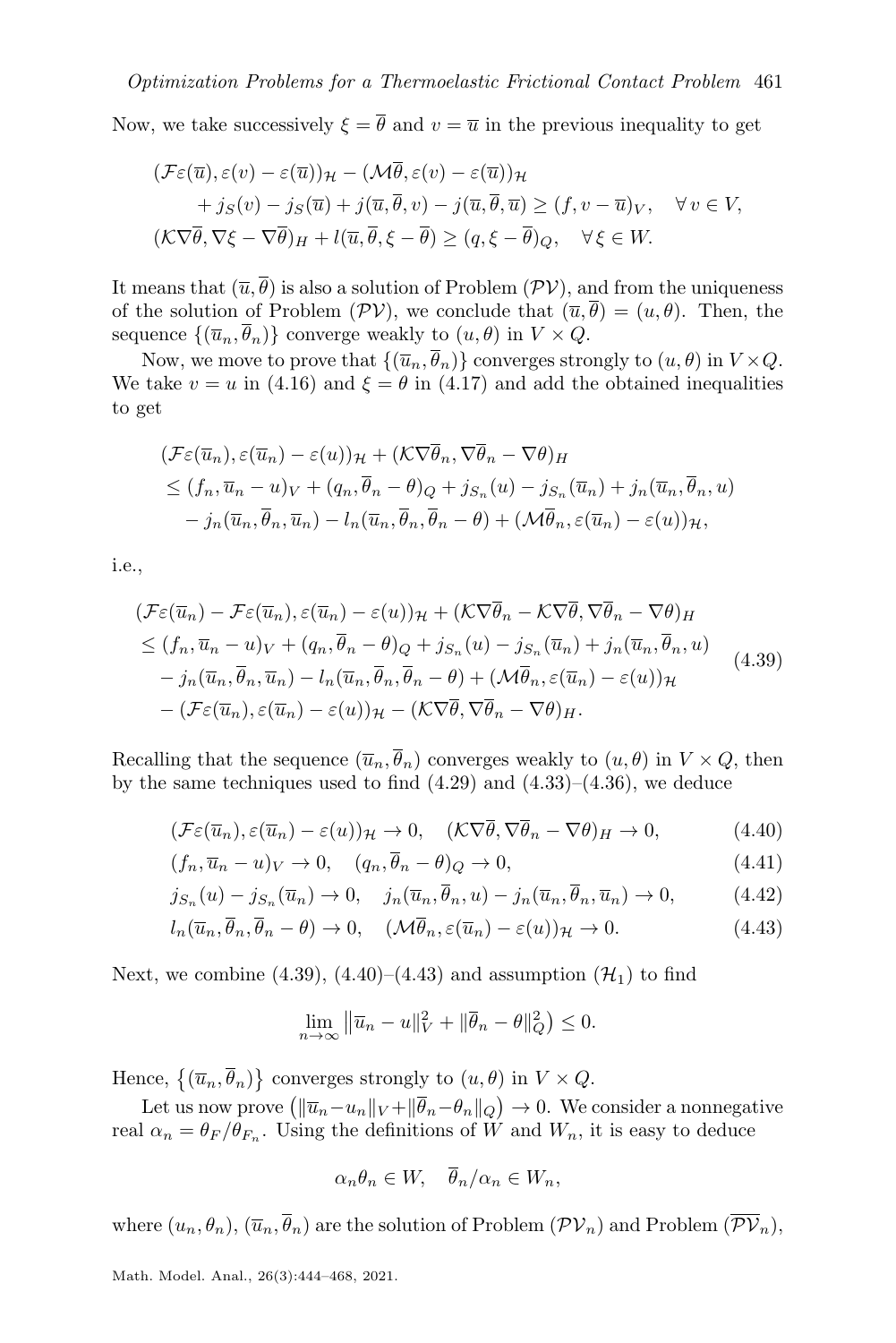Now, we take successively  $\xi = \overline{\theta}$  and  $v = \overline{u}$  in the previous inequality to get

$$
(\mathcal{F}\varepsilon(\overline{u}), \varepsilon(v) - \varepsilon(\overline{u}))_{\mathcal{H}} - (\mathcal{M}\overline{\theta}, \varepsilon(v) - \varepsilon(\overline{u}))_{\mathcal{H}}
$$
  
+  $j_S(v) - j_S(\overline{u}) + j(\overline{u}, \overline{\theta}, v) - j(\overline{u}, \overline{\theta}, \overline{u}) \ge (f, v - \overline{u})_V, \quad \forall v \in V,$   
 $(\mathcal{K}\nabla\overline{\theta}, \nabla\xi - \nabla\overline{\theta})_H + l(\overline{u}, \overline{\theta}, \xi - \overline{\theta}) \ge (q, \xi - \overline{\theta})_Q, \quad \forall \xi \in W.$ 

It means that  $(\overline{u}, \overline{\theta})$  is also a solution of Problem  $(\mathcal{PV})$  $(\mathcal{PV})$  $(\mathcal{PV})$ , and from the uniqueness of the solution of Problem  $(\mathcal{PV})$  $(\mathcal{PV})$  $(\mathcal{PV})$ , we conclude that  $(\overline{u}, \overline{\theta}) = (u, \theta)$ . Then, the sequence  $\{(\overline{u}_n, \overline{\theta}_n)\}$  converge weakly to  $(u, \theta)$  in  $V \times Q$ .

Now, we move to prove that  $\{(\overline{u}_n, \overline{\theta}_n)\}$  converges strongly to  $(u, \theta)$  in  $V \times Q$ . We take  $v = u$  in [\(4.16\)](#page-12-10) and  $\xi = \theta$  in [\(4.17\)](#page-12-11) and add the obtained inequalities to get

$$
\begin{aligned} (\mathcal{F}\varepsilon(\overline{u}_n), \varepsilon(\overline{u}_n) - \varepsilon(u))_{\mathcal{H}} + (\mathcal{K}\nabla\overline{\theta}_n, \nabla\overline{\theta}_n - \nabla\theta)_{H} \\ &\leq (f_n, \overline{u}_n - u)_V + (q_n, \overline{\theta}_n - \theta)_Q + j_{S_n}(u) - j_{S_n}(\overline{u}_n) + j_n(\overline{u}_n, \overline{\theta}_n, u) \\ &- j_n(\overline{u}_n, \overline{\theta}_n, \overline{u}_n) - l_n(\overline{u}_n, \overline{\theta}_n, \overline{\theta}_n - \theta) + (\mathcal{M}\overline{\theta}_n, \varepsilon(\overline{u}_n) - \varepsilon(u))_{\mathcal{H}}, \end{aligned}
$$

i.e.,

$$
\begin{split}\n(\mathcal{F}\varepsilon(\overline{u}_{n}) - \mathcal{F}\varepsilon(\overline{u}_{n}), \varepsilon(\overline{u}_{n}) - \varepsilon(u))_{\mathcal{H}} + (\mathcal{K}\nabla\overline{\theta}_{n} - \mathcal{K}\nabla\overline{\theta}, \nabla\overline{\theta}_{n} - \nabla\theta)_{H} \\
&\leq (f_{n}, \overline{u}_{n} - u)_{V} + (q_{n}, \overline{\theta}_{n} - \theta)_{Q} + j_{S_{n}}(u) - j_{S_{n}}(\overline{u}_{n}) + j_{n}(\overline{u}_{n}, \overline{\theta}_{n}, u) \\
&- j_{n}(\overline{u}_{n}, \overline{\theta}_{n}, \overline{u}_{n}) - l_{n}(\overline{u}_{n}, \overline{\theta}_{n}, \overline{\theta}_{n} - \theta) + (\mathcal{M}\overline{\theta}_{n}, \varepsilon(\overline{u}_{n}) - \varepsilon(u))_{\mathcal{H}} \\
&- (\mathcal{F}\varepsilon(\overline{u}_{n}), \varepsilon(\overline{u}_{n}) - \varepsilon(u))_{\mathcal{H}} - (\mathcal{K}\nabla\overline{\theta}, \nabla\overline{\theta}_{n} - \nabla\theta)_{H}.\n\end{split} \tag{4.39}
$$

Recalling that the sequence  $(\overline{u}_n, \overline{\theta}_n)$  converges weakly to  $(u, \theta)$  in  $V \times Q$ , then by the same techniques used to find  $(4.29)$  and  $(4.33)$ – $(4.36)$ , we deduce

$$
(\mathcal{F}\varepsilon(\overline{u}_n), \varepsilon(\overline{u}_n) - \varepsilon(u))\mathcal{H} \to 0, \quad (\mathcal{K}\nabla\overline{\theta}, \nabla\overline{\theta}_n - \nabla\theta)\mathcal{H} \to 0,\tag{4.40}
$$

$$
(f_n, \overline{u}_n - u)_V \to 0, \quad (q_n, \theta_n - \theta)_Q \to 0,
$$
\n
$$
(4.41)
$$

$$
j_{S_n}(u) - j_{S_n}(\overline{u}_n) \to 0, \quad j_n(\overline{u}_n, \overline{\theta}_n, u) - j_n(\overline{u}_n, \overline{\theta}_n, \overline{u}_n) \to 0,
$$
(4.42)

$$
l_n(\overline{u}_n, \overline{\theta}_n, \overline{\theta}_n - \theta) \to 0, \quad (\mathcal{M}\overline{\theta}_n, \varepsilon(\overline{u}_n) - \varepsilon(u))_{\mathcal{H}} \to 0. \tag{4.43}
$$

Next, we combine [\(4.39\)](#page-17-0), [\(4.40\)](#page-17-1)–[\(4.43\)](#page-17-2) and assumption ( $\mathcal{H}_1$  $\mathcal{H}_1$  $\mathcal{H}_1$ ) to find

<span id="page-17-2"></span><span id="page-17-1"></span><span id="page-17-0"></span>
$$
\lim_{n \to \infty} \left\| \overline{u}_n - u \right\|_V^2 + \left\| \overline{\theta}_n - \theta \right\|_Q^2 \le 0.
$$

Hence,  $\{(\overline{u}_n, \overline{\theta}_n)\}$  converges strongly to  $(u, \theta)$  in  $V \times Q$ .

Let us now prove  $\left(\|\overline{u}_n-u_n\|_V+\|\overline{\theta}_n-\theta_n\|_Q\right)\to 0$ . We consider a nonnegative real  $\alpha_n = \theta_F/\theta_{F_n}$ . Using the definitions of W and  $W_n$ , it is easy to deduce

$$
\alpha_n \theta_n \in W, \quad \theta_n/\alpha_n \in W_n,
$$

where  $(u_n, \theta_n)$ ,  $(\overline{u}_n, \overline{\theta}_n)$  are the solution of Problem  $(\mathcal{PV}_n)$  $(\mathcal{PV}_n)$  $(\mathcal{PV}_n)$  and Problem  $(\overline{\mathcal{PV}}_n)$ ,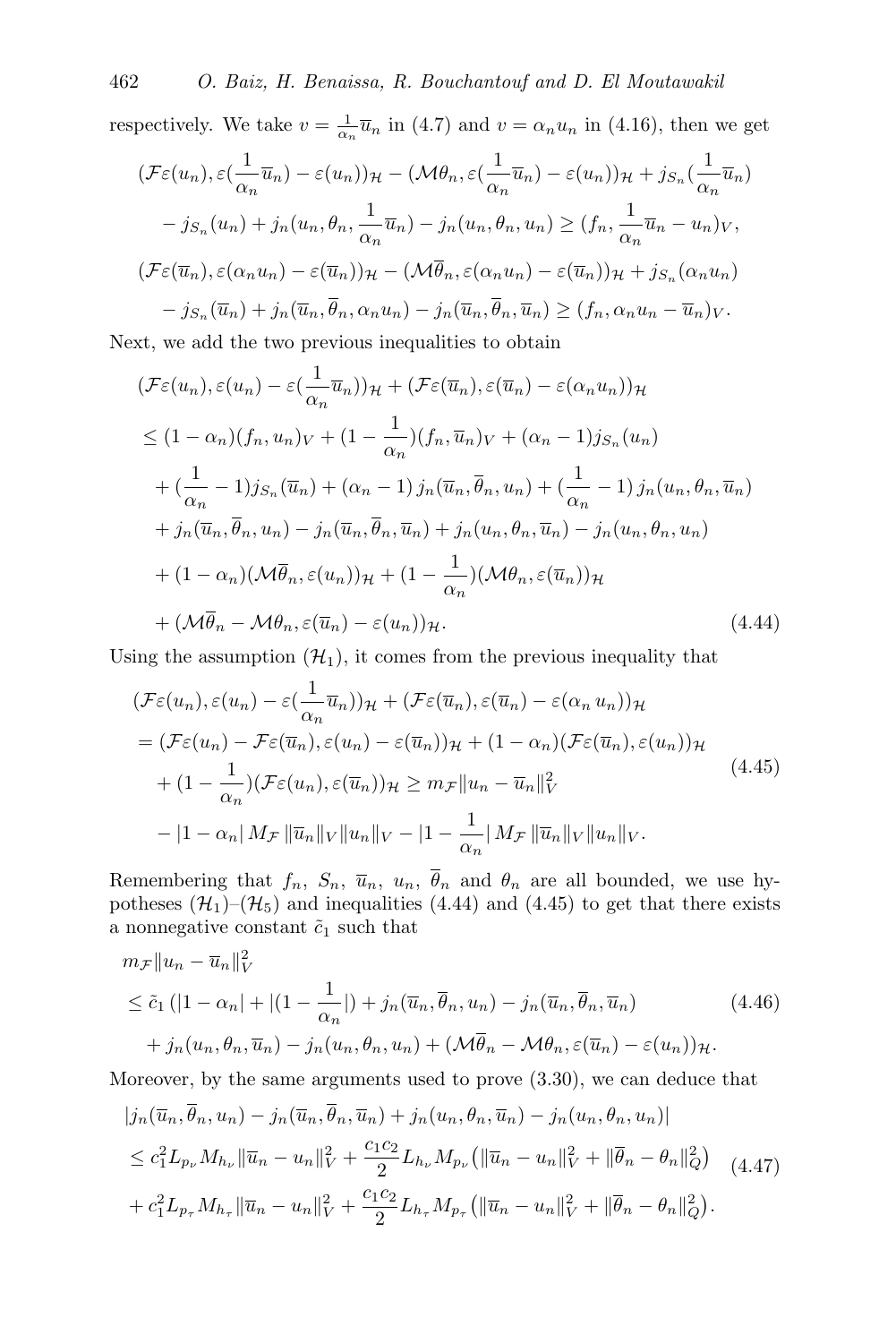respectively. We take  $v = \frac{1}{\alpha_n} \overline{u}_n$  in [\(4.7\)](#page-12-3) and  $v = \alpha_n u_n$  in [\(4.16\)](#page-12-10), then we get

$$
(\mathcal{F}\varepsilon(u_n), \varepsilon(\frac{1}{\alpha_n}\overline{u}_n) - \varepsilon(u_n))_{\mathcal{H}} - (\mathcal{M}\theta_n, \varepsilon(\frac{1}{\alpha_n}\overline{u}_n) - \varepsilon(u_n))_{\mathcal{H}} + j_{S_n}(\frac{1}{\alpha_n}\overline{u}_n)
$$

$$
- j_{S_n}(u_n) + j_n(u_n, \theta_n, \frac{1}{\alpha_n}\overline{u}_n) - j_n(u_n, \theta_n, u_n) \ge (f_n, \frac{1}{\alpha_n}\overline{u}_n - u_n)_V,
$$

$$
(\mathcal{F}\varepsilon(\overline{u}_n), \varepsilon(\alpha_n u_n) - \varepsilon(\overline{u}_n))_{\mathcal{H}} - (\mathcal{M}\overline{\theta}_n, \varepsilon(\alpha_n u_n) - \varepsilon(\overline{u}_n))_{\mathcal{H}} + j_{S_n}(\alpha_n u_n)
$$

$$
- j_{S_n}(\overline{u}_n) + j_n(\overline{u}_n, \overline{\theta}_n, \alpha_n u_n) - j_n(\overline{u}_n, \overline{\theta}_n, \overline{u}_n) \ge (f_n, \alpha_n u_n - \overline{u}_n)_V.
$$

Next, we add the two previous inequalities to obtain

$$
(\mathcal{F}\varepsilon(u_n), \varepsilon(u_n) - \varepsilon(\frac{1}{\alpha_n}\overline{u}_n))_{\mathcal{H}} + (\mathcal{F}\varepsilon(\overline{u}_n), \varepsilon(\overline{u}_n) - \varepsilon(\alpha_n u_n))_{\mathcal{H}}
$$
  
\n
$$
\leq (1 - \alpha_n)(f_n, u_n)_V + (1 - \frac{1}{\alpha_n})(f_n, \overline{u}_n)_V + (\alpha_n - 1)j_{S_n}(u_n)
$$
  
\n
$$
+ (\frac{1}{\alpha_n} - 1)j_{S_n}(\overline{u}_n) + (\alpha_n - 1)j_n(\overline{u}_n, \overline{\theta}_n, u_n) + (\frac{1}{\alpha_n} - 1)j_n(u_n, \theta_n, \overline{u}_n)
$$
  
\n
$$
+ j_n(\overline{u}_n, \overline{\theta}_n, u_n) - j_n(\overline{u}_n, \overline{\theta}_n, \overline{u}_n) + j_n(u_n, \theta_n, \overline{u}_n) - j_n(u_n, \theta_n, u_n)
$$
  
\n
$$
+ (1 - \alpha_n)(\mathcal{M}\overline{\theta}_n, \varepsilon(u_n))_{\mathcal{H}} + (1 - \frac{1}{\alpha_n})(\mathcal{M}\theta_n, \varepsilon(\overline{u}_n))_{\mathcal{H}}
$$
  
\n
$$
+ (\mathcal{M}\overline{\theta}_n - \mathcal{M}\theta_n, \varepsilon(\overline{u}_n) - \varepsilon(u_n))_{\mathcal{H}}.
$$
\n(4.44)

Using the assumption  $(\mathcal{H}_1)$  $(\mathcal{H}_1)$  $(\mathcal{H}_1)$ , it comes from the previous inequality that

<span id="page-18-1"></span><span id="page-18-0"></span>
$$
(\mathcal{F}\varepsilon(u_n), \varepsilon(u_n) - \varepsilon(\frac{1}{\alpha_n}\overline{u}_n))_{\mathcal{H}} + (\mathcal{F}\varepsilon(\overline{u}_n), \varepsilon(\overline{u}_n) - \varepsilon(\alpha_n u_n))_{\mathcal{H}}
$$
  
\n
$$
= (\mathcal{F}\varepsilon(u_n) - \mathcal{F}\varepsilon(\overline{u}_n), \varepsilon(u_n) - \varepsilon(\overline{u}_n))_{\mathcal{H}} + (1 - \alpha_n)(\mathcal{F}\varepsilon(\overline{u}_n), \varepsilon(u_n))_{\mathcal{H}}
$$
  
\n
$$
+ (1 - \frac{1}{\alpha_n})(\mathcal{F}\varepsilon(u_n), \varepsilon(\overline{u}_n))_{\mathcal{H}} \ge m_{\mathcal{F}} ||u_n - \overline{u}_n||_{V}^{2}
$$
  
\n
$$
- |1 - \alpha_n| M_{\mathcal{F}} ||\overline{u}_n||_{V} ||u_n||_{V} - |1 - \frac{1}{\alpha_n}| M_{\mathcal{F}} ||\overline{u}_n||_{V} ||u_n||_{V}.
$$
\n
$$
(4.45)
$$

Remembering that  $f_n$ ,  $S_n$ ,  $\overline{u}_n$ ,  $u_n$ ,  $\overline{\theta}_n$  and  $\theta_n$  are all bounded, we use hypotheses  $(\mathcal{H}_1)$  $(\mathcal{H}_1)$  $(\mathcal{H}_1)$ – $(\mathcal{H}_5)$  and inequalities [\(4.44\)](#page-18-0) and [\(4.45\)](#page-18-1) to get that there exists a nonnegative constant  $\tilde{c}_1$  such that

<span id="page-18-2"></span>
$$
m_{\mathcal{F}} \|u_n - \overline{u}_n\|_V^2
$$
  
\n
$$
\leq \tilde{c}_1 (|1 - \alpha_n| + |(1 - \frac{1}{\alpha_n}|) + j_n(\overline{u}_n, \overline{\theta}_n, u_n) - j_n(\overline{u}_n, \overline{\theta}_n, \overline{u}_n)
$$
  
\n
$$
+ j_n(u_n, \theta_n, \overline{u}_n) - j_n(u_n, \theta_n, u_n) + (\mathcal{M}\overline{\theta}_n - \mathcal{M}\theta_n, \varepsilon(\overline{u}_n) - \varepsilon(u_n))_{\mathcal{H}}.
$$
\n(4.46)

Moreover, by the same arguments used to prove [\(3.30\)](#page-10-4), we can deduce that

<span id="page-18-3"></span>
$$
|j_n(\overline{u}_n, \overline{\theta}_n, u_n) - j_n(\overline{u}_n, \overline{\theta}_n, \overline{u}_n) + j_n(u_n, \theta_n, \overline{u}_n) - j_n(u_n, \theta_n, u_n)|
$$
  
\n
$$
\leq c_1^2 L_{p_\nu} M_{h_\nu} \|\overline{u}_n - u_n\|_V^2 + \frac{c_1 c_2}{2} L_{h_\nu} M_{p_\nu} (\|\overline{u}_n - u_n\|_V^2 + \|\overline{\theta}_n - \theta_n\|_Q^2) \quad (4.47)
$$
  
\n
$$
+ c_1^2 L_{p_\tau} M_{h_\tau} \|\overline{u}_n - u_n\|_V^2 + \frac{c_1 c_2}{2} L_{h_\tau} M_{p_\tau} (\|\overline{u}_n - u_n\|_V^2 + \|\overline{\theta}_n - \theta_n\|_Q^2).
$$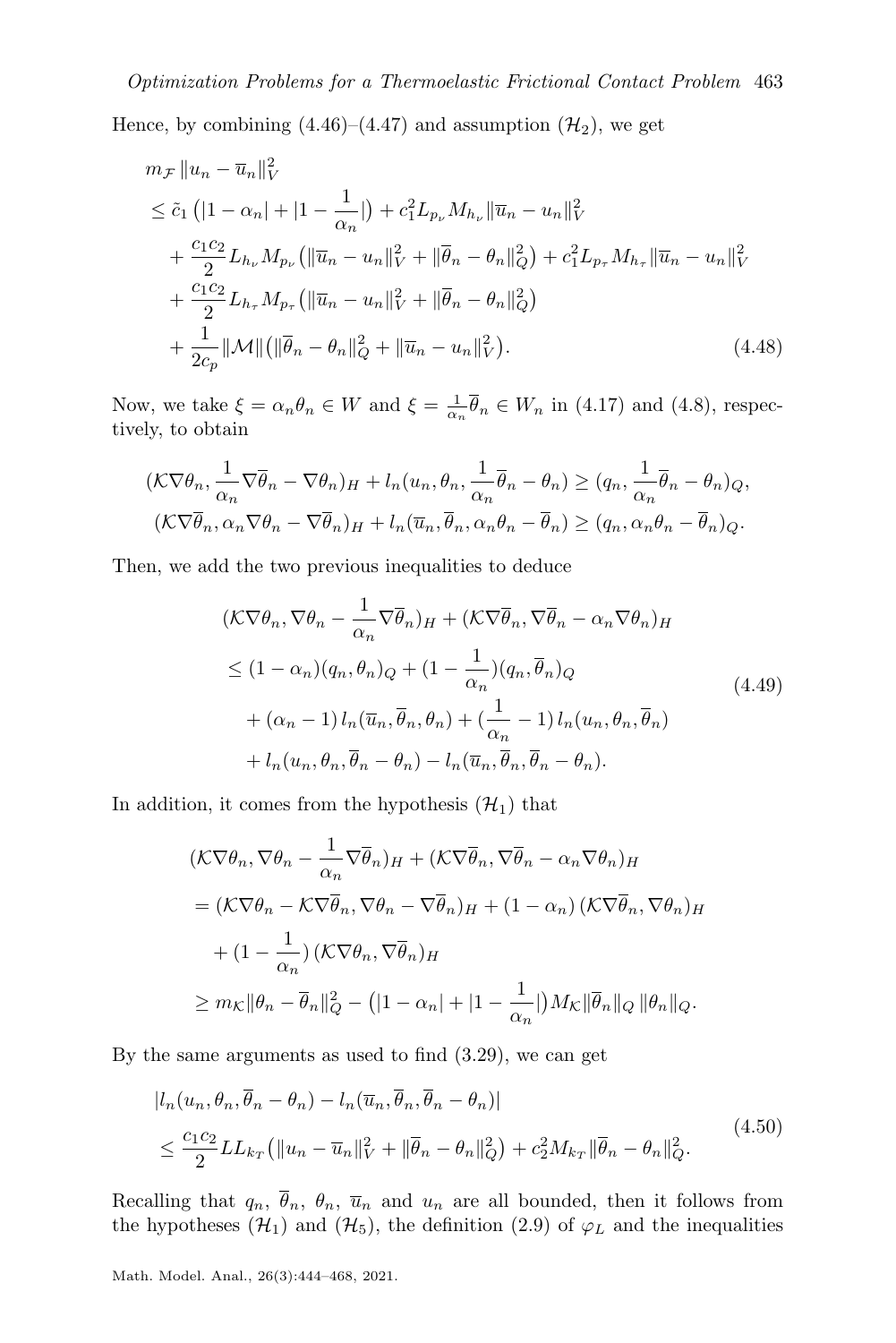[H](#page-4-1)ence, by combining  $(4.46)$ – $(4.47)$  and assumption  $(\mathcal{H}_2)$ , we get

$$
m_{\mathcal{F}} \|u_n - \overline{u}_n\|_{V}^2
$$
  
\n
$$
\leq \tilde{c}_1 (|1 - \alpha_n| + |1 - \frac{1}{\alpha_n}|) + c_1^2 L_{p_{\nu}} M_{h_{\nu}} \|\overline{u}_n - u_n\|_{V}^2
$$
  
\n
$$
+ \frac{c_1 c_2}{2} L_{h_{\nu}} M_{p_{\nu}} (\|\overline{u}_n - u_n\|_{V}^2 + \|\overline{\theta}_n - \theta_n\|_{Q}^2) + c_1^2 L_{p_{\tau}} M_{h_{\tau}} \|\overline{u}_n - u_n\|_{V}^2
$$
  
\n
$$
+ \frac{c_1 c_2}{2} L_{h_{\tau}} M_{p_{\tau}} (\|\overline{u}_n - u_n\|_{V}^2 + \|\overline{\theta}_n - \theta_n\|_{Q}^2)
$$
  
\n
$$
+ \frac{1}{2c_p} \|\mathcal{M}\| (\|\overline{\theta}_n - \theta_n\|_{Q}^2 + \|\overline{u}_n - u_n\|_{V}^2). \tag{4.48}
$$

Now, we take  $\xi = \alpha_n \theta_n \in W$  and  $\xi = \frac{1}{\alpha_n} \overline{\theta}_n \in W_n$  in [\(4.17\)](#page-12-11) and [\(4.8\)](#page-12-4), respectively, to obtain

$$
(\mathcal{K}\nabla\theta_n, \frac{1}{\alpha_n}\nabla\overline{\theta}_n - \nabla\theta_n)_{H} + l_n(u_n, \theta_n, \frac{1}{\alpha_n}\overline{\theta}_n - \theta_n) \ge (q_n, \frac{1}{\alpha_n}\overline{\theta}_n - \theta_n)_{Q},
$$
  

$$
(\mathcal{K}\nabla\overline{\theta}_n, \alpha_n\nabla\theta_n - \nabla\overline{\theta}_n)_{H} + l_n(\overline{u}_n, \overline{\theta}_n, \alpha_n\theta_n - \overline{\theta}_n) \ge (q_n, \alpha_n\theta_n - \overline{\theta}_n)_{Q}.
$$

Then, we add the two previous inequalities to deduce

<span id="page-19-2"></span><span id="page-19-0"></span>
$$
(\mathcal{K}\nabla\theta_n, \nabla\theta_n - \frac{1}{\alpha_n}\nabla\overline{\theta}_n)_H + (\mathcal{K}\nabla\overline{\theta}_n, \nabla\overline{\theta}_n - \alpha_n\nabla\theta_n)_H
$$
  
\n
$$
\leq (1 - \alpha_n)(q_n, \theta_n)_Q + (1 - \frac{1}{\alpha_n})(q_n, \overline{\theta}_n)_Q
$$
  
\n
$$
+ (\alpha_n - 1) l_n(\overline{u}_n, \overline{\theta}_n, \theta_n) + (\frac{1}{\alpha_n} - 1) l_n(u_n, \theta_n, \overline{\theta}_n)
$$
  
\n
$$
+ l_n(u_n, \theta_n, \overline{\theta}_n - \theta_n) - l_n(\overline{u}_n, \overline{\theta}_n, \overline{\theta}_n - \theta_n).
$$
\n(4.49)

In addition, it comes from the hypothesis  $(\mathcal{H}_1)$  $(\mathcal{H}_1)$  $(\mathcal{H}_1)$  that

$$
\begin{split} &\left(\mathcal{K}\nabla\theta_{n},\nabla\theta_{n}-\frac{1}{\alpha_{n}}\nabla\overline{\theta}_{n}\right)_{H}+\left(\mathcal{K}\nabla\overline{\theta}_{n},\nabla\overline{\theta}_{n}-\alpha_{n}\nabla\theta_{n}\right)_{H} \\ &=\left(\mathcal{K}\nabla\theta_{n}-\mathcal{K}\nabla\overline{\theta}_{n},\nabla\theta_{n}-\nabla\overline{\theta}_{n}\right)_{H}+\left(1-\alpha_{n}\right)\left(\mathcal{K}\nabla\overline{\theta}_{n},\nabla\theta_{n}\right)_{H} \\ &+\left(1-\frac{1}{\alpha_{n}}\right)\left(\mathcal{K}\nabla\theta_{n},\nabla\overline{\theta}_{n}\right)_{H} \\ &\geq m_{\mathcal{K}}\|\theta_{n}-\overline{\theta}_{n}\|_{Q}^{2}-\left(\left|1-\alpha_{n}\right|+\left|1-\frac{1}{\alpha_{n}}\right|\right)M_{\mathcal{K}}\|\overline{\theta}_{n}\|_{Q}\|\theta_{n}\|_{Q}.\end{split}
$$

By the same arguments as used to find  $(3.29)$ , we can get

<span id="page-19-1"></span>
$$
|l_n(u_n, \theta_n, \overline{\theta}_n - \theta_n) - l_n(\overline{u}_n, \overline{\theta}_n, \overline{\theta}_n - \theta_n)|
$$
  

$$
\leq \frac{c_1 c_2}{2} L L_{k_T} (||u_n - \overline{u}_n||_V^2 + ||\overline{\theta}_n - \theta_n||_Q^2) + c_2^2 M_{k_T} ||\overline{\theta}_n - \theta_n||_Q^2.
$$
 (4.50)

Recalling that  $q_n$ ,  $\bar{\theta}_n$ ,  $\bar{\theta}_n$ ,  $\bar{u}_n$  and  $u_n$  are all bounded, then it follows from the hypotheses  $(\mathcal{H}_1)$  $(\mathcal{H}_1)$  $(\mathcal{H}_1)$  and  $(\mathcal{H}_5)$ , the definition [\(2.9\)](#page-3-2) of  $\varphi_L$  and the inequalities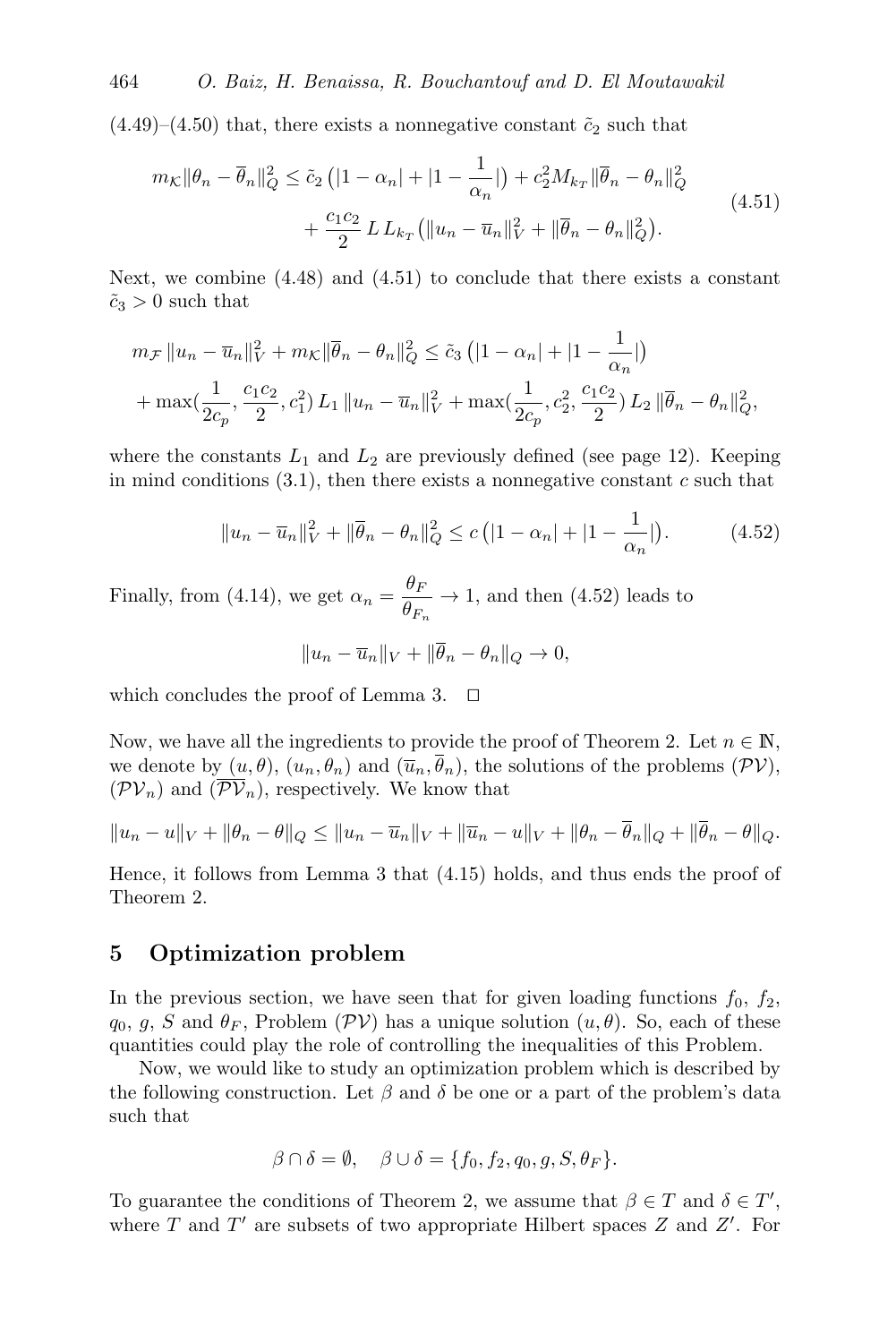$(4.49)$ – $(4.50)$  that, there exists a nonnegative constant  $\tilde{c}_2$  such that

<span id="page-20-1"></span>
$$
m_{\mathcal{K}} \|\theta_n - \overline{\theta}_n\|_{Q}^2 \le \tilde{c}_2 \left( |1 - \alpha_n| + |1 - \frac{1}{\alpha_n}| \right) + c_2^2 M_{k_T} \|\overline{\theta}_n - \theta_n\|_{Q}^2 + \frac{c_1 c_2}{2} L L_{k_T} \left( \|u_n - \overline{u}_n\|_{V}^2 + \|\overline{\theta}_n - \theta_n\|_{Q}^2 \right).
$$
\n(4.51)

Next, we combine  $(4.48)$  and  $(4.51)$  to conclude that there exists a constant  $\tilde{c}_3 > 0$  such that

$$
m_{\mathcal{F}} \|u_n - \overline{u}_n\|_{V}^2 + m_{\mathcal{K}} \|\overline{\theta}_n - \theta_n\|_{Q}^2 \le \tilde{c}_3 \left( |1 - \alpha_n| + |1 - \frac{1}{\alpha_n}| \right)
$$
  
+ 
$$
\max(\frac{1}{2c_p}, \frac{c_1c_2}{2}, c_1^2) L_1 \|u_n - \overline{u}_n\|_{V}^2 + \max(\frac{1}{2c_p}, c_2^2, \frac{c_1c_2}{2}) L_2 \|\overline{\theta}_n - \theta_n\|_{Q}^2,
$$

where the constants  $L_1$  and  $L_2$  are previously defined (see page 12). Keeping in mind conditions  $(3.1)$ , then there exists a nonnegative constant c such that

$$
||u_n - \overline{u}_n||_V^2 + ||\overline{\theta}_n - \theta_n||_Q^2 \le c (|1 - \alpha_n| + |1 - \frac{1}{\alpha_n}|). \tag{4.52}
$$

Finally, from [\(4.14\)](#page-12-12), we get  $\alpha_n = \frac{\theta_F}{\theta_n}$  $\frac{\partial F}{\partial F_n} \to 1$ , and then [\(4.52\)](#page-20-2) leads to

<span id="page-20-2"></span>
$$
||u_n - \overline{u}_n||_V + ||\overline{\theta}_n - \theta_n||_Q \to 0,
$$

which concludes the proof of Lemma [3.](#page-12-9)  $\Box$ 

Now, we have all the ingredients to provide the proof of Theorem [2.](#page-12-0) Let  $n \in \mathbb{N}$ , we denote by  $(u, \theta)$ ,  $(u_n, \theta_n)$  and  $(\overline{u}_n, \overline{\theta}_n)$ , the solutions of the problems  $(\mathcal{PV})$  $(\mathcal{PV})$  $(\mathcal{PV})$ ,  $(\mathcal{PV}_n)$  $(\mathcal{PV}_n)$  $(\mathcal{PV}_n)$  and  $(\overline{\mathcal{PV}}_n)$ , respectively. We know that

$$
||u_n - u||_V + ||\theta_n - \theta||_Q \le ||u_n - \overline{u}_n||_V + ||\overline{u}_n - u||_V + ||\theta_n - \overline{\theta}_n||_Q + ||\overline{\theta}_n - \theta||_Q.
$$

Hence, it follows from Lemma [3](#page-12-9) that [\(4.15\)](#page-12-13) holds, and thus ends the proof of Theorem [2.](#page-12-0)

#### <span id="page-20-0"></span>5 Optimization problem

In the previous section, we have seen that for given loading functions  $f_0$ ,  $f_2$ ,  $q_0, g, S$  and  $\theta_F$ , Problem ([PV](#page-5-2)) has a unique solution  $(u, \theta)$ . So, each of these quantities could play the role of controlling the inequalities of this Problem.

Now, we would like to study an optimization problem which is described by the following construction. Let  $\beta$  and  $\delta$  be one or a part of the problem's data such that

$$
\beta \cap \delta = \emptyset, \quad \beta \cup \delta = \{f_0, f_2, q_0, g, S, \theta_F\}.
$$

To guarantee the conditions of Theorem [2,](#page-12-0) we assume that  $\beta \in T$  and  $\delta \in T'$ , where  $T$  and  $T'$  are subsets of two appropriate Hilbert spaces  $Z$  and  $Z'$ . For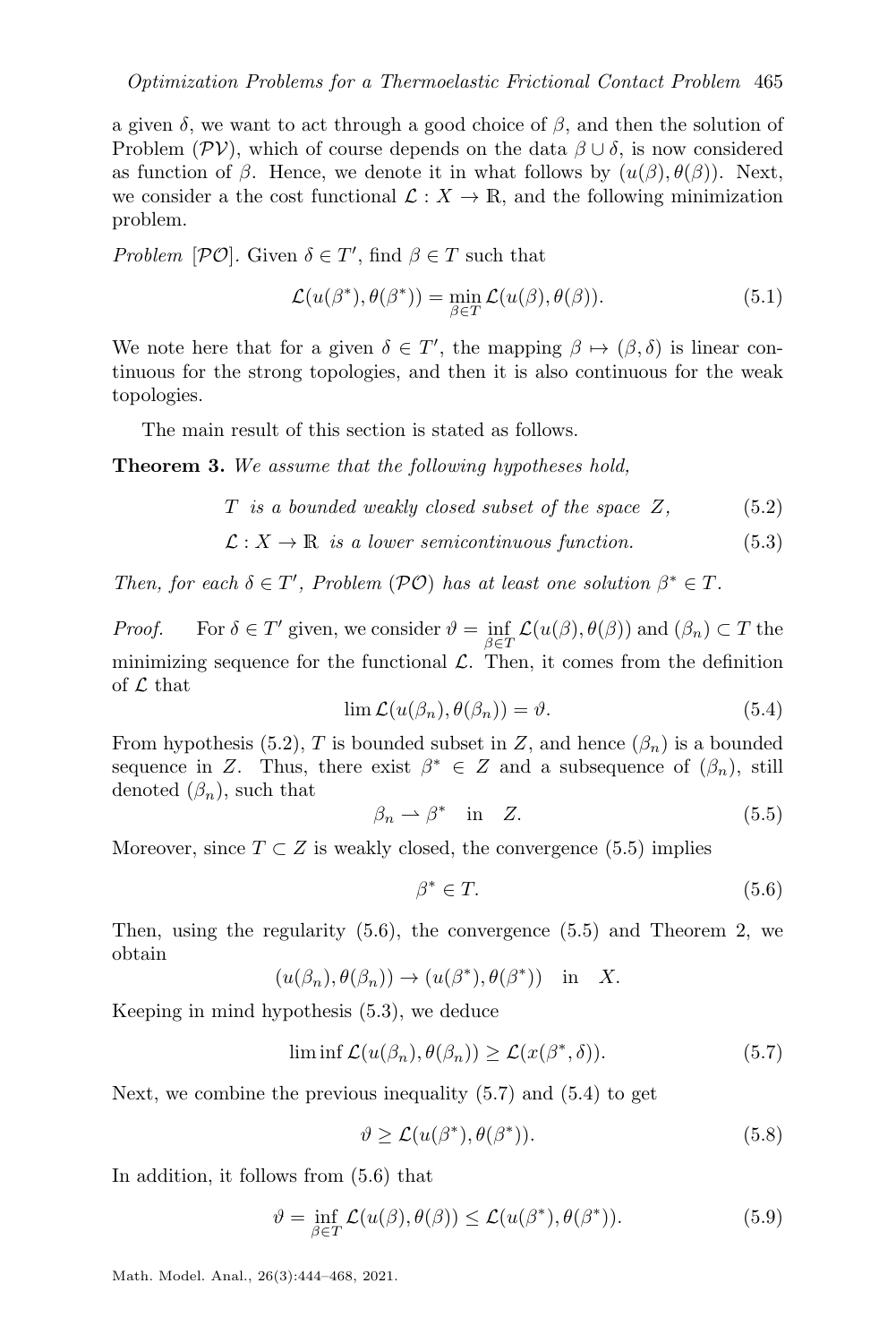a given  $\delta$ , we want to act through a good choice of  $\beta$ , and then the solution of Problem ( $\mathcal{PV}$  $\mathcal{PV}$  $\mathcal{PV}$ ), which of course depends on the data  $\beta \cup \delta$ , is now considered as function of  $\beta$ . Hence, we denote it in what follows by  $(u(\beta), \theta(\beta))$ . Next, we consider a the cost functional  $\mathcal{L}: X \to \mathbb{R}$ , and the following minimization problem.

Problem  $[\mathcal{PO}]$ . Given  $\delta \in T'$ , find  $\beta \in T$  such that

<span id="page-21-10"></span><span id="page-21-1"></span><span id="page-21-0"></span>
$$
\mathcal{L}(u(\beta^*), \theta(\beta^*)) = \min_{\beta \in T} \mathcal{L}(u(\beta), \theta(\beta)).
$$
\n(5.1)

We note here that for a given  $\delta \in T'$ , the mapping  $\beta \mapsto (\beta, \delta)$  is linear continuous for the strong topologies, and then it is also continuous for the weak topologies.

The main result of this section is stated as follows.

Theorem 3. We assume that the following hypotheses hold,

$$
T \text{ is a bounded weakly closed subset of the space } Z, \tag{5.2}
$$

$$
\mathcal{L}: X \to \mathbb{R} \text{ is a lower semicontinuous function.} \tag{5.3}
$$

Then, for each  $\delta \in T'$ , Problem ([PO](#page-21-1)) has at least one solution  $\beta^* \in T$ .

<span id="page-21-7"></span>*Proof.* For  $\delta \in T'$  given, we consider  $\vartheta = \inf_{\beta \in T'} \mathcal{L}(u(\beta), \theta(\beta))$  and  $(\beta_n) \subset T$  the  $\beta \in T$ minimizing sequence for the functional  $\mathcal{L}$ . Then, it comes from the definition of  $\mathcal L$  that

<span id="page-21-5"></span><span id="page-21-2"></span>
$$
\lim \mathcal{L}(u(\beta_n), \theta(\beta_n)) = \vartheta. \tag{5.4}
$$

From hypothesis [\(5.2\)](#page-21-2), T is bounded subset in Z, and hence  $(\beta_n)$  is a bounded sequence in Z. Thus, there exist  $\beta^* \in Z$  and a subsequence of  $(\beta_n)$ , still denoted  $(\beta_n)$ , such that

<span id="page-21-3"></span>
$$
\beta_n \rightharpoonup \beta^* \quad \text{in} \quad Z. \tag{5.5}
$$

Moreover, since  $T \subset Z$  is weakly closed, the convergence [\(5.5\)](#page-21-3) implies

<span id="page-21-6"></span><span id="page-21-4"></span>
$$
\beta^* \in T. \tag{5.6}
$$

Then, using the regularity  $(5.6)$ , the convergence  $(5.5)$  and Theorem [2,](#page-12-0) we obtain

$$
(u(\beta_n), \theta(\beta_n)) \to (u(\beta^*), \theta(\beta^*))
$$
 in X.

Keeping in mind hypothesis [\(5.3\)](#page-21-5), we deduce

$$
\liminf \mathcal{L}(u(\beta_n), \theta(\beta_n)) \ge \mathcal{L}(x(\beta^*, \delta)). \tag{5.7}
$$

Next, we combine the previous inequality [\(5.7\)](#page-21-6) and [\(5.4\)](#page-21-7) to get

<span id="page-21-9"></span><span id="page-21-8"></span>
$$
\vartheta \ge \mathcal{L}(u(\beta^*), \theta(\beta^*)). \tag{5.8}
$$

In addition, it follows from [\(5.6\)](#page-21-4) that

$$
\vartheta = \inf_{\beta \in T} \mathcal{L}(u(\beta), \theta(\beta)) \le \mathcal{L}(u(\beta^*), \theta(\beta^*)).
$$
\n(5.9)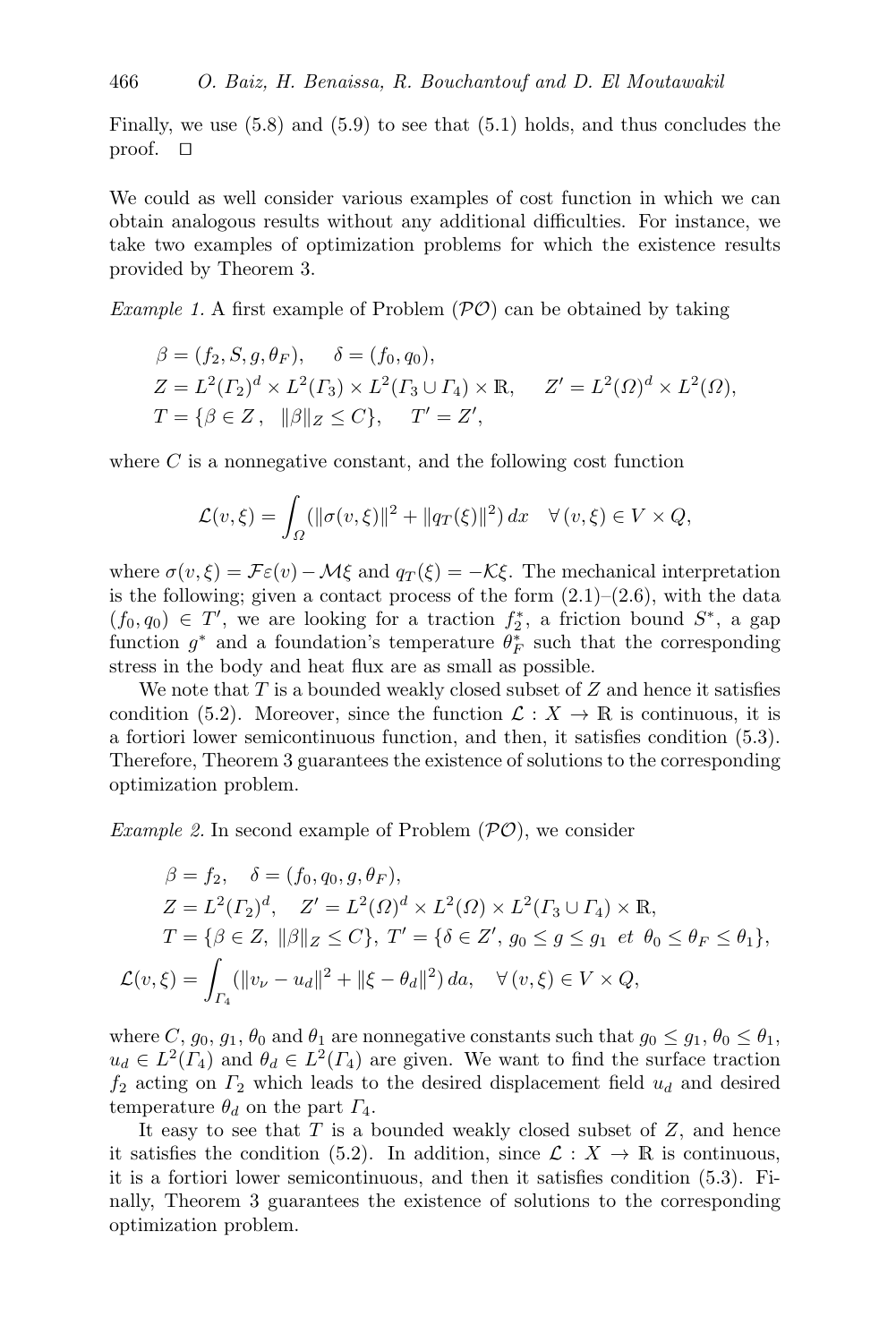Finally, we use [\(5.8\)](#page-21-8) and [\(5.9\)](#page-21-9) to see that [\(5.1\)](#page-21-10) holds, and thus concludes the proof.  $\Box$ 

We could as well consider various examples of cost function in which we can obtain analogous results without any additional difficulties. For instance, we take two examples of optimization problems for which the existence results provided by Theorem [3.](#page-21-0)

*Example 1.* A first example of Problem  $(\mathcal{P}\mathcal{O})$  can be obtained by taking

$$
\beta = (f_2, S, g, \theta_F), \quad \delta = (f_0, q_0), Z = L^2(\Gamma_2)^d \times L^2(\Gamma_3) \times L^2(\Gamma_3 \cup \Gamma_4) \times \mathbb{R}, \quad Z' = L^2(\Omega)^d \times L^2(\Omega), T = \{ \beta \in Z, \ \|\beta\|_Z \le C \}, \quad T' = Z',
$$

where  $C$  is a nonnegative constant, and the following cost function

$$
\mathcal{L}(v,\xi) = \int_{\Omega} (\|\sigma(v,\xi)\|^2 + \|q_T(\xi)\|^2) dx \quad \forall (v,\xi) \in V \times Q,
$$

where  $\sigma(v,\xi) = \mathcal{F}\varepsilon(v) - \mathcal{M}\xi$  and  $q_T(\xi) = -\mathcal{K}\xi$ . The mechanical interpretation is the following; given a contact process of the form  $(2.1)$ – $(2.6)$ , with the data  $(f_0, q_0) \in T'$ , we are looking for a traction  $f_2^*$ , a friction bound  $S^*$ , a gap function  $g^*$  and a foundation's temperature  $\theta_F^*$  such that the corresponding stress in the body and heat flux are as small as possible.

We note that  $T$  is a bounded weakly closed subset of  $Z$  and hence it satisfies condition [\(5.2\)](#page-21-2). Moreover, since the function  $\mathcal{L}: X \to \mathbb{R}$  is continuous, it is a fortiori lower semicontinuous function, and then, it satisfies condition [\(5.3\)](#page-21-5). Therefore, Theorem [3](#page-21-0) guarantees the existence of solutions to the corresponding optimization problem.

*Example 2.* In second example of Problem  $(\mathcal{P}\mathcal{O})$ , we consider

$$
\beta = f_2, \quad \delta = (f_0, q_0, g, \theta_F), Z = L^2(\Gamma_2)^d, \quad Z' = L^2(\Omega)^d \times L^2(\Omega) \times L^2(\Gamma_3 \cup \Gamma_4) \times \mathbb{R}, T = \{ \beta \in Z, ||\beta||_Z \le C \}, \ T' = \{ \delta \in Z', g_0 \le g \le g_1 \text{ et } \theta_0 \le \theta_F \le \theta_1 \}, \mathcal{L}(v, \xi) = \int_{\Gamma_4} (||v_\nu - u_d||^2 + ||\xi - \theta_d||^2) da, \quad \forall (v, \xi) \in V \times Q,
$$

where C,  $g_0, g_1, \theta_0$  and  $\theta_1$  are nonnegative constants such that  $g_0 \leq g_1, \theta_0 \leq \theta_1$ ,  $u_d \in L^2(\Gamma_4)$  and  $\theta_d \in L^2(\Gamma_4)$  are given. We want to find the surface traction  $f_2$  acting on  $\Gamma_2$  which leads to the desired displacement field  $u_d$  and desired temperature  $\theta_d$  on the part  $\Gamma_4$ .

It easy to see that  $T$  is a bounded weakly closed subset of  $Z$ , and hence it satisfies the condition [\(5.2\)](#page-21-2). In addition, since  $\mathcal{L}: X \to \mathbb{R}$  is continuous, it is a fortiori lower semicontinuous, and then it satisfies condition [\(5.3\)](#page-21-5). Finally, Theorem [3](#page-21-0) guarantees the existence of solutions to the corresponding optimization problem.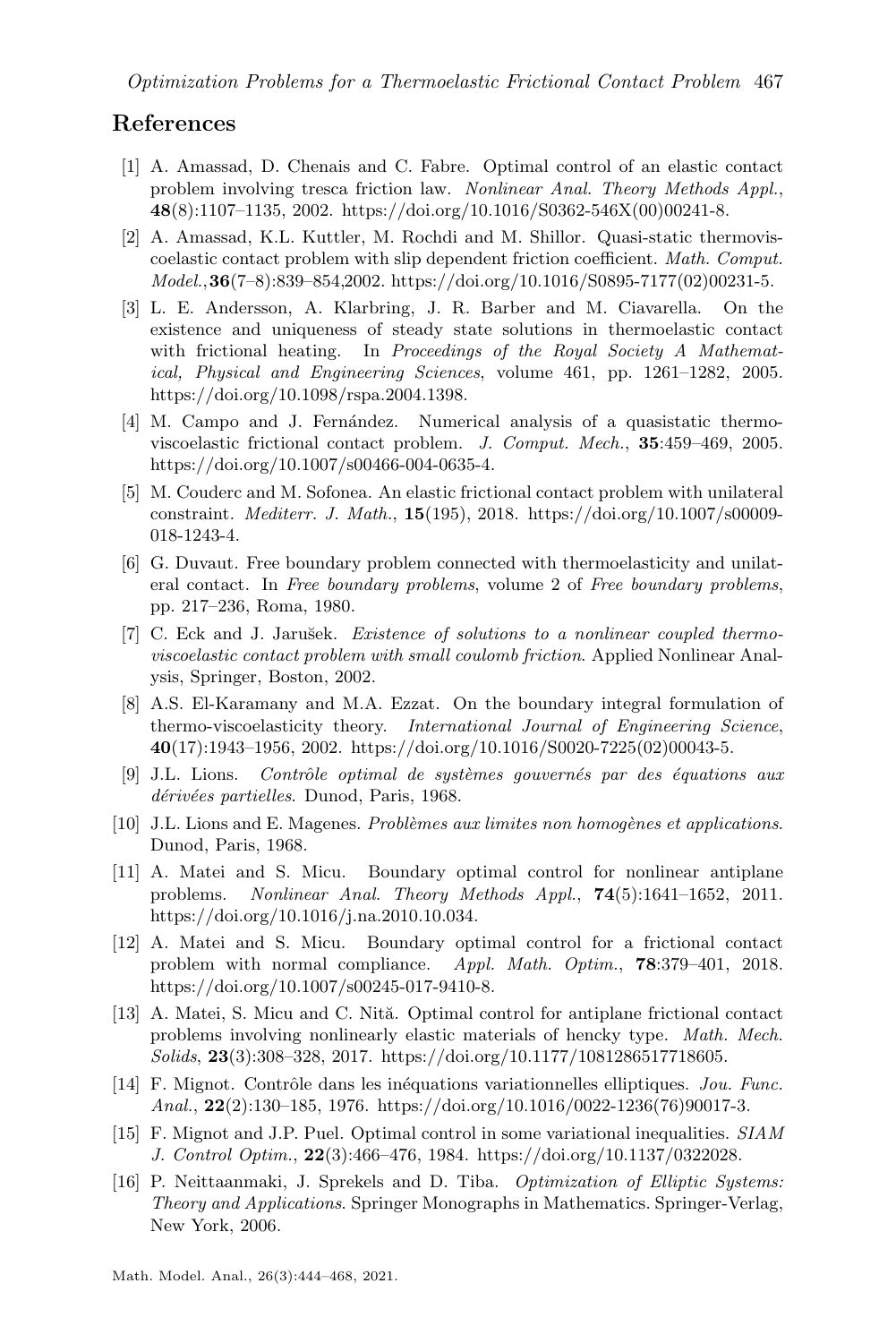#### References

- <span id="page-23-10"></span>[1] A. Amassad, D. Chenais and C. Fabre. Optimal control of an elastic contact problem involving tresca friction law. Nonlinear Anal. Theory Methods Appl.,  $48(8):1107-1135$ , 2002. [https://doi.org/10.1016/S0362-546X\(00\)00241-8.](https://doi.org/10.1016/S0362-546X(00)00241-8)
- <span id="page-23-0"></span>[2] A. Amassad, K.L. Kuttler, M. Rochdi and M. Shillor. Quasi-static thermoviscoelastic contact problem with slip dependent friction coefficient. Math. Comput.  $Model., 36(7-8): 839-854, 2002.$  [https://doi.org/10.1016/S0895-7177\(02\)00231-5.](https://doi.org/10.1016/S0895-7177(02)00231-5)
- <span id="page-23-1"></span>[3] L. E. Andersson, A. Klarbring, J. R. Barber and M. Ciavarella. On the existence and uniqueness of steady state solutions in thermoelastic contact with frictional heating. In Proceedings of the Royal Society A Mathematical, Physical and Engineering Sciences, volume 461, pp. 1261–1282, 2005. [https://doi.org/10.1098/rspa.2004.1398.](https://doi.org/10.1098/rspa.2004.1398)
- <span id="page-23-2"></span>[4] M. Campo and J. Fernández. Numerical analysis of a quasistatic thermoviscoelastic frictional contact problem. J. Comput. Mech., 35:459–469, 2005. [https://doi.org/10.1007/s00466-004-0635-4.](https://doi.org/10.1007/s00466-004-0635-4)
- <span id="page-23-14"></span>[5] M. Couderc and M. Sofonea. An elastic frictional contact problem with unilateral constraint. Mediterr. J. Math., 15(195), 2018. [https://doi.org/10.1007/s00009-](https://doi.org/10.1007/s00009-018-1243-4) [018-1243-4.](https://doi.org/10.1007/s00009-018-1243-4)
- <span id="page-23-3"></span>[6] G. Duvaut. Free boundary problem connected with thermoelasticity and unilateral contact. In Free boundary problems, volume 2 of Free boundary problems, pp. 217–236, Roma, 1980.
- <span id="page-23-4"></span>[7] C. Eck and J. Jarušek. Existence of solutions to a nonlinear coupled thermoviscoelastic contact problem with small coulomb friction. Applied Nonlinear Analysis, Springer, Boston, 2002.
- <span id="page-23-5"></span>[8] A.S. El-Karamany and M.A. Ezzat. On the boundary integral formulation of thermo-viscoelasticity theory. International Journal of Engineering Science,  $40(17):1943-1956$ , 2002. [https://doi.org/10.1016/S0020-7225\(02\)00043-5.](https://doi.org/10.1016/S0020-7225(02)00043-5)
- <span id="page-23-6"></span> $[9]$  J.L. Lions. Contrôle optimal de systèmes gouvernés par des équations aux dérivées partielles. Dunod, Paris, 1968.
- <span id="page-23-15"></span>[10] J.L. Lions and E. Magenes. *Problèmes aux limites non homogènes et applications*. Dunod, Paris, 1968.
- <span id="page-23-11"></span>[11] A. Matei and S. Micu. Boundary optimal control for nonlinear antiplane problems. Nonlinear Anal. Theory Methods Appl., 74(5):1641–1652, 2011. [https://doi.org/10.1016/j.na.2010.10.034.](https://doi.org/10.1016/j.na.2010.10.034)
- <span id="page-23-12"></span>[12] A. Matei and S. Micu. Boundary optimal control for a frictional contact problem with normal compliance. Appl. Math. Optim., 78:379–401, 2018. [https://doi.org/10.1007/s00245-017-9410-8.](https://doi.org/10.1007/s00245-017-9410-8)
- <span id="page-23-13"></span>[13] A. Matei, S. Micu and C. Nită. Optimal control for antiplane frictional contact problems involving nonlinearly elastic materials of hencky type. Math. Mech. Solids, 23(3):308–328, 2017. [https://doi.org/10.1177/1081286517718605.](https://doi.org/10.1177/1081286517718605)
- <span id="page-23-7"></span>[14] F. Mignot. Contrôle dans les inéquations variationnelles elliptiques. Jou. Func. Anal.,  $22(2):130-185$ , 1976. [https://doi.org/10.1016/0022-1236\(76\)90017-3.](https://doi.org/10.1016/0022-1236(76)90017-3)
- <span id="page-23-8"></span>[15] F. Mignot and J.P. Puel. Optimal control in some variational inequalities. SIAM J. Control Optim., 22(3):466–476, 1984. [https://doi.org/10.1137/0322028.](https://doi.org/10.1137/0322028)
- <span id="page-23-9"></span>[16] P. Neittaanmaki, J. Sprekels and D. Tiba. Optimization of Elliptic Systems: Theory and Applications. Springer Monographs in Mathematics. Springer-Verlag, New York, 2006.